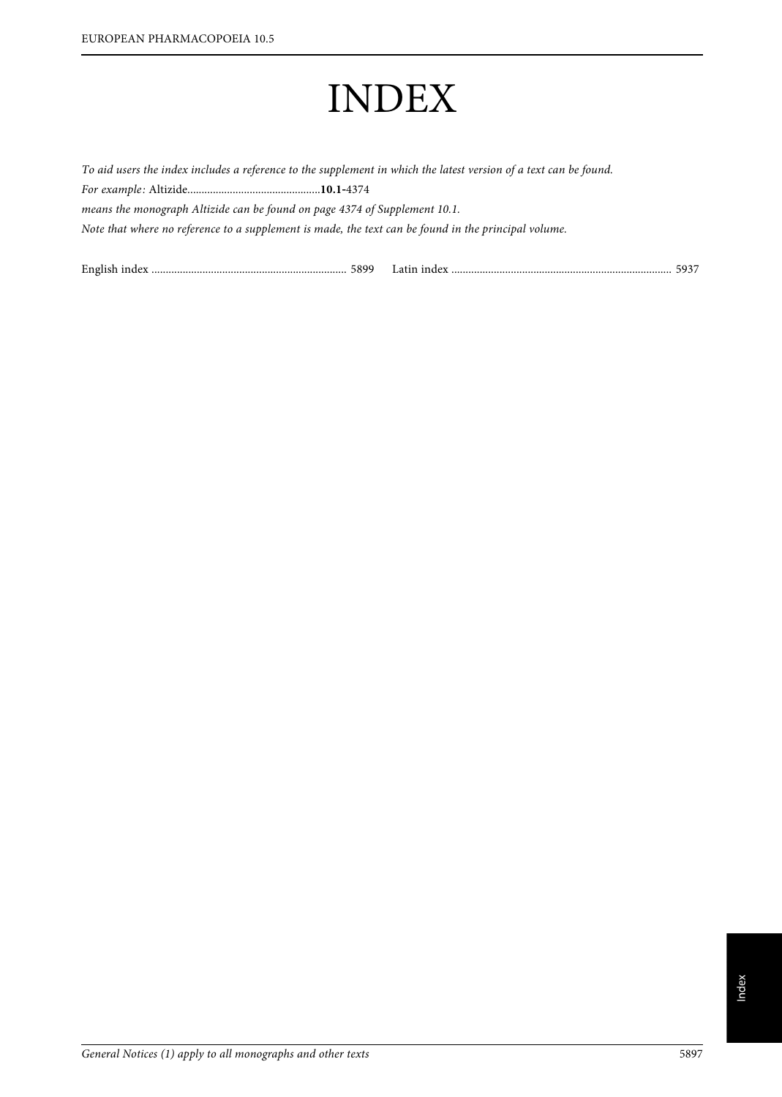# INDEX

To aid users the index includes a reference to the supplement in which the latest version of a text can be found. For example: Altizide...............................................**10.1**‑<sup>4374</sup> means the monograph Altizide can be found on page 4374 of Supplement 10.1. Note that where no reference to a supplement is made, the text can be found in the principal volume.

English index ..................................................................... 5899 Latin index .............................................................................. 5937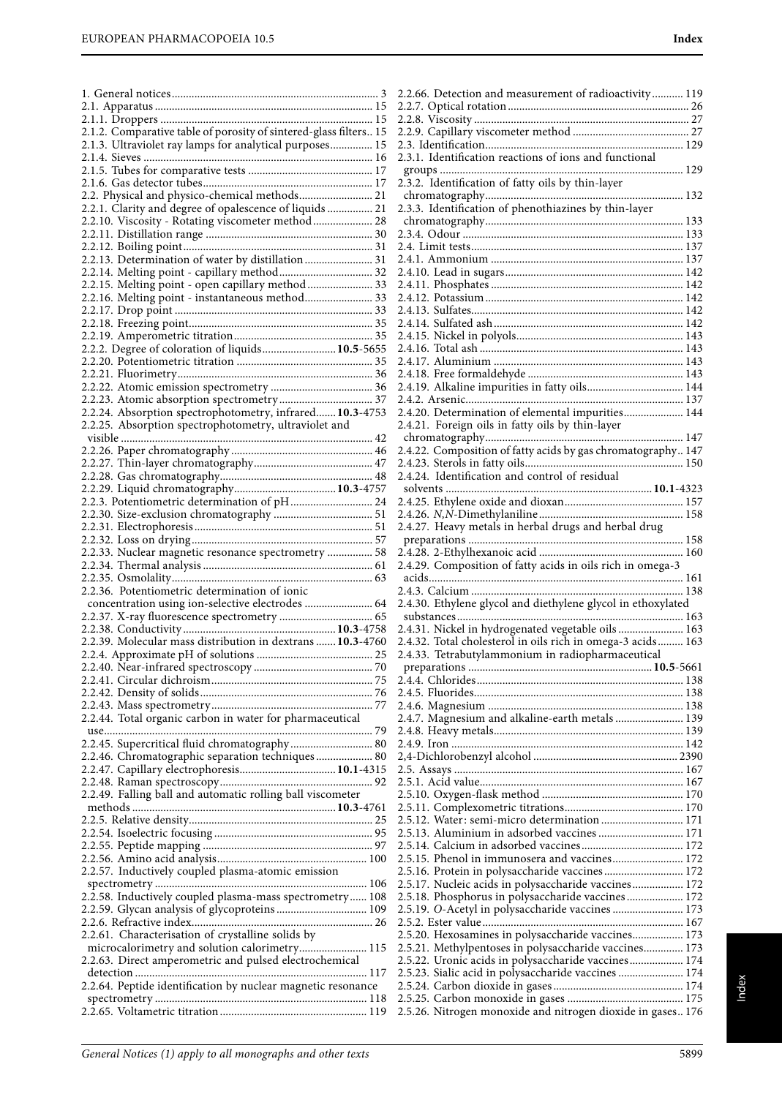|                                                                   | $\tilde{ }$              |
|-------------------------------------------------------------------|--------------------------|
|                                                                   |                          |
|                                                                   |                          |
| 2.1.2. Comparative table of porosity of sintered-glass filters 15 |                          |
| 2.1.3. Ultraviolet ray lamps for analytical purposes 15           |                          |
|                                                                   |                          |
|                                                                   | $\frac{1}{2}$            |
|                                                                   |                          |
|                                                                   | 2                        |
|                                                                   |                          |
| 2.2. Physical and physico-chemical methods 21                     |                          |
| 2.2.1. Clarity and degree of opalescence of liquids  21           | 2                        |
|                                                                   |                          |
| 2.2.10. Viscosity - Rotating viscometer method  28                |                          |
|                                                                   |                          |
|                                                                   | $\frac{1}{2}$            |
|                                                                   |                          |
| 2.2.13. Determination of water by distillation 31                 |                          |
| 2.2.14. Melting point - capillary method 32                       |                          |
|                                                                   |                          |
| 2.2.15. Melting point - open capillary method  33                 |                          |
| 2.2.16. Melting point - instantaneous method 33                   |                          |
|                                                                   |                          |
|                                                                   |                          |
|                                                                   |                          |
|                                                                   |                          |
|                                                                   |                          |
| 2.2.2. Degree of coloration of liquids 10.5-5655                  |                          |
|                                                                   |                          |
|                                                                   |                          |
|                                                                   |                          |
|                                                                   |                          |
|                                                                   |                          |
|                                                                   |                          |
| 2.2.24. Absorption spectrophotometry, infrared 10.3-4753          |                          |
| 2.2.25. Absorption spectrophotometry, ultraviolet and             |                          |
|                                                                   |                          |
|                                                                   |                          |
|                                                                   |                          |
|                                                                   |                          |
|                                                                   |                          |
|                                                                   | 2                        |
|                                                                   |                          |
|                                                                   |                          |
| 2.2.3. Potentiometric determination of pH 24                      |                          |
|                                                                   |                          |
|                                                                   |                          |
|                                                                   | $\overline{\phantom{a}}$ |
|                                                                   |                          |
|                                                                   |                          |
| 2.2.33. Nuclear magnetic resonance spectrometry  58               |                          |
|                                                                   | $\overline{\phantom{a}}$ |
|                                                                   |                          |
|                                                                   |                          |
| 2.2.36. Potentiometric determination of ionic                     |                          |
| concentration using ion-selective electrodes  64                  | $\frac{1}{2}$            |
|                                                                   |                          |
|                                                                   |                          |
|                                                                   |                          |
|                                                                   |                          |
|                                                                   |                          |
| 2.2.39. Molecular mass distribution in dextrans  10.3-4760        |                          |
|                                                                   | $\tilde{ }$              |
|                                                                   |                          |
|                                                                   |                          |
|                                                                   |                          |
|                                                                   |                          |
|                                                                   | $\frac{1}{2}$            |
|                                                                   | 2                        |
|                                                                   |                          |
| 2.2.44. Total organic carbon in water for pharmaceutical          |                          |
|                                                                   | $\frac{2}{2}$            |
| 2.2.45. Supercritical fluid chromatography 80                     |                          |
|                                                                   |                          |
| 2.2.46. Chromatographic separation techniques 80                  |                          |
|                                                                   | $\frac{1}{2}$            |
|                                                                   | $\overline{\phantom{a}}$ |
|                                                                   |                          |
| 2.2.49. Falling ball and automatic rolling ball viscometer        |                          |
|                                                                   |                          |
|                                                                   |                          |
|                                                                   |                          |
|                                                                   |                          |
|                                                                   | $\frac{2}{2}$            |
|                                                                   |                          |
|                                                                   | $\overline{\phantom{a}}$ |
| 2.2.57. Inductively coupled plasma-atomic emission                |                          |
|                                                                   |                          |
|                                                                   | $\frac{2}{2}$            |
| 2.2.58. Inductively coupled plasma-mass spectrometry 108          | $\overline{\phantom{a}}$ |
|                                                                   |                          |
|                                                                   |                          |
|                                                                   | $\frac{2}{2}$            |
| 2.2.61. Characterisation of crystalline solids by                 |                          |
|                                                                   |                          |
| microcalorimetry and solution calorimetry 115                     | $\frac{1}{2}$            |
| 2.2.63. Direct amperometric and pulsed electrochemical            |                          |
|                                                                   | 2                        |
|                                                                   |                          |
| 2.2.64. Peptide identification by nuclear magnetic resonance      |                          |
|                                                                   |                          |
|                                                                   | 2                        |

| 2.2.66. Detection and measurement of radioactivity 119       |  |
|--------------------------------------------------------------|--|
|                                                              |  |
|                                                              |  |
|                                                              |  |
|                                                              |  |
| 2.3.1. Identification reactions of ions and functional       |  |
|                                                              |  |
| 2.3.2. Identification of fatty oils by thin-layer            |  |
|                                                              |  |
| 2.3.3. Identification of phenothiazines by thin-layer        |  |
|                                                              |  |
|                                                              |  |
|                                                              |  |
|                                                              |  |
|                                                              |  |
|                                                              |  |
|                                                              |  |
|                                                              |  |
|                                                              |  |
|                                                              |  |
|                                                              |  |
|                                                              |  |
| 2.4.19. Alkaline impurities in fatty oils 144                |  |
|                                                              |  |
| 2.4.20. Determination of elemental impurities 144            |  |
| 2.4.21. Foreign oils in fatty oils by thin-layer             |  |
|                                                              |  |
| 2.4.22. Composition of fatty acids by gas chromatography 147 |  |
|                                                              |  |
|                                                              |  |
|                                                              |  |
|                                                              |  |
|                                                              |  |
| 2.4.27. Heavy metals in herbal drugs and herbal drug         |  |
|                                                              |  |
|                                                              |  |
| 2.4.29. Composition of fatty acids in oils rich in omega-3   |  |
|                                                              |  |
|                                                              |  |
| 2.4.30. Ethylene glycol and diethylene glycol in ethoxylated |  |
|                                                              |  |
| 2.4.31. Nickel in hydrogenated vegetable oils 163            |  |
| 2.4.32. Total cholesterol in oils rich in omega-3 acids 163  |  |
| 2.4.33. Tetrabutylammonium in radiopharmaceutical            |  |
|                                                              |  |
|                                                              |  |
|                                                              |  |
|                                                              |  |
| 2.4.7. Magnesium and alkaline-earth metals  139              |  |
|                                                              |  |
|                                                              |  |
|                                                              |  |
|                                                              |  |
|                                                              |  |
|                                                              |  |
|                                                              |  |
|                                                              |  |
| 2.5.12. Water: semi-micro determination  171                 |  |
| 2.5.13. Aluminium in adsorbed vaccines  171                  |  |
|                                                              |  |
| 2.5.15. Phenol in immunosera and vaccines 172                |  |
| 2.5.16. Protein in polysaccharide vaccines 172               |  |
| 2.5.17. Nucleic acids in polysaccharide vaccines 172         |  |
| 2.5.18. Phosphorus in polysaccharide vaccines 172            |  |
| 2.5.19. O-Acetyl in polysaccharide vaccines  173             |  |
|                                                              |  |
| 2.5.20. Hexosamines in polysaccharide vaccines 173           |  |
| 2.5.21. Methylpentoses in polysaccharide vaccines 173        |  |
| 2.5.22. Uronic acids in polysaccharide vaccines 174          |  |
| 2.5.23. Sialic acid in polysaccharide vaccines  174          |  |
|                                                              |  |
| 2.5.26. Nitrogen monoxide and nitrogen dioxide in gases 176  |  |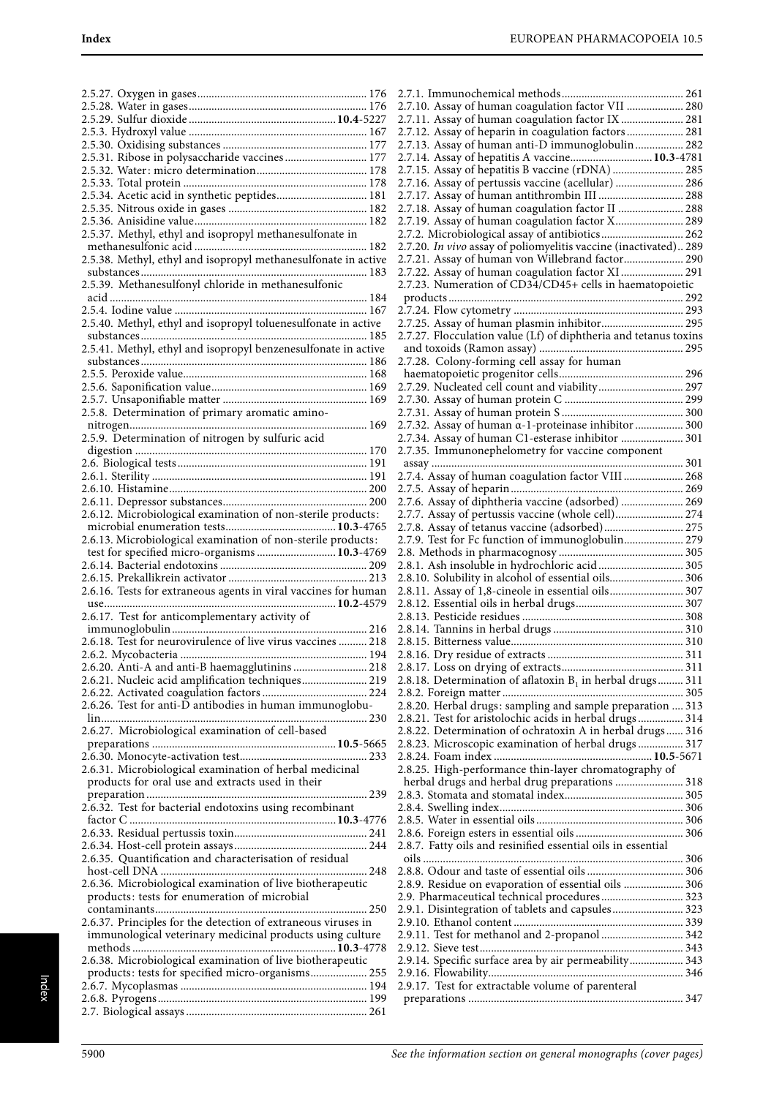| 2.5.31. Ribose in polysaccharide vaccines 177                                                                   |
|-----------------------------------------------------------------------------------------------------------------|
|                                                                                                                 |
|                                                                                                                 |
| 2.5.34. Acetic acid in synthetic peptides 181                                                                   |
|                                                                                                                 |
|                                                                                                                 |
| 2.5.37. Methyl, ethyl and isopropyl methanesulfonate in                                                         |
|                                                                                                                 |
| 2.5.38. Methyl, ethyl and isopropyl methanesulfonate in active                                                  |
|                                                                                                                 |
|                                                                                                                 |
|                                                                                                                 |
| 2.5.40. Methyl, ethyl and isopropyl toluenesulfonate in active                                                  |
|                                                                                                                 |
|                                                                                                                 |
|                                                                                                                 |
|                                                                                                                 |
|                                                                                                                 |
|                                                                                                                 |
| 2.5.8. Determination of primary aromatic amino-                                                                 |
|                                                                                                                 |
| 2.5.9. Determination of nitrogen by sulfuric acid                                                               |
|                                                                                                                 |
|                                                                                                                 |
|                                                                                                                 |
|                                                                                                                 |
|                                                                                                                 |
| 2.6.12. Microbiological examination of non-sterile products:                                                    |
|                                                                                                                 |
| 2.6.13. Microbiological examination of non-sterile products:                                                    |
| test for specified micro-organisms  10.3-4769                                                                   |
|                                                                                                                 |
|                                                                                                                 |
| 2.6.16. Tests for extraneous agents in viral vaccines for human                                                 |
| 2.6.17. Test for anticomplementary activity of                                                                  |
|                                                                                                                 |
|                                                                                                                 |
|                                                                                                                 |
| 2.6.18. Test for neurovirulence of live virus vaccines  218                                                     |
| 2.6.2. Mycobacteria                                                                                             |
| 2.6.20. Anti-A and anti-B haemagglutinins  218                                                                  |
| 2.6.21. Nucleic acid amplification techniques 219                                                               |
|                                                                                                                 |
| 2.6.26. Test for anti-D antibodies in human immunoglobu-                                                        |
| 2.6.27. Microbiological examination of cell-based                                                               |
|                                                                                                                 |
|                                                                                                                 |
| 2.6.31. Microbiological examination of herbal medicinal                                                         |
| products for oral use and extracts used in their                                                                |
|                                                                                                                 |
| 2.6.32. Test for bacterial endotoxins using recombinant                                                         |
|                                                                                                                 |
|                                                                                                                 |
|                                                                                                                 |
| 2.6.35. Quantification and characterisation of residual                                                         |
|                                                                                                                 |
| 2.6.36. Microbiological examination of live biotherapeutic                                                      |
| products: tests for enumeration of microbial                                                                    |
|                                                                                                                 |
| 2.6.37. Principles for the detection of extraneous viruses in                                                   |
| immunological veterinary medicinal products using culture                                                       |
|                                                                                                                 |
| 2.6.38. Microbiological examination of live biotherapeutic<br>products: tests for specified micro-organisms 255 |
|                                                                                                                 |
|                                                                                                                 |

| 2.7.10. Assay of human coagulation factor VII  280               |
|------------------------------------------------------------------|
|                                                                  |
| 2.7.11. Assay of human coagulation factor IX  281                |
| 2.7.12. Assay of heparin in coagulation factors 281              |
| 2.7.13. Assay of human anti-D immunoglobulin 282                 |
| 2.7.14. Assay of hepatitis A vaccine 10.3-4781                   |
| 2.7.15. Assay of hepatitis B vaccine (rDNA)  285                 |
|                                                                  |
| 2.7.16. Assay of pertussis vaccine (acellular)  286              |
| 2.7.17. Assay of human antithrombin III  288                     |
| 2.7.18. Assay of human coagulation factor II  288                |
| 2.7.19. Assay of human coagulation factor X 289                  |
| 2.7.2. Microbiological assay of antibiotics 262                  |
|                                                                  |
| 2.7.20. In vivo assay of poliomyelitis vaccine (inactivated) 289 |
| 2.7.21. Assay of human von Willebrand factor 290                 |
| 2.7.22. Assay of human coagulation factor XI  291                |
| 2.7.23. Numeration of CD34/CD45+ cells in haematopoietic         |
|                                                                  |
|                                                                  |
|                                                                  |
| 2.7.25. Assay of human plasmin inhibitor 295                     |
| 2.7.27. Flocculation value (Lf) of diphtheria and tetanus toxins |
|                                                                  |
|                                                                  |
| 2.7.28. Colony-forming cell assay for human                      |
|                                                                  |
| 2.7.29. Nucleated cell count and viability 297                   |
|                                                                  |
|                                                                  |
|                                                                  |
| 2.7.32. Assay of human a-1-proteinase inhibitor  300             |
| 2.7.34. Assay of human C1-esterase inhibitor  301                |
| 2.7.35. Immunonephelometry for vaccine component                 |
|                                                                  |
| 2.7.4. Assay of human coagulation factor VIII  268               |
|                                                                  |
|                                                                  |
|                                                                  |
|                                                                  |
| 2.7.8. Assay of tetanus vaccine (adsorbed) 275                   |
| 2.7.9. Test for Fc function of immunoglobulin 279                |
|                                                                  |
|                                                                  |
|                                                                  |
|                                                                  |
| 2.8.1. Ash insoluble in hydrochloric acid 305                    |
| 2.8.10. Solubility in alcohol of essential oils 306              |
| 2.8.11. Assay of 1,8-cineole in essential oils 307               |
|                                                                  |
|                                                                  |
|                                                                  |
|                                                                  |
|                                                                  |
|                                                                  |
|                                                                  |
| 2.8.18. Determination of aflatoxin $B_1$ in herbal drugs 311     |
|                                                                  |
|                                                                  |
| 2.8.20. Herbal drugs: sampling and sample preparation  313       |
| 2.8.21. Test for aristolochic acids in herbal drugs 314          |
| 2.8.22. Determination of ochratoxin A in herbal drugs 316        |
| 2.8.23. Microscopic examination of herbal drugs  317             |
|                                                                  |
|                                                                  |
| 2.8.25. High-performance thin-layer chromatography of            |
| herbal drugs and herbal drug preparations  318                   |
|                                                                  |
|                                                                  |
|                                                                  |
|                                                                  |
|                                                                  |
| 2.8.7. Fatty oils and resinified essential oils in essential     |
|                                                                  |
|                                                                  |
| 2.8.9. Residue on evaporation of essential oils  306             |
|                                                                  |
| 2.9. Pharmaceutical technical procedures 323                     |
| 2.9.1. Disintegration of tablets and capsules 323                |
|                                                                  |
| 2.9.11. Test for methanol and 2-propanol  342                    |
|                                                                  |
|                                                                  |
| 2.9.14. Specific surface area by air permeability 343            |
|                                                                  |
| 2.9.17. Test for extractable volume of parenteral                |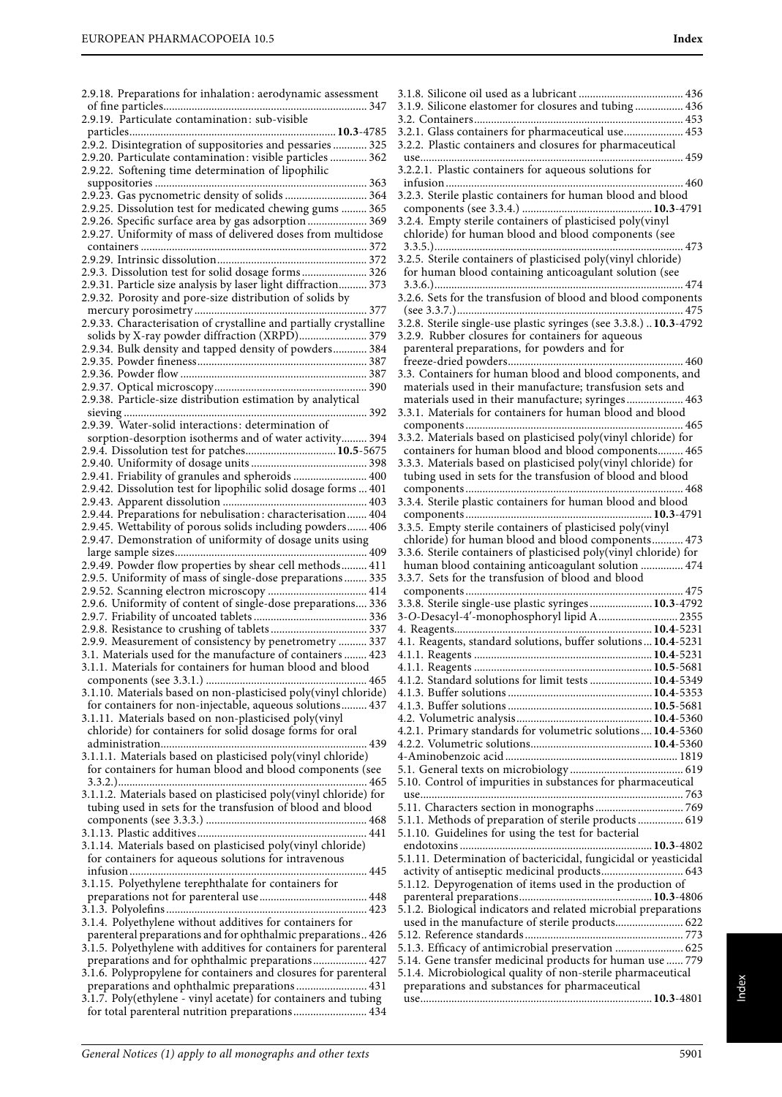2.9.19. Particulate contamination: sub-visible

2.9.18. Preparations for inhalation: aerodynamic assessment of fine particles........................................................................ 347

particles.........................................................................**10.3**-4785

| 2.9.2. Disintegration of suppositories and pessaries  325         |  |
|-------------------------------------------------------------------|--|
| 2.9.20. Particulate contamination: visible particles  362         |  |
| 2.9.22. Softening time determination of lipophilic                |  |
|                                                                   |  |
| 2.9.23. Gas pycnometric density of solids  364                    |  |
| 2.9.25. Dissolution test for medicated chewing gums  365          |  |
|                                                                   |  |
| 2.9.26. Specific surface area by gas adsorption 369               |  |
| 2.9.27. Uniformity of mass of delivered doses from multidose      |  |
|                                                                   |  |
|                                                                   |  |
| 2.9.3. Dissolution test for solid dosage forms 326                |  |
| 2.9.31. Particle size analysis by laser light diffraction 373     |  |
| 2.9.32. Porosity and pore-size distribution of solids by          |  |
|                                                                   |  |
| 2.9.33. Characterisation of crystalline and partially crystalline |  |
|                                                                   |  |
| solids by X-ray powder diffraction (XRPD) 379                     |  |
| 2.9.34. Bulk density and tapped density of powders 384            |  |
|                                                                   |  |
|                                                                   |  |
|                                                                   |  |
| 2.9.38. Particle-size distribution estimation by analytical       |  |
|                                                                   |  |
| 2.9.39. Water-solid interactions: determination of                |  |
|                                                                   |  |
| sorption-desorption isotherms and of water activity 394           |  |
| 2.9.4. Dissolution test for patches 10.5-5675                     |  |
|                                                                   |  |
| 2.9.41. Friability of granules and spheroids  400                 |  |
| 2.9.42. Dissolution test for lipophilic solid dosage forms  401   |  |
|                                                                   |  |
| 2.9.44. Preparations for nebulisation: characterisation 404       |  |
| 2.9.45. Wettability of porous solids including powders 406        |  |
| 2.9.47. Demonstration of uniformity of dosage units using         |  |
|                                                                   |  |
|                                                                   |  |
|                                                                   |  |
| 2.9.5. Uniformity of mass of single-dose preparations  335        |  |
| 2.9.52. Scanning electron microscopy  414                         |  |
| 2.9.6. Uniformity of content of single-dose preparations 336      |  |
|                                                                   |  |
|                                                                   |  |
|                                                                   |  |
|                                                                   |  |
| 2.9.9. Measurement of consistency by penetrometry  337            |  |
| 3.1. Materials used for the manufacture of containers  423        |  |
| 3.1.1. Materials for containers for human blood and blood         |  |
|                                                                   |  |
| 3.1.10. Materials based on non-plasticised poly(vinyl chloride)   |  |
| for containers for non-injectable, aqueous solutions 437          |  |
|                                                                   |  |
| 3.1.11. Materials based on non-plasticised poly(vinyl             |  |
| chloride) for containers for solid dosage forms for oral          |  |
| 439                                                               |  |
| 3.1.1.1. Materials based on plasticised poly(vinyl chloride)      |  |
| for containers for human blood and blood components (see          |  |
|                                                                   |  |
| 3.1.1.2. Materials based on plasticised poly(vinyl chloride) for  |  |
| tubing used in sets for the transfusion of blood and blood        |  |
|                                                                   |  |
|                                                                   |  |
|                                                                   |  |
| 3.1.14. Materials based on plasticised poly(vinyl chloride)       |  |
| for containers for aqueous solutions for intravenous              |  |
|                                                                   |  |
| 3.1.15. Polyethylene terephthalate for containers for             |  |
|                                                                   |  |
|                                                                   |  |
| 3.1.4. Polyethylene without additives for containers for          |  |
| parenteral preparations and for ophthalmic preparations 426       |  |
|                                                                   |  |
| 3.1.5. Polyethylene with additives for containers for parenteral  |  |
| preparations and for ophthalmic preparations 427                  |  |
| 3.1.6. Polypropylene for containers and closures for parenteral   |  |
| preparations and ophthalmic preparations 431                      |  |
| 3.1.7. Poly(ethylene - vinyl acetate) for containers and tubing   |  |
| for total parenteral nutrition preparations 434                   |  |

| 3.1.9. Silicone elastomer for closures and tubing  436             |
|--------------------------------------------------------------------|
|                                                                    |
|                                                                    |
| 3.2.1. Glass containers for pharmaceutical use 453                 |
| 3.2.2. Plastic containers and closures for pharmaceutical          |
|                                                                    |
| 3.2.2.1. Plastic containers for aqueous solutions for              |
| 460                                                                |
| 3.2.3. Sterile plastic containers for human blood and blood        |
|                                                                    |
|                                                                    |
| 3.2.4. Empty sterile containers of plasticised poly(vinyl          |
| chloride) for human blood and blood components (see                |
|                                                                    |
| 3.2.5. Sterile containers of plasticised poly(vinyl chloride)      |
|                                                                    |
| for human blood containing anticoagulant solution (see             |
|                                                                    |
| 3.2.6. Sets for the transfusion of blood and blood components      |
|                                                                    |
|                                                                    |
| 3.2.8. Sterile single-use plastic syringes (see 3.3.8.)  10.3-4792 |
| 3.2.9. Rubber closures for containers for aqueous                  |
| parenteral preparations, for powders and for                       |
|                                                                    |
| 3.3. Containers for human blood and blood components, and          |
|                                                                    |
| materials used in their manufacture; transfusion sets and          |
| materials used in their manufacture; syringes 463                  |
| 3.3.1. Materials for containers for human blood and blood          |
|                                                                    |
| 3.3.2. Materials based on plasticised poly(vinyl chloride) for     |
|                                                                    |
| containers for human blood and blood components 465                |
| 3.3.3. Materials based on plasticised poly(vinyl chloride) for     |
| tubing used in sets for the transfusion of blood and blood         |
|                                                                    |
|                                                                    |
| 3.3.4. Sterile plastic containers for human blood and blood        |
|                                                                    |
| 3.3.5. Empty sterile containers of plasticised poly(vinyl          |
| chloride) for human blood and blood components 473                 |
|                                                                    |
|                                                                    |
| 3.3.6. Sterile containers of plasticised poly(vinyl chloride) for  |
| human blood containing anticoagulant solution  474                 |
| 3.3.7. Sets for the transfusion of blood and blood                 |
|                                                                    |
|                                                                    |
| 3.3.8. Sterile single-use plastic syringes  10.3-4792              |
| 3-O-Desacyl-4'-monophosphoryl lipid A 2355                         |
|                                                                    |
| 4.1. Reagents, standard solutions, buffer solutions10.4-5231       |
|                                                                    |
|                                                                    |
|                                                                    |
| 4.1.2. Standard solutions for limit tests  10.4-5349               |
|                                                                    |
|                                                                    |
|                                                                    |
|                                                                    |
| 4.2.1. Primary standards for volumetric solutions 10.4-5360        |
|                                                                    |
|                                                                    |
|                                                                    |
| 5.10. Control of impurities in substances for pharmaceutical       |
|                                                                    |
|                                                                    |
|                                                                    |
| 5.1.1. Methods of preparation of sterile products  619             |
| 5.1.10. Guidelines for using the test for bacterial                |
|                                                                    |
|                                                                    |
| 5.1.11. Determination of bactericidal, fungicidal or yeasticidal   |
| activity of antiseptic medicinal products 643                      |
| 5.1.12. Depyrogenation of items used in the production of          |
|                                                                    |
| 5.1.2. Biological indicators and related microbial preparations    |
| used in the manufacture of sterile products 622                    |
|                                                                    |
|                                                                    |
| 5.1.3. Efficacy of antimicrobial preservation  625                 |
| 5.14. Gene transfer medicinal products for human use  779          |
| 5.1.4. Microbiological quality of non-sterile pharmaceutical       |
| preparations and substances for pharmaceutical                     |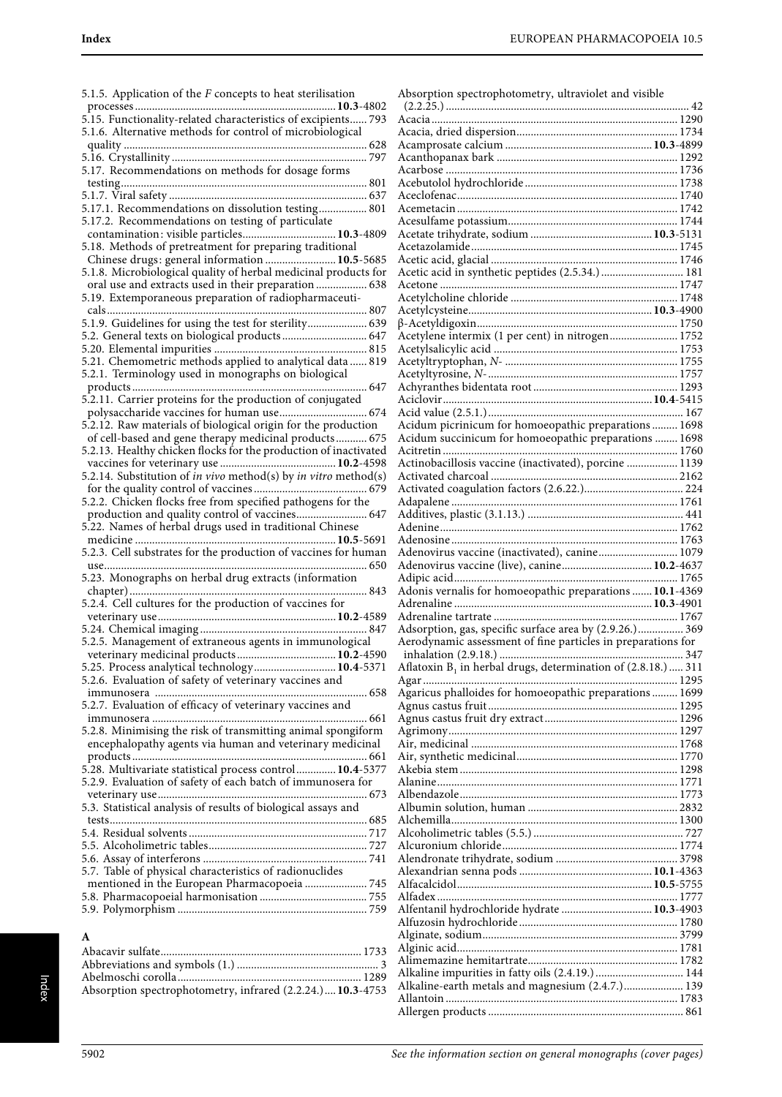5.1.5. Application of the F concepts to heat sterilisation processes .......................................................................**10.3**-4802 5.15. Functionality-related characteristics of excipients...... 793 5.1.6. Alternative methods for control of microbiological quality ...................................................................................... 628 5.16. Crystallinity ..................................................................... 797 5.17. Recommendations on methods for dosage forms testing....................................................................................... 801 5.1.7. Viral safety ...................................................................... 637 5.17.1. Recommendations on dissolution testing................. 801 5.17.2. Recommendations on testing of particulate contamination: visible particles.................................**10.3**-4809 5.18. Methods of pretreatment for preparing traditional Chinese drugs: general information .........................**10.5**-5685 5.1.8. Microbiological quality of herbal medicinal products for oral use and extracts used in their preparation .................. 638 5.19. Extemporaneous preparation of radiopharmaceuticals............................................................................................ 807 5.1.9. Guidelines for using the test for sterility..................... 639 5.2. General texts on biological products .............................. 647 5.20. Elemental impurities ...................................................... 815 5.21. Chemometric methods applied to analytical data ...... 819 5.2.1. Terminology used in monographs on biological products ................................................................................... 647 5.2.11. Carrier proteins for the production of conjugated polysaccharide vaccines for human use............................... 674 5.2.12. Raw materials of biological origin for the production of cell-based and gene therapy medicinal products ........... 675 5.2.13. Healthy chicken flocks for the production of inactivated vaccines for veterinary use .........................................**10.2**-4598 5.2.14. Substitution of in vivo method(s) by in vitro method(s) for the quality control of vaccines ........................................ 679 5.2.2. Chicken flocks free from specified pathogens for the production and quality control of vaccines......................... 647 5.22. Names of herbal drugs used in traditional Chinese medicine .......................................................................**10.5**-5691 5.2.3. Cell substrates for the production of vaccines for human use............................................................................................. 650 5.23. Monographs on herbal drug extracts (information chapter).................................................................................... 843 5.2.4. Cell cultures for the production of vaccines for veterinary use...............................................................**10.2**-4589 5.24. Chemical imaging ........................................................... 847 5.2.5. Management of extraneous agents in immunological veterinary medicinal products...................................**10.2**-4590 5.25. Process analytical technology.............................**10.4**-5371 5.2.6. Evaluation of safety of veterinary vaccines and immunosera ........................................................................... 658 5.2.7. Evaluation of efficacy of veterinary vaccines and immunosera ............................................................................ 661 5.2.8. Minimising the risk of transmitting animal spongiform encephalopathy agents via human and veterinary medicinal products ................................................................................... 661 5.28. Multivariate statistical process control..............**10.4**-5377 5.2.9. Evaluation of safety of each batch of immunosera for veterinary use.......................................................................... 673 5.3. Statistical analysis of results of biological assays and tests........................................................................................... 685 5.4. Residual solvents ............................................................... 717 5.5. Alcoholimetric tables........................................................ 727 5.6. Assay of interferons .......................................................... 741 5.7. Table of physical characteristics of radionuclides mentioned in the European Pharmacopoeia ...................... 745 5.8. Pharmacopoeial harmonisation ...................................... 755 5.9. Polymorphism ................................................................... 759 **A** Abacavir sulfate....................................................................... 1733

Abbreviations and symbols (1.) .................................................. 3 Abelmoschi corolla................................................................. 1289 Absorption spectrophotometry, infrared (2.2.24.)....**10.3**-4753

#### Absorption spectrophotometry, ultraviolet and visible (2.2.25.) ...................................................................................... 42 Acacia ....................................................................................... 1290 Acacia, dried dispersion......................................................... 1734 Acamprosate calcium ....................................................**10.3**-4899 Acanthopanax bark ................................................................ 1292 Acarbose .................................................................................. 1736 Acebutolol hydrochloride ...................................................... 1738 Aceclofenac.............................................................................. 1740 Acemetacin .............................................................................. 1742 Acesulfame potassium............................................................ 1744 Acetate trihydrate, sodium ...........................................**10.3**-5131 Acetazolamide......................................................................... 1745 Acetic acid, glacial .................................................................. 1746 Acetic acid in synthetic peptides (2.5.34.) ............................. 181 Acetone .................................................................................... 1747 Acetylcholine chloride ........................................................... 1748 Acetylcysteine.................................................................**10.3**-4900 β-Acetyldigoxin....................................................................... 1750 Acetylene intermix (1 per cent) in nitrogen........................ 1752 Acetylsalicylic acid ................................................................. 1753 Acetyltryptophan, N- ............................................................. 1755 Acetyltyrosine, N-................................................................... 1757 Achyranthes bidentata root ................................................... 1293 Aciclovir..........................................................................**10.4**-5415 Acid value (2.5.1.)..................................................................... 167 Acidum picrinicum for homoeopathic preparations ......... 1698 Acidum succinicum for homoeopathic preparations ........ 1698 Acitretin ................................................................................... 1760 Actinobacillosis vaccine (inactivated), porcine .................. 1139 Activated charcoal .................................................................. 2162 Activated coagulation factors (2.6.22.)................................... 224 Adapalene ................................................................................ 1761 Additives, plastic (3.1.13.) ....................................................... 441 Adenine.................................................................................... 1762 Adenosine ................................................................................ 1763 Adenovirus vaccine (inactivated), canine............................ 1079 Adenovirus vaccine (live), canine................................**10.2**-4637 Adipic acid............................................................................... 1765 Adonis vernalis for homoeopathic preparations .......**10.1**-4369 Adrenaline ......................................................................**10.3**-4901 Adrenaline tartrate ................................................................. 1767 Adsorption, gas, specific surface area by  $(2.9.26.)$ .................. 369 Aerodynamic assessment of fine particles in preparations for inhalation (2.9.18.) ................................................................. 347 Aflatoxin  $B_1$  in herbal drugs, determination of  $(2.8.18.)$  ..... 311 Agar .......................................................................................... 1295 Agaricus phalloides for homoeopathic preparations ......... 1699 Agnus castus fruit ................................................................... 1295 Agnus castus fruit dry extract............................................... 1296 Agrimony................................................................................. 1297 Air, medicinal ......................................................................... 1768 Air, synthetic medicinal......................................................... 1770 Akebia stem ............................................................................. 1298 Alanine..................................................................................... 1771 Albendazole............................................................................. 1773 Albumin solution, human ..................................................... 2832 Alchemilla................................................................................ 1300 Alcoholimetric tables (5.5.) ..................................................... 727 Alcuronium chloride.............................................................. 1774 Alendronate trihydrate, sodium ........................................... 3798 Alexandrian senna pods ...............................................**10.1**-4363 Alfacalcidol.....................................................................**10.5**-5755 Alfadex ..................................................................................... 1777 Alfentanil hydrochloride hydrate ................................**10.3**-4903 Alfuzosin hydrochloride ........................................................ 1780 Alginate, sodium..................................................................... 3799 Alginic acid.............................................................................. 1781 Alimemazine hemitartrate..................................................... 1782 Alkaline impurities in fatty oils (2.4.19.) ............................... 144 Alkaline-earth metals and magnesium (2.4.7.)..................... 139 Allantoin .................................................................................. 1783 Allergen products ..................................................................... 861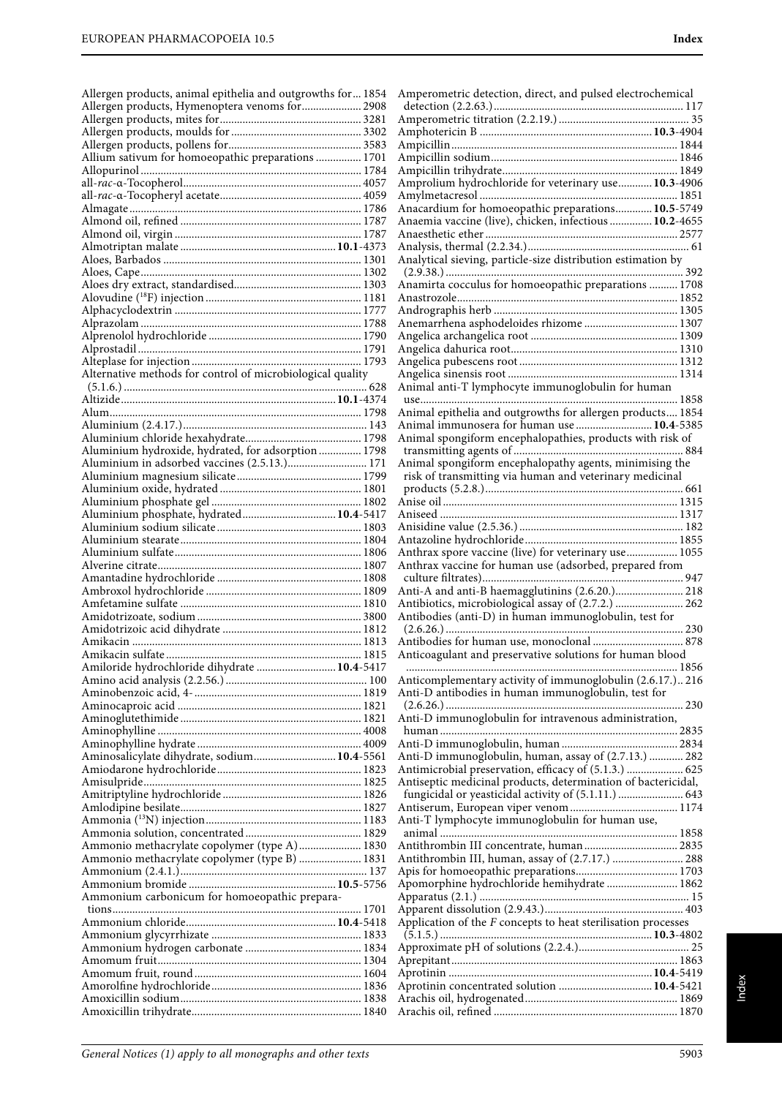| Allergen products, animal epithelia and outgrowths for 1854 |
|-------------------------------------------------------------|
| Allergen products, Hymenoptera venoms for 2908              |
|                                                             |
|                                                             |
| Allium sativum for homoeopathic preparations  1701          |
|                                                             |
|                                                             |
|                                                             |
|                                                             |
|                                                             |
|                                                             |
|                                                             |
|                                                             |
|                                                             |
|                                                             |
|                                                             |
|                                                             |
|                                                             |
|                                                             |
|                                                             |
|                                                             |
|                                                             |
|                                                             |
|                                                             |
| Aluminium hydroxide, hydrated, for adsorption  1798         |
| Aluminium in adsorbed vaccines (2.5.13.) 171                |
|                                                             |
|                                                             |
|                                                             |
| Aluminium phosphate, hydrated 10.4-5417                     |
|                                                             |
|                                                             |
|                                                             |
|                                                             |
|                                                             |
|                                                             |
|                                                             |
|                                                             |
| Amikacin sulfate<br>1815                                    |
| Amiloride hydrochloride dihydrate  10.4-5417                |
|                                                             |
|                                                             |
|                                                             |
|                                                             |
|                                                             |
| Aminosalicylate dihydrate, sodium 10.4-5561                 |
|                                                             |
|                                                             |
|                                                             |
|                                                             |
|                                                             |
| Ammonio methacrylate copolymer (type A) 1830                |
| Ammonio methacrylate copolymer (type B)  1831               |
|                                                             |
|                                                             |
| Ammonium carbonicum for homoeopathic prepara-               |
|                                                             |
|                                                             |
|                                                             |
|                                                             |
|                                                             |
|                                                             |
|                                                             |
|                                                             |

| Amprolium hydrochloride for veterinary use 10.3-4906                                                         |
|--------------------------------------------------------------------------------------------------------------|
|                                                                                                              |
| Anacardium for homoeopathic preparations 10.5-5749<br>Anaemia vaccine (live), chicken, infectious  10.2-4655 |
|                                                                                                              |
|                                                                                                              |
| Analytical sieving, particle-size distribution estimation by                                                 |
|                                                                                                              |
| Anamirta cocculus for homoeopathic preparations  1708                                                        |
|                                                                                                              |
|                                                                                                              |
| Anemarrhena asphodeloides rhizome  1307                                                                      |
|                                                                                                              |
|                                                                                                              |
|                                                                                                              |
|                                                                                                              |
| Animal anti-T lymphocyte immunoglobulin for human                                                            |
|                                                                                                              |
| Animal epithelia and outgrowths for allergen products 1854                                                   |
| Animal immunosera for human use  10.4-5385                                                                   |
| Animal spongiform encephalopathies, products with risk of                                                    |
|                                                                                                              |
| Animal spongiform encephalopathy agents, minimising the                                                      |
| risk of transmitting via human and veterinary medicinal                                                      |
|                                                                                                              |
|                                                                                                              |
|                                                                                                              |
|                                                                                                              |
| Anthrax spore vaccine (live) for veterinary use 1055                                                         |
| Anthrax vaccine for human use (adsorbed, prepared from                                                       |
|                                                                                                              |
| Anti-A and anti-B haemagglutinins (2.6.20.) 218                                                              |
| Antibiotics, microbiological assay of (2.7.2.)  262                                                          |
| Antibodies (anti-D) in human immunoglobulin, test for                                                        |
|                                                                                                              |
|                                                                                                              |
|                                                                                                              |
| Anticoagulant and preservative solutions for human blood                                                     |
|                                                                                                              |
| Anticomplementary activity of immunoglobulin (2.6.17.) 216                                                   |
| Anti-D antibodies in human immunoglobulin, test for                                                          |
|                                                                                                              |
| Anti-D immunoglobulin for intravenous administration,                                                        |
|                                                                                                              |
|                                                                                                              |
| Anti-D immunoglobulin, human, assay of (2.7.13.)  282                                                        |
|                                                                                                              |
| Antiseptic medicinal products, determination of bactericidal,                                                |
| fungicidal or yeasticidal activity of (5.1.11.)  643                                                         |
|                                                                                                              |
| Anti-T lymphocyte immunoglobulin for human use,                                                              |
|                                                                                                              |
| Antithrombin III concentrate, human 2835<br>Antithrombin III, human, assay of (2.7.17.)  288                 |
|                                                                                                              |
| Apomorphine hydrochloride hemihydrate  1862                                                                  |
|                                                                                                              |
|                                                                                                              |
| Application of the $F$ concepts to heat sterilisation processes                                              |
|                                                                                                              |
|                                                                                                              |
|                                                                                                              |
|                                                                                                              |
| Aprotinin concentrated solution  10.4-5421                                                                   |
|                                                                                                              |
|                                                                                                              |
|                                                                                                              |

Amperometric detection, direct, and pulsed electrochemical detection (2.2.63.)................................................................... 117 Amperometric titration (2.2.19.) .............................................. 35 Amphotericin B .............................................................**10.3**-4904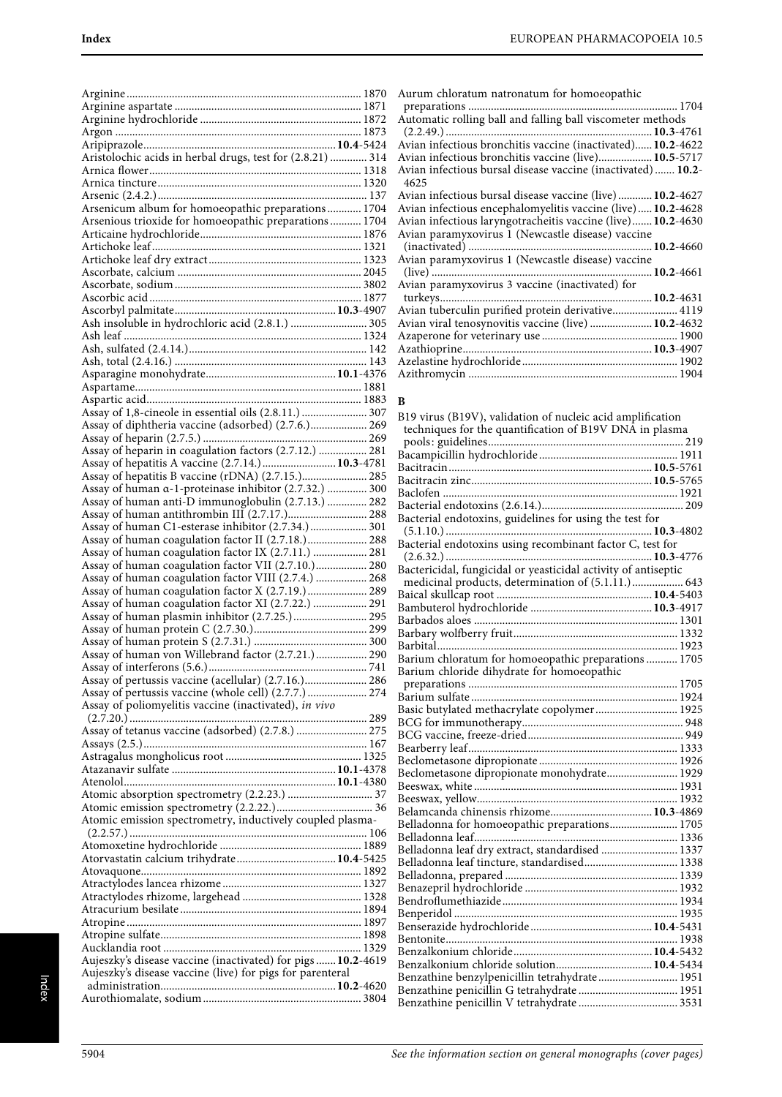| Aristolochic acids in herbal drugs, test for (2.8.21)  314                                                 |  |
|------------------------------------------------------------------------------------------------------------|--|
|                                                                                                            |  |
|                                                                                                            |  |
| Arsenicum album for homoeopathic preparations 1704                                                         |  |
| Arsenious trioxide for homoeopathic preparations 1704                                                      |  |
|                                                                                                            |  |
|                                                                                                            |  |
|                                                                                                            |  |
|                                                                                                            |  |
|                                                                                                            |  |
| Ash insoluble in hydrochloric acid (2.8.1.)  305                                                           |  |
|                                                                                                            |  |
|                                                                                                            |  |
|                                                                                                            |  |
|                                                                                                            |  |
|                                                                                                            |  |
| Assay of 1,8-cineole in essential oils (2.8.11.)  307                                                      |  |
| Assay of diphtheria vaccine (adsorbed) (2.7.6.) 269                                                        |  |
|                                                                                                            |  |
| Assay of heparin in coagulation factors (2.7.12.)  281<br>Assay of hepatitis A vaccine (2.7.14.) 10.3-4781 |  |
| Assay of hepatitis B vaccine (rDNA) (2.7.15.) 285                                                          |  |
| Assay of human α-1-proteinase inhibitor (2.7.32.)  300                                                     |  |
| Assay of human anti-D immunoglobulin (2.7.13.)  282                                                        |  |
| Assay of human C1-esterase inhibitor (2.7.34.)  301                                                        |  |
| Assay of human coagulation factor II (2.7.18.) 288                                                         |  |
| Assay of human coagulation factor IX (2.7.11.)  281                                                        |  |
| Assay of human coagulation factor VII (2.7.10.) 280                                                        |  |
| Assay of human coagulation factor VIII (2.7.4.)  268                                                       |  |
| Assay of human coagulation factor X (2.7.19.)  289<br>Assay of human coagulation factor XI (2.7.22.)  291  |  |
| Assay of human plasmin inhibitor (2.7.25.)  295                                                            |  |
|                                                                                                            |  |
| Assay of human von Willebrand factor (2.7.21.) 290                                                         |  |
|                                                                                                            |  |
| Assay of pertussis vaccine (acellular) (2.7.16.) 286                                                       |  |
| Assay of pertussis vaccine (whole cell) (2.7.7.)  274                                                      |  |
| Assay of poliomyelitis vaccine (inactivated), in vivo                                                      |  |
| Assay of tetanus vaccine (adsorbed) (2.7.8.)  275                                                          |  |
|                                                                                                            |  |
|                                                                                                            |  |
|                                                                                                            |  |
|                                                                                                            |  |
|                                                                                                            |  |
| Atomic emission spectrometry, inductively coupled plasma-                                                  |  |
|                                                                                                            |  |
|                                                                                                            |  |
|                                                                                                            |  |
|                                                                                                            |  |
|                                                                                                            |  |
|                                                                                                            |  |
|                                                                                                            |  |
|                                                                                                            |  |
|                                                                                                            |  |
| Aujeszky's disease vaccine (inactivated) for pigs  10.2-4619                                               |  |
| Aujeszky's disease vaccine (live) for pigs for parenteral                                                  |  |

| Aurum chloratum natronatum for homoeopathic                 |
|-------------------------------------------------------------|
|                                                             |
| Automatic rolling ball and falling ball viscometer methods  |
|                                                             |
| Avian infectious bronchitis vaccine (inactivated) 10.2-4622 |
| Avian infectious bronchitis vaccine (live) 10.5-5717        |
| Avian infectious bursal disease vaccine (inactivated) 10.2- |
| 4625                                                        |
| Avian infectious bursal disease vaccine (live) 10.2-4627    |
| Avian infectious encephalomyelitis vaccine (live) 10.2-4628 |
| Avian infectious laryngotracheitis vaccine (live) 10.2-4630 |
| Avian paramyxovirus 1 (Newcastle disease) vaccine           |
|                                                             |
| Avian paramyxovirus 1 (Newcastle disease) vaccine           |
|                                                             |
| Avian paramyxovirus 3 vaccine (inactivated) for             |
|                                                             |
| Avian tuberculin purified protein derivative 4119           |
| Avian viral tenosynovitis vaccine (live)  10.2-4632         |
|                                                             |
|                                                             |
|                                                             |

Azithromycin .......................................................................... 1904

#### **B**

| B19 virus (B19V), validation of nucleic acid amplification     |
|----------------------------------------------------------------|
|                                                                |
| techniques for the quantification of B19V DNA in plasma        |
|                                                                |
|                                                                |
|                                                                |
|                                                                |
|                                                                |
|                                                                |
| Bacterial endotoxins, guidelines for using the test for        |
|                                                                |
| Bacterial endotoxins using recombinant factor C, test for      |
|                                                                |
| Bactericidal, fungicidal or yeasticidal activity of antiseptic |
| medicinal products, determination of (5.1.11.) 643             |
|                                                                |
|                                                                |
|                                                                |
|                                                                |
|                                                                |
|                                                                |
| Barium chloratum for homoeopathic preparations  1705           |
| Barium chloride dihydrate for homoeopathic                     |
|                                                                |
|                                                                |
| Basic butylated methacrylate copolymer 1925                    |
|                                                                |
|                                                                |
|                                                                |
|                                                                |
| Beclometasone dipropionate monohydrate 1929                    |
|                                                                |
|                                                                |
|                                                                |
| Belladonna for homoeopathic preparations 1705                  |
|                                                                |
| Belladonna leaf dry extract, standardised  1337                |
| Belladonna leaf tincture, standardised 1338                    |
|                                                                |
|                                                                |
|                                                                |
|                                                                |
|                                                                |
|                                                                |
|                                                                |
|                                                                |
| Benzalkonium chloride solution 10.4-5434                       |
| Benzathine benzylpenicillin tetrahydrate 1951                  |
|                                                                |
|                                                                |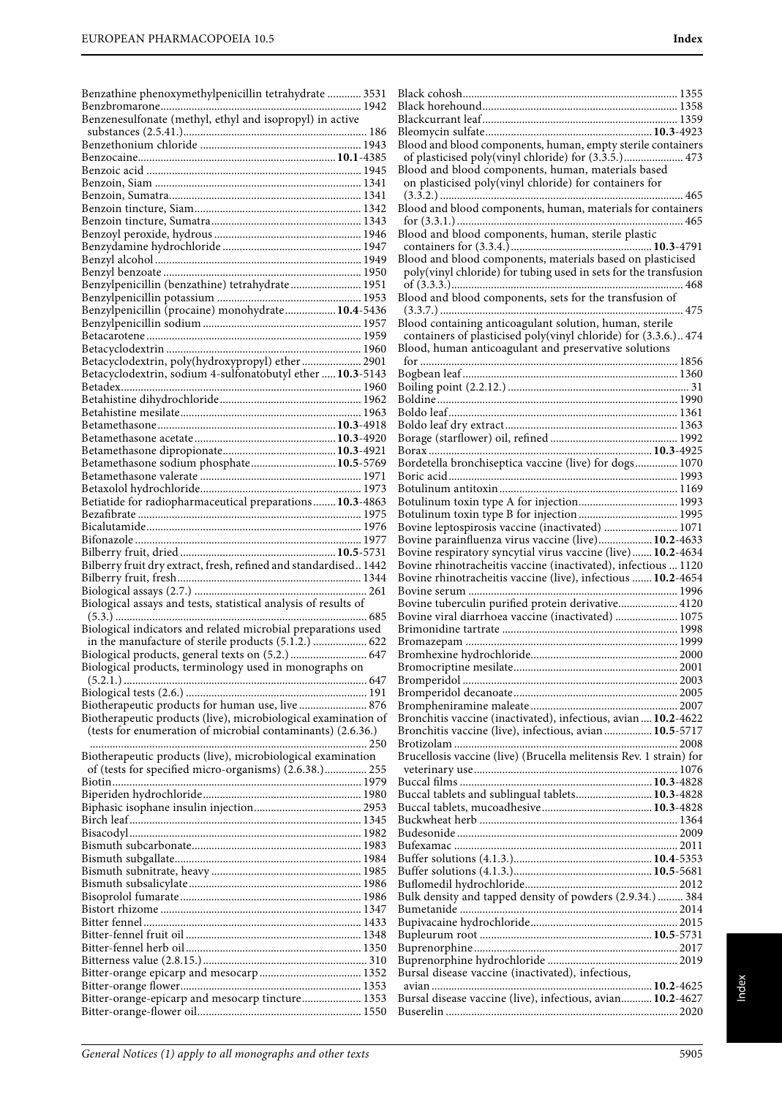| Benzathine phenoxymethylpenicillin tetrahydrate  3531            |  |
|------------------------------------------------------------------|--|
| Benzenesulfonate (methyl, ethyl and isopropyl) in active         |  |
|                                                                  |  |
|                                                                  |  |
|                                                                  |  |
|                                                                  |  |
|                                                                  |  |
|                                                                  |  |
|                                                                  |  |
|                                                                  |  |
|                                                                  |  |
|                                                                  |  |
|                                                                  |  |
| Benzylpenicillin (benzathine) tetrahydrate 1951                  |  |
|                                                                  |  |
| Benzylpenicillin (procaine) monohydrate 10.4-5436                |  |
|                                                                  |  |
|                                                                  |  |
| Betacyclodextrin, poly(hydroxypropyl) ether 2901                 |  |
| Betacyclodextrin, sodium 4-sulfonatobutyl ether  10.3-5143       |  |
|                                                                  |  |
|                                                                  |  |
|                                                                  |  |
|                                                                  |  |
|                                                                  |  |
|                                                                  |  |
| Betamethasone sodium phosphate 10.5-5769                         |  |
|                                                                  |  |
| Betiatide for radiopharmaceutical preparations  10.3-4863        |  |
|                                                                  |  |
|                                                                  |  |
|                                                                  |  |
|                                                                  |  |
| Bilberry fruit dry extract, fresh, refined and standardised 1442 |  |
|                                                                  |  |
| Biological assays and tests, statistical analysis of results of  |  |
|                                                                  |  |
| Biological indicators and related microbial preparations used    |  |
| in the manufacture of sterile products (5.1.2.)  622             |  |
| Biological products, general texts on (5.2.)  647                |  |
| Biological products, terminology used in monographs on           |  |
|                                                                  |  |
| Biotherapeutic products for human use, live  876                 |  |
| Biotherapeutic products (live), microbiological examination of   |  |
| (tests for enumeration of microbial contaminants) (2.6.36.)      |  |
|                                                                  |  |
| Biotherapeutic products (live), microbiological examination      |  |
| of (tests for specified micro-organisms) (2.6.38.) 255           |  |
|                                                                  |  |
|                                                                  |  |
|                                                                  |  |
|                                                                  |  |
|                                                                  |  |
|                                                                  |  |
|                                                                  |  |
|                                                                  |  |
|                                                                  |  |
|                                                                  |  |
|                                                                  |  |
|                                                                  |  |
|                                                                  |  |
|                                                                  |  |
|                                                                  |  |
|                                                                  |  |
| Bitter-orange-epicarp and mesocarp tincture 1353                 |  |

| Blood and blood components, human, empty sterile containers        |  |
|--------------------------------------------------------------------|--|
| of plasticised poly(vinyl chloride) for (3.3.5.) 473               |  |
| Blood and blood components, human, materials based                 |  |
| on plasticised poly(vinyl chloride) for containers for             |  |
|                                                                    |  |
|                                                                    |  |
| Blood and blood components, human, sterile plastic                 |  |
|                                                                    |  |
| Blood and blood components, materials based on plasticised         |  |
| poly(vinyl chloride) for tubing used in sets for the transfusion   |  |
|                                                                    |  |
| Blood and blood components, sets for the transfusion of            |  |
|                                                                    |  |
| Blood containing anticoagulant solution, human, sterile            |  |
| containers of plasticised poly(vinyl chloride) for (3.3.6.) 474    |  |
| Blood, human anticoagulant and preservative solutions              |  |
|                                                                    |  |
|                                                                    |  |
|                                                                    |  |
|                                                                    |  |
|                                                                    |  |
|                                                                    |  |
|                                                                    |  |
| Bordetella bronchiseptica vaccine (live) for dogs 1070             |  |
|                                                                    |  |
|                                                                    |  |
|                                                                    |  |
|                                                                    |  |
| Bovine leptospirosis vaccine (inactivated)  1071                   |  |
| Bovine parainfluenza virus vaccine (live) 10.2-4633                |  |
| Bovine respiratory syncytial virus vaccine (live) 10.2-4634        |  |
|                                                                    |  |
| Bovine rhinotracheitis vaccine (inactivated), infectious  1120     |  |
| Bovine rhinotracheitis vaccine (live), infectious  10.2-4654       |  |
|                                                                    |  |
| Bovine tuberculin purified protein derivative 4120                 |  |
| Bovine viral diarrhoea vaccine (inactivated)  1075                 |  |
|                                                                    |  |
|                                                                    |  |
|                                                                    |  |
|                                                                    |  |
|                                                                    |  |
|                                                                    |  |
|                                                                    |  |
| Bronchitis vaccine (inactivated), infectious, avian  10.2-4622     |  |
| Bronchitis vaccine (live), infectious, avian  10.5-5717            |  |
| Brucellosis vaccine (live) (Brucella melitensis Rev. 1 strain) for |  |
|                                                                    |  |
|                                                                    |  |
| Buccal tablets and sublingual tablets 10.3-4828                    |  |
|                                                                    |  |
|                                                                    |  |
|                                                                    |  |
|                                                                    |  |
|                                                                    |  |
|                                                                    |  |
|                                                                    |  |
| Bulk density and tapped density of powders (2.9.34.)  384          |  |
|                                                                    |  |
|                                                                    |  |
|                                                                    |  |
|                                                                    |  |
| Bursal disease vaccine (inactivated), infectious,                  |  |
|                                                                    |  |
| Bursal disease vaccine (live), infectious, avian 10.2-4627         |  |
|                                                                    |  |

Black cohosh............................................................................ 1355 Black horehound..................................................................... 1358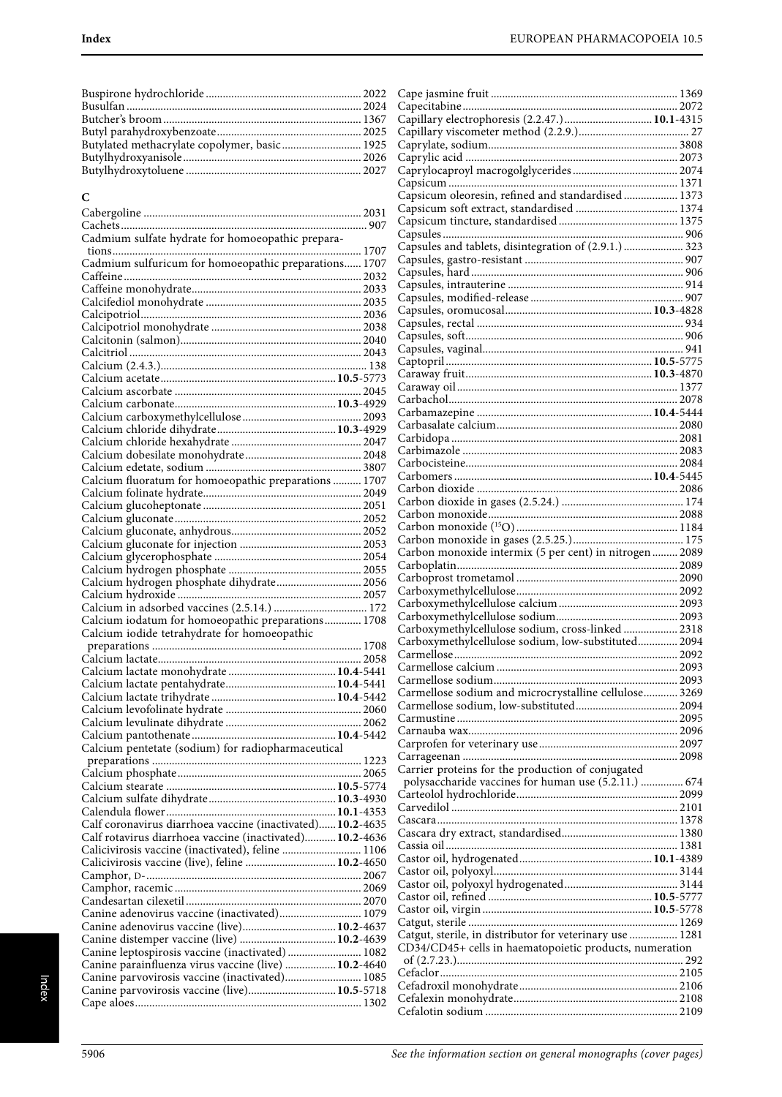Buspirone hydrochloride ....................................................... 2022 Busulfan ................................................................................... 2024 Butcher's broom ...................................................................... 1367 Butyl parahydroxybenzoate................................................... 2025 Butylated methacrylate copolymer, basic............................ 1925 Butylhydroxyanisole............................................................... 2026 Butylhydroxytoluene .............................................................. 2027

#### $\overline{a}$

| C                                                          |  |
|------------------------------------------------------------|--|
|                                                            |  |
|                                                            |  |
| Cadmium sulfate hydrate for homoeopathic prepara-          |  |
|                                                            |  |
| Cadmium sulfuricum for homoeopathic preparations 1707      |  |
|                                                            |  |
|                                                            |  |
|                                                            |  |
|                                                            |  |
|                                                            |  |
|                                                            |  |
|                                                            |  |
|                                                            |  |
|                                                            |  |
|                                                            |  |
|                                                            |  |
|                                                            |  |
|                                                            |  |
|                                                            |  |
|                                                            |  |
|                                                            |  |
|                                                            |  |
|                                                            |  |
| Calcium fluoratum for homoeopathic preparations  1707      |  |
|                                                            |  |
|                                                            |  |
|                                                            |  |
|                                                            |  |
|                                                            |  |
|                                                            |  |
|                                                            |  |
|                                                            |  |
| Calcium hydrogen phosphate dihydrate 2056                  |  |
|                                                            |  |
|                                                            |  |
| Calcium iodatum for homoeopathic preparations 1708         |  |
| Calcium iodide tetrahydrate for homoeopathic               |  |
|                                                            |  |
|                                                            |  |
|                                                            |  |
|                                                            |  |
|                                                            |  |
|                                                            |  |
|                                                            |  |
|                                                            |  |
|                                                            |  |
| Calcium pentetate (sodium) for radiopharmaceutical         |  |
|                                                            |  |
|                                                            |  |
|                                                            |  |
|                                                            |  |
|                                                            |  |
|                                                            |  |
| Calf coronavirus diarrhoea vaccine (inactivated) 10.2-4635 |  |
| Calf rotavirus diarrhoea vaccine (inactivated) 10.2-4636   |  |
| Calicivirosis vaccine (inactivated), feline  1106          |  |
| Calicivirosis vaccine (live), feline  10.2-4650            |  |
|                                                            |  |
|                                                            |  |
|                                                            |  |
|                                                            |  |
| Canine adenovirus vaccine (inactivated) 1079               |  |
| Canine adenovirus vaccine (live) 10.2-4637                 |  |
| Canine distemper vaccine (live)  10.2-4639                 |  |
| Canine leptospirosis vaccine (inactivated)  1082           |  |
| Canine parainfluenza virus vaccine (live)  10.2-4640       |  |
| Canine parvovirosis vaccine (inactivated) 1085             |  |
| Canine parvovirosis vaccine (live) 10.5-5718               |  |
|                                                            |  |
|                                                            |  |

| Capsicum oleoresin, refined and standardised 1373        |  |
|----------------------------------------------------------|--|
|                                                          |  |
|                                                          |  |
| Capsules and tablets, disintegration of (2.9.1.)  323    |  |
|                                                          |  |
|                                                          |  |
|                                                          |  |
|                                                          |  |
|                                                          |  |
|                                                          |  |
|                                                          |  |
|                                                          |  |
|                                                          |  |
|                                                          |  |
|                                                          |  |
|                                                          |  |
|                                                          |  |
|                                                          |  |
|                                                          |  |
|                                                          |  |
|                                                          |  |
|                                                          |  |
|                                                          |  |
|                                                          |  |
|                                                          |  |
|                                                          |  |
|                                                          |  |
|                                                          |  |
|                                                          |  |
| Carboxymethylcellulose sodium, cross-linked  2318        |  |
| Carboxymethylcellulose sodium, low-substituted 2094      |  |
|                                                          |  |
|                                                          |  |
| Carmellose sodium and microcrystalline cellulose 3269    |  |
|                                                          |  |
|                                                          |  |
|                                                          |  |
|                                                          |  |
| Carrier proteins for the production of conjugated        |  |
| polysaccharide vaccines for human use (5.2.11.)  674     |  |
|                                                          |  |
|                                                          |  |
|                                                          |  |
|                                                          |  |
|                                                          |  |
|                                                          |  |
|                                                          |  |
|                                                          |  |
|                                                          |  |
| Catgut, sterile, in distributor for veterinary use  1281 |  |
| CD34/CD45+ cells in haematopoietic products, numeration  |  |
|                                                          |  |
|                                                          |  |
|                                                          |  |
|                                                          |  |
|                                                          |  |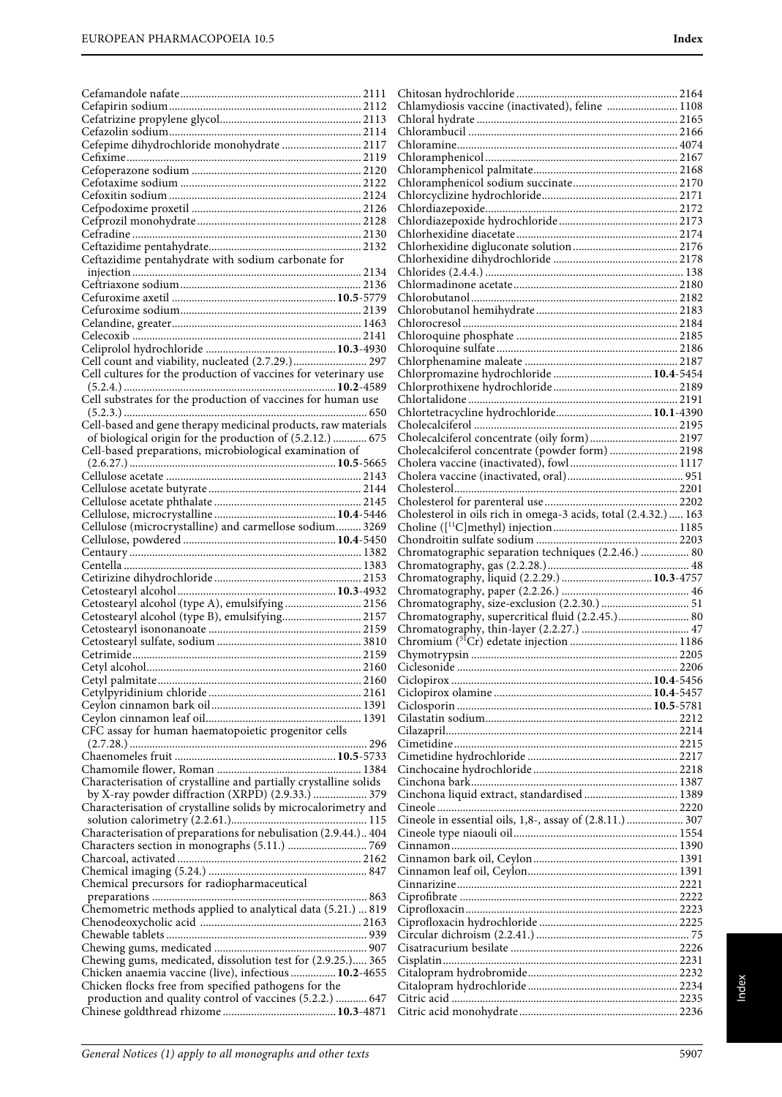|                                                                  | Chlamydiosis vaccine (inactivated), feline  1108                |  |
|------------------------------------------------------------------|-----------------------------------------------------------------|--|
|                                                                  |                                                                 |  |
|                                                                  |                                                                 |  |
| Cefepime dihydrochloride monohydrate  2117                       |                                                                 |  |
|                                                                  |                                                                 |  |
|                                                                  |                                                                 |  |
|                                                                  |                                                                 |  |
|                                                                  |                                                                 |  |
|                                                                  |                                                                 |  |
|                                                                  |                                                                 |  |
|                                                                  |                                                                 |  |
| Ceftazidime pentahydrate with sodium carbonate for               |                                                                 |  |
|                                                                  |                                                                 |  |
|                                                                  |                                                                 |  |
|                                                                  |                                                                 |  |
|                                                                  |                                                                 |  |
|                                                                  |                                                                 |  |
|                                                                  |                                                                 |  |
| Cell count and viability, nucleated (2.7.29.) 297                |                                                                 |  |
| Cell cultures for the production of vaccines for veterinary use  | Chlorpromazine hydrochloride  10.4-5454                         |  |
|                                                                  |                                                                 |  |
| Cell substrates for the production of vaccines for human use     |                                                                 |  |
|                                                                  | Chlortetracycline hydrochloride 10.1-4390                       |  |
| Cell-based and gene therapy medicinal products, raw materials    |                                                                 |  |
| of biological origin for the production of (5.2.12.)  675        | Cholecalciferol concentrate (oily form) 2197                    |  |
| Cell-based preparations, microbiological examination of          | Cholecalciferol concentrate (powder form)  2198                 |  |
|                                                                  |                                                                 |  |
|                                                                  |                                                                 |  |
|                                                                  |                                                                 |  |
|                                                                  | Cholesterol in oils rich in omega-3 acids, total (2.4.32.)  163 |  |
| Cellulose (microcrystalline) and carmellose sodium 3269          |                                                                 |  |
|                                                                  |                                                                 |  |
|                                                                  | Chromatographic separation techniques (2.2.46.)  80             |  |
|                                                                  |                                                                 |  |
|                                                                  |                                                                 |  |
|                                                                  |                                                                 |  |
| Cetostearyl alcohol (type A), emulsifying  2156                  |                                                                 |  |
| Cetostearyl alcohol (type B), emulsifying 2157                   | Chromatography, supercritical fluid (2.2.45.) 80                |  |
|                                                                  |                                                                 |  |
|                                                                  |                                                                 |  |
|                                                                  |                                                                 |  |
|                                                                  |                                                                 |  |
|                                                                  |                                                                 |  |
|                                                                  |                                                                 |  |
|                                                                  |                                                                 |  |
| CFC assay for human haematopoietic progenitor cells              |                                                                 |  |
|                                                                  |                                                                 |  |
|                                                                  |                                                                 |  |
|                                                                  |                                                                 |  |
|                                                                  |                                                                 |  |
| Characterisation of crystalline and partially crystalline solids |                                                                 |  |
| by X-ray powder diffraction (XRPD) (2.9.33.)  379                |                                                                 |  |
| Characterisation of crystalline solids by microcalorimetry and   |                                                                 |  |
|                                                                  | Cineole in essential oils, 1,8-, assay of (2.8.11.)  307        |  |
| Characterisation of preparations for nebulisation (2.9.44.) 404  |                                                                 |  |
|                                                                  |                                                                 |  |
|                                                                  |                                                                 |  |
| Chemical precursors for radiopharmaceutical                      |                                                                 |  |
|                                                                  |                                                                 |  |
| Chemometric methods applied to analytical data (5.21.)  819      |                                                                 |  |
|                                                                  |                                                                 |  |
|                                                                  |                                                                 |  |
|                                                                  |                                                                 |  |
| Chewing gums, medicated, dissolution test for (2.9.25.) 365      |                                                                 |  |
| Chicken anaemia vaccine (live), infectious 10.2-4655             |                                                                 |  |
| Chicken flocks free from specified pathogens for the             |                                                                 |  |
| production and quality control of vaccines (5.2.2.)  647         |                                                                 |  |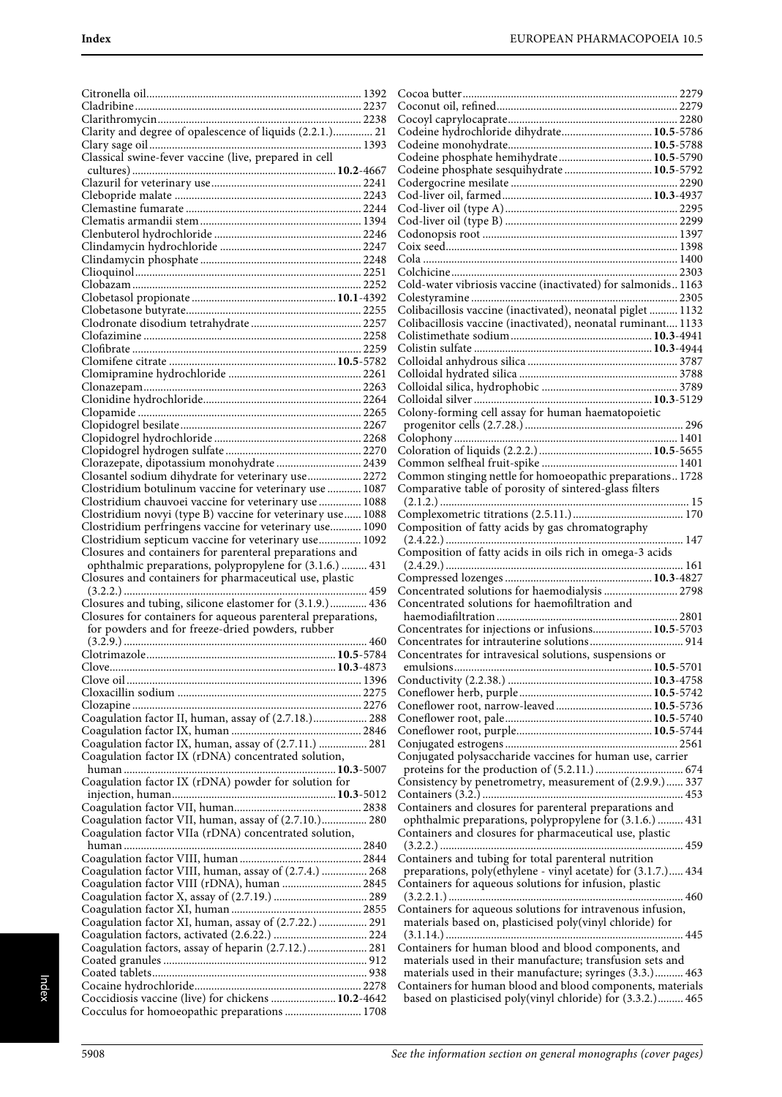| Clarity and degree of opalescence of liquids (2.2.1.) 21                                           |  |
|----------------------------------------------------------------------------------------------------|--|
|                                                                                                    |  |
| Classical swine-fever vaccine (live, prepared in cell                                              |  |
|                                                                                                    |  |
|                                                                                                    |  |
|                                                                                                    |  |
|                                                                                                    |  |
|                                                                                                    |  |
|                                                                                                    |  |
|                                                                                                    |  |
|                                                                                                    |  |
|                                                                                                    |  |
|                                                                                                    |  |
|                                                                                                    |  |
|                                                                                                    |  |
|                                                                                                    |  |
|                                                                                                    |  |
|                                                                                                    |  |
|                                                                                                    |  |
|                                                                                                    |  |
|                                                                                                    |  |
|                                                                                                    |  |
|                                                                                                    |  |
|                                                                                                    |  |
|                                                                                                    |  |
|                                                                                                    |  |
|                                                                                                    |  |
|                                                                                                    |  |
|                                                                                                    |  |
| Clorazepate, dipotassium monohydrate  2439                                                         |  |
| Closantel sodium dihydrate for veterinary use 2272                                                 |  |
| Clostridium botulinum vaccine for veterinary use  1087                                             |  |
| Clostridium chauvoei vaccine for veterinary use  1088                                              |  |
|                                                                                                    |  |
| Clostridium novyi (type B) vaccine for veterinary use 1088                                         |  |
| Clostridium perfringens vaccine for veterinary use 1090                                            |  |
| Clostridium septicum vaccine for veterinary use 1092                                               |  |
|                                                                                                    |  |
|                                                                                                    |  |
| Closures and containers for parenteral preparations and                                            |  |
| ophthalmic preparations, polypropylene for (3.1.6.)  431                                           |  |
| Closures and containers for pharmaceutical use, plastic                                            |  |
|                                                                                                    |  |
| Closures and tubing, silicone elastomer for (3.1.9.) 436                                           |  |
| Closures for containers for aqueous parenteral preparations,                                       |  |
| for powders and for freeze-dried powders, rubber                                                   |  |
|                                                                                                    |  |
|                                                                                                    |  |
|                                                                                                    |  |
|                                                                                                    |  |
|                                                                                                    |  |
|                                                                                                    |  |
|                                                                                                    |  |
| Coagulation factor II, human, assay of (2.7.18.) 288                                               |  |
|                                                                                                    |  |
| Coagulation factor IX, human, assay of (2.7.11.)  281                                              |  |
| Coagulation factor IX (rDNA) concentrated solution,                                                |  |
|                                                                                                    |  |
|                                                                                                    |  |
|                                                                                                    |  |
|                                                                                                    |  |
|                                                                                                    |  |
| Coagulation factor VII, human, assay of (2.7.10.) 280                                              |  |
| Coagulation factor VIIa (rDNA) concentrated solution,                                              |  |
|                                                                                                    |  |
|                                                                                                    |  |
| Coagulation factor VIII, human, assay of (2.7.4.)  268                                             |  |
| Coagulation factor VIII (rDNA), human  2845                                                        |  |
|                                                                                                    |  |
|                                                                                                    |  |
|                                                                                                    |  |
| Coagulation factor XI, human, assay of (2.7.22.)  291                                              |  |
|                                                                                                    |  |
| Coagulation factors, assay of heparin (2.7.12.) 281                                                |  |
|                                                                                                    |  |
|                                                                                                    |  |
|                                                                                                    |  |
| Coccidiosis vaccine (live) for chickens  10.2-4642<br>Cocculus for homoeopathic preparations  1708 |  |

| Codeine hydrochloride dihydrate 10.5-5786                                                                                |         |
|--------------------------------------------------------------------------------------------------------------------------|---------|
|                                                                                                                          |         |
|                                                                                                                          |         |
| Codeine phosphate hemihydrate 10.5-5790                                                                                  |         |
| Codeine phosphate sesquihydrate  10.5-5792                                                                               |         |
|                                                                                                                          |         |
|                                                                                                                          |         |
|                                                                                                                          |         |
|                                                                                                                          |         |
|                                                                                                                          |         |
|                                                                                                                          |         |
|                                                                                                                          |         |
|                                                                                                                          |         |
|                                                                                                                          |         |
|                                                                                                                          |         |
|                                                                                                                          |         |
|                                                                                                                          |         |
| Cold-water vibriosis vaccine (inactivated) for salmonids 1163                                                            |         |
|                                                                                                                          |         |
|                                                                                                                          |         |
| Colibacillosis vaccine (inactivated), neonatal piglet  1132                                                              |         |
| Colibacillosis vaccine (inactivated), neonatal ruminant 1133                                                             |         |
|                                                                                                                          |         |
|                                                                                                                          |         |
|                                                                                                                          |         |
|                                                                                                                          |         |
|                                                                                                                          |         |
|                                                                                                                          |         |
|                                                                                                                          |         |
|                                                                                                                          |         |
|                                                                                                                          |         |
| Colony-forming cell assay for human haematopoietic                                                                       |         |
|                                                                                                                          |         |
|                                                                                                                          |         |
|                                                                                                                          |         |
|                                                                                                                          |         |
|                                                                                                                          |         |
|                                                                                                                          |         |
| Common stinging nettle for homoeopathic preparations 1728                                                                |         |
| Comparative table of porosity of sintered-glass filters                                                                  |         |
|                                                                                                                          |         |
|                                                                                                                          |         |
|                                                                                                                          |         |
| Composition of fatty acids by gas chromatography                                                                         |         |
|                                                                                                                          |         |
|                                                                                                                          |         |
|                                                                                                                          |         |
|                                                                                                                          |         |
|                                                                                                                          |         |
|                                                                                                                          |         |
|                                                                                                                          |         |
|                                                                                                                          |         |
| Concentrated solutions for haemodialysis  2798                                                                           |         |
| Concentrated solutions for haemofiltration and                                                                           |         |
|                                                                                                                          |         |
|                                                                                                                          |         |
| Concentrates for injections or infusions 10.5-5703                                                                       |         |
|                                                                                                                          |         |
|                                                                                                                          |         |
| Concentrates for intravesical solutions, suspensions or                                                                  |         |
|                                                                                                                          |         |
|                                                                                                                          |         |
|                                                                                                                          |         |
|                                                                                                                          |         |
|                                                                                                                          |         |
| Coneflower root, narrow-leaved 10.5-5736                                                                                 |         |
|                                                                                                                          |         |
|                                                                                                                          |         |
|                                                                                                                          |         |
|                                                                                                                          |         |
| Conjugated polysaccharide vaccines for human use, carrier                                                                |         |
|                                                                                                                          |         |
|                                                                                                                          |         |
| Consistency by penetrometry, measurement of (2.9.9.) 337                                                                 |         |
|                                                                                                                          |         |
|                                                                                                                          |         |
| Containers and closures for parenteral preparations and                                                                  |         |
| ophthalmic preparations, polypropylene for (3.1.6.)  431                                                                 |         |
|                                                                                                                          |         |
| Containers and closures for pharmaceutical use, plastic                                                                  |         |
|                                                                                                                          |         |
| Containers and tubing for total parenteral nutrition                                                                     |         |
|                                                                                                                          |         |
| preparations, poly(ethylene - vinyl acetate) for (3.1.7.) 434                                                            |         |
| Containers for aqueous solutions for infusion, plastic                                                                   |         |
|                                                                                                                          | ……. 460 |
|                                                                                                                          |         |
| Containers for aqueous solutions for intravenous infusion,                                                               |         |
| materials based on, plasticised poly(vinyl chloride) for                                                                 |         |
|                                                                                                                          |         |
|                                                                                                                          |         |
| Containers for human blood and blood components, and                                                                     |         |
| materials used in their manufacture; transfusion sets and                                                                |         |
|                                                                                                                          |         |
| materials used in their manufacture; syringes (3.3.) 463                                                                 |         |
| Containers for human blood and blood components, materials<br>based on plasticised poly(vinyl chloride) for (3.3.2.) 465 |         |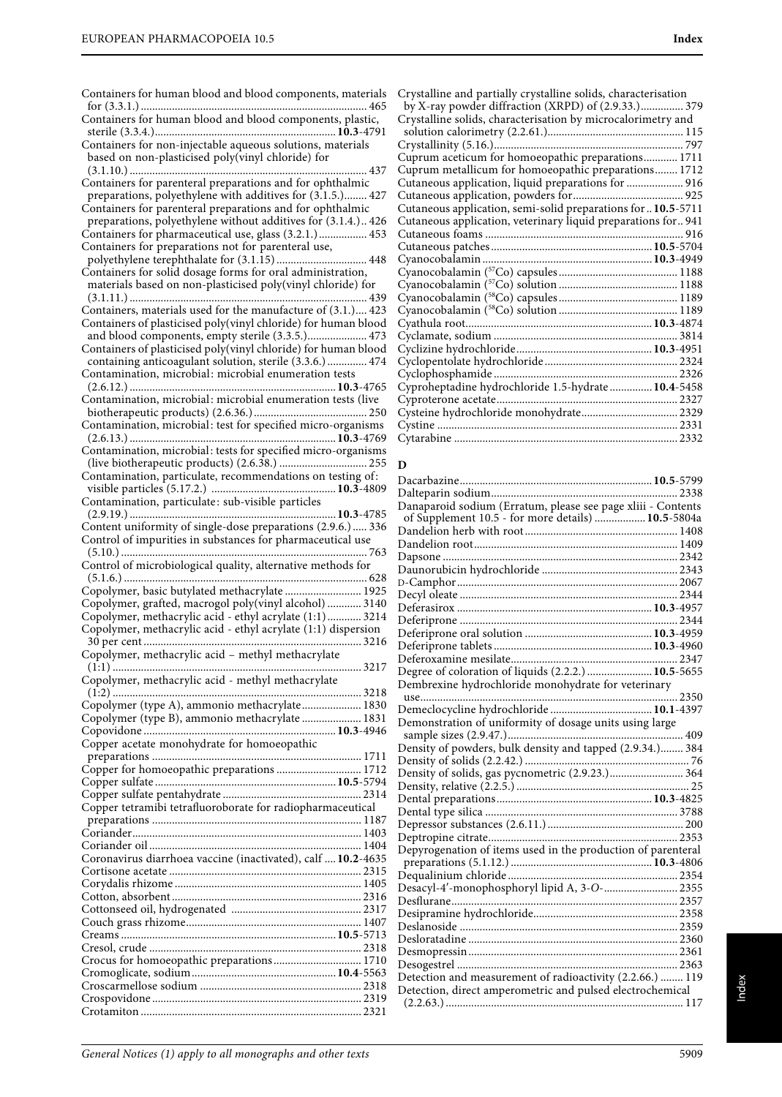| Containers for human blood and blood components, materials     |                                     |
|----------------------------------------------------------------|-------------------------------------|
|                                                                | C                                   |
| Containers for human blood and blood components, plastic,      | C                                   |
|                                                                |                                     |
| Containers for non-injectable aqueous solutions, materials     | C                                   |
| based on non-plasticised poly(vinyl chloride) for              | C                                   |
| 437                                                            | C                                   |
| Containers for parenteral preparations and for ophthalmic      | C                                   |
| preparations, polyethylene with additives for (3.1.5.) 427     | C                                   |
| Containers for parenteral preparations and for ophthalmic      | C                                   |
| preparations, polyethylene without additives for (3.1.4.) 426  | C                                   |
| Containers for pharmaceutical use, glass (3.2.1.) 453          | C                                   |
| Containers for preparations not for parenteral use,            | C                                   |
|                                                                | C                                   |
| Containers for solid dosage forms for oral administration,     | C                                   |
| materials based on non-plasticised poly(vinyl chloride) for    | C                                   |
|                                                                | C                                   |
| Containers, materials used for the manufacture of (3.1.) 423   | C                                   |
| Containers of plasticised poly(vinyl chloride) for human blood | C                                   |
| and blood components, empty sterile (3.3.5.) 473               | C                                   |
| Containers of plasticised poly(vinyl chloride) for human blood | C                                   |
| containing anticoagulant solution, sterile (3.3.6.)  474       | C                                   |
| Contamination, microbial: microbial enumeration tests          | C                                   |
|                                                                | C                                   |
| Contamination, microbial: microbial enumeration tests (live    | C                                   |
|                                                                | C                                   |
| Contamination, microbial: test for specified micro-organisms   | C                                   |
|                                                                | C                                   |
| Contamination, microbial: tests for specified micro-organisms  |                                     |
|                                                                | Г                                   |
| Contamination, particulate, recommendations on testing of:     | Г                                   |
|                                                                | Ľ                                   |
| Contamination, particulate: sub-visible particles              | $\Gamma$                            |
|                                                                |                                     |
| Content uniformity of single-dose preparations (2.9.6.)  336   | Ľ                                   |
| Control of impurities in substances for pharmaceutical use     | Γ                                   |
|                                                                | $\overline{\Gamma}$                 |
|                                                                |                                     |
|                                                                |                                     |
| Control of microbiological quality, alternative methods for    | Γ                                   |
| Copolymer, basic butylated methacrylate  1925                  | D                                   |
| Copolymer, grafted, macrogol poly(vinyl alcohol)  3140         | Ľ                                   |
| Copolymer, methacrylic acid - ethyl acrylate (1:1) 3214        | $\overline{\mathbb{L}}$             |
| Copolymer, methacrylic acid - ethyl acrylate (1:1) dispersion  | $\overline{\mathbb{L}}$             |
|                                                                | $\Gamma$<br>$\overline{\mathbb{L}}$ |
|                                                                |                                     |
| Copolymer, methacrylic acid - methyl methacrylate              | $\Gamma$<br>Г                       |
| Copolymer, methacrylic acid - methyl methacrylate              | Ľ                                   |
|                                                                |                                     |
| Copolymer (type A), ammonio methacrylate 1830                  | Ľ                                   |
| Copolymer (type B), ammonio methacrylate  1831                 | Ľ                                   |
|                                                                |                                     |
| Copper acetate monohydrate for homoeopathic                    | Γ                                   |
|                                                                | $\Gamma$                            |
| Copper for homoeopathic preparations  1712                     | $\Gamma$                            |
|                                                                | Ľ                                   |
|                                                                | $\overline{\mathbb{L}}$             |
| Copper tetramibi tetrafluoroborate for radiopharmaceutical     | $\Gamma$                            |
|                                                                | $\Gamma$                            |
|                                                                | $\overline{\mathbb{L}}$             |
|                                                                | $\Gamma$                            |
| Coronavirus diarrhoea vaccine (inactivated), calf  10.2-4635   |                                     |
|                                                                | $\overline{\mathbb{L}}$             |
|                                                                | $\Gamma$                            |
|                                                                | Ľ                                   |
|                                                                | $\Gamma$                            |
|                                                                | $\Gamma$                            |
|                                                                | $\Gamma$                            |
|                                                                | $\overline{\mathbb{L}}$             |
| Crocus for homoeopathic preparations 1710                      | $\Gamma$                            |
|                                                                | $\Gamma$                            |
|                                                                | $\overline{L}$                      |

| Crystalline and partially crystalline solids, characterisation |  |
|----------------------------------------------------------------|--|
| by X-ray powder diffraction (XRPD) of (2.9.33.) 379            |  |
| Crystalline solids, characterisation by microcalorimetry and   |  |
|                                                                |  |
|                                                                |  |
| Cuprum aceticum for homoeopathic preparations 1711             |  |
| Cuprum metallicum for homoeopathic preparations 1712           |  |
| Cutaneous application, liquid preparations for  916            |  |
|                                                                |  |
| Cutaneous application, semi-solid preparations for  10.5-5711  |  |
| Cutaneous application, veterinary liquid preparations for 941  |  |
|                                                                |  |
|                                                                |  |
|                                                                |  |
|                                                                |  |
|                                                                |  |
|                                                                |  |
|                                                                |  |
|                                                                |  |
|                                                                |  |
|                                                                |  |
|                                                                |  |
|                                                                |  |
| Cyproheptadine hydrochloride 1.5-hydrate  10.4-5458            |  |
|                                                                |  |
|                                                                |  |
|                                                                |  |
|                                                                |  |
|                                                                |  |

#### **D**

|                                                              | 2338 |
|--------------------------------------------------------------|------|
| Danaparoid sodium (Erratum, please see page xliii - Contents |      |
| of Supplement 10.5 - for more details)  10.5-5804a           |      |
|                                                              |      |
|                                                              |      |
|                                                              |      |
|                                                              |      |
|                                                              |      |
|                                                              |      |
|                                                              |      |
|                                                              |      |
|                                                              |      |
|                                                              |      |
|                                                              |      |
| Degree of coloration of liquids (2.2.2.)  10.5-5655          |      |
| Dembrexine hydrochloride monohydrate for veterinary          |      |
| use                                                          |      |
| Demeclocycline hydrochloride  10.1-4397                      |      |
| Demonstration of uniformity of dosage units using large      |      |
|                                                              |      |
| Density of powders, bulk density and tapped (2.9.34.) 384    |      |
|                                                              |      |
| Density of solids, gas pycnometric (2.9.23.) 364             |      |
|                                                              |      |
|                                                              |      |
|                                                              |      |
|                                                              |      |
|                                                              |      |
| Depyrogenation of items used in the production of parenteral |      |
|                                                              |      |
|                                                              |      |
|                                                              |      |
|                                                              |      |
|                                                              |      |
|                                                              |      |
|                                                              |      |
|                                                              |      |
|                                                              |      |
| Detection and measurement of radioactivity (2.2.66.)  119    |      |
| Detection, direct amperometric and pulsed electrochemical    |      |
|                                                              |      |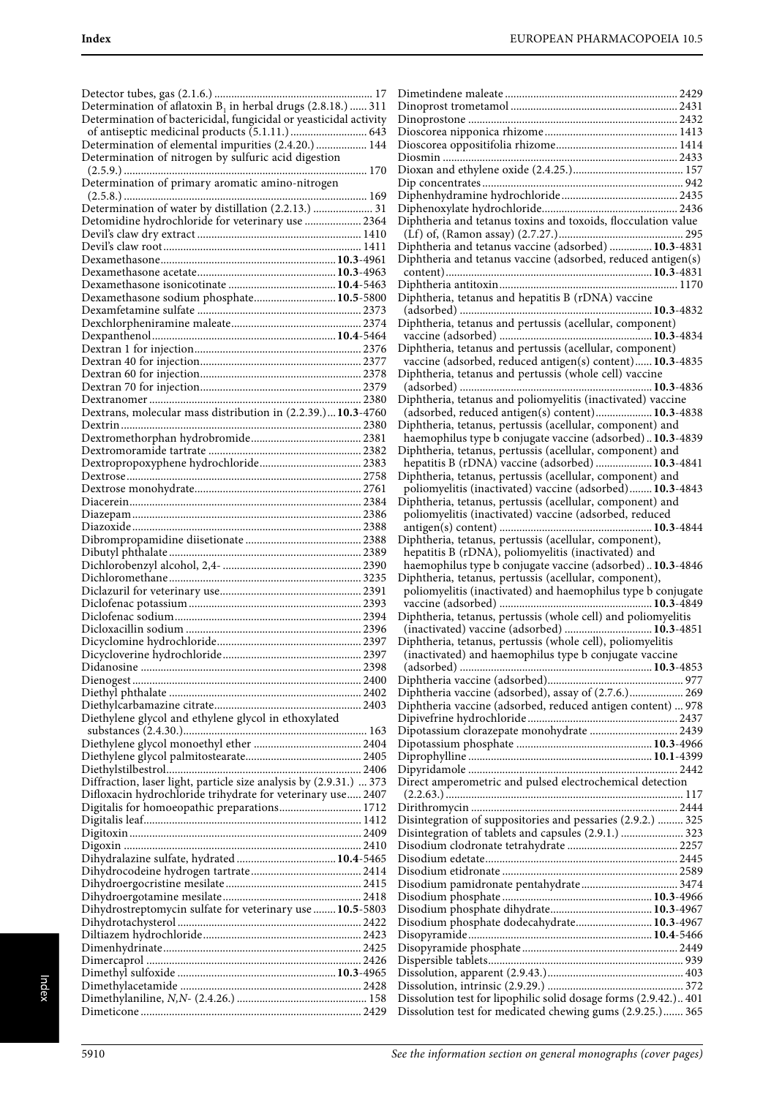| Determination of aflatoxin $B_1$ in herbal drugs (2.8.18.)  311    |  |
|--------------------------------------------------------------------|--|
| Determination of bactericidal, fungicidal or yeasticidal activity  |  |
|                                                                    |  |
|                                                                    |  |
| Determination of elemental impurities (2.4.20.)  144               |  |
| Determination of nitrogen by sulfuric acid digestion               |  |
|                                                                    |  |
| Determination of primary aromatic amino-nitrogen                   |  |
|                                                                    |  |
| 169                                                                |  |
| Determination of water by distillation (2.2.13.)  31               |  |
| Detomidine hydrochloride for veterinary use  2364                  |  |
|                                                                    |  |
|                                                                    |  |
|                                                                    |  |
|                                                                    |  |
|                                                                    |  |
|                                                                    |  |
| Dexamethasone sodium phosphate 10.5-5800                           |  |
|                                                                    |  |
|                                                                    |  |
|                                                                    |  |
|                                                                    |  |
|                                                                    |  |
|                                                                    |  |
|                                                                    |  |
|                                                                    |  |
|                                                                    |  |
|                                                                    |  |
| Dextrans, molecular mass distribution in (2.2.39.) 10.3-4760       |  |
|                                                                    |  |
|                                                                    |  |
|                                                                    |  |
|                                                                    |  |
|                                                                    |  |
|                                                                    |  |
|                                                                    |  |
|                                                                    |  |
|                                                                    |  |
|                                                                    |  |
|                                                                    |  |
|                                                                    |  |
|                                                                    |  |
|                                                                    |  |
|                                                                    |  |
|                                                                    |  |
|                                                                    |  |
|                                                                    |  |
|                                                                    |  |
|                                                                    |  |
|                                                                    |  |
|                                                                    |  |
|                                                                    |  |
|                                                                    |  |
|                                                                    |  |
|                                                                    |  |
|                                                                    |  |
|                                                                    |  |
| Diethylene glycol and ethylene glycol in ethoxylated               |  |
|                                                                    |  |
|                                                                    |  |
|                                                                    |  |
|                                                                    |  |
|                                                                    |  |
|                                                                    |  |
| Diffraction, laser light, particle size analysis by (2.9.31.)  373 |  |
| Difloxacin hydrochloride trihydrate for veterinary use 2407        |  |
| Digitalis for homoeopathic preparations 1712                       |  |
|                                                                    |  |
|                                                                    |  |
|                                                                    |  |
|                                                                    |  |
| Dihydralazine sulfate, hydrated  10.4-5465                         |  |
|                                                                    |  |
|                                                                    |  |
|                                                                    |  |
|                                                                    |  |
| Dihydrostreptomycin sulfate for veterinary use  10.5-5803          |  |
|                                                                    |  |
|                                                                    |  |
|                                                                    |  |
|                                                                    |  |
|                                                                    |  |
|                                                                    |  |
|                                                                    |  |
|                                                                    |  |
|                                                                    |  |
|                                                                    |  |

| Diphtheria and tetanus toxins and toxoids, flocculation value    |  |
|------------------------------------------------------------------|--|
|                                                                  |  |
| Diphtheria and tetanus vaccine (adsorbed)  10.3-4831             |  |
| Diphtheria and tetanus vaccine (adsorbed, reduced antigen(s)     |  |
|                                                                  |  |
|                                                                  |  |
| Diphtheria, tetanus and hepatitis B (rDNA) vaccine               |  |
|                                                                  |  |
|                                                                  |  |
| Diphtheria, tetanus and pertussis (acellular, component)         |  |
|                                                                  |  |
| Diphtheria, tetanus and pertussis (acellular, component)         |  |
| vaccine (adsorbed, reduced antigen(s) content) 10.3-4835         |  |
| Diphtheria, tetanus and pertussis (whole cell) vaccine           |  |
|                                                                  |  |
| Diphtheria, tetanus and poliomyelitis (inactivated) vaccine      |  |
| (adsorbed, reduced antigen(s) content) 10.3-4838                 |  |
|                                                                  |  |
| Diphtheria, tetanus, pertussis (acellular, component) and        |  |
| haemophilus type b conjugate vaccine (adsorbed)10.3-4839         |  |
| Diphtheria, tetanus, pertussis (acellular, component) and        |  |
| hepatitis B (rDNA) vaccine (adsorbed)  10.3-4841                 |  |
| Diphtheria, tetanus, pertussis (acellular, component) and        |  |
| poliomyelitis (inactivated) vaccine (adsorbed) 10.3-4843         |  |
| Diphtheria, tetanus, pertussis (acellular, component) and        |  |
| poliomyelitis (inactivated) vaccine (adsorbed, reduced           |  |
|                                                                  |  |
| Diphtheria, tetanus, pertussis (acellular, component),           |  |
|                                                                  |  |
| hepatitis B (rDNA), poliomyelitis (inactivated) and              |  |
| haemophilus type b conjugate vaccine (adsorbed) 10.3-4846        |  |
| Diphtheria, tetanus, pertussis (acellular, component),           |  |
| poliomyelitis (inactivated) and haemophilus type b conjugate     |  |
|                                                                  |  |
| Diphtheria, tetanus, pertussis (whole cell) and poliomyelitis    |  |
| (inactivated) vaccine (adsorbed)  10.3-4851                      |  |
| Diphtheria, tetanus, pertussis (whole cell), poliomyelitis       |  |
| (inactivated) and haemophilus type b conjugate vaccine           |  |
|                                                                  |  |
|                                                                  |  |
|                                                                  |  |
| Diphtheria vaccine (adsorbed), assay of (2.7.6.) 269             |  |
| Diphtheria vaccine (adsorbed, reduced antigen content)  978      |  |
|                                                                  |  |
| Dipotassium clorazepate monohydrate  2439                        |  |
|                                                                  |  |
|                                                                  |  |
|                                                                  |  |
| Direct amperometric and pulsed electrochemical detection         |  |
|                                                                  |  |
|                                                                  |  |
|                                                                  |  |
| Disintegration of suppositories and pessaries (2.9.2.)  325      |  |
| Disintegration of tablets and capsules (2.9.1.)  323             |  |
|                                                                  |  |
|                                                                  |  |
|                                                                  |  |
|                                                                  |  |
|                                                                  |  |
|                                                                  |  |
| Disodium phosphate dodecahydrate 10.3-4967                       |  |
|                                                                  |  |
|                                                                  |  |
|                                                                  |  |
|                                                                  |  |
|                                                                  |  |
|                                                                  |  |
| Dissolution test for lipophilic solid dosage forms (2.9.42.) 401 |  |
| Dissolution test for medicated chewing gums (2.9.25.) 365        |  |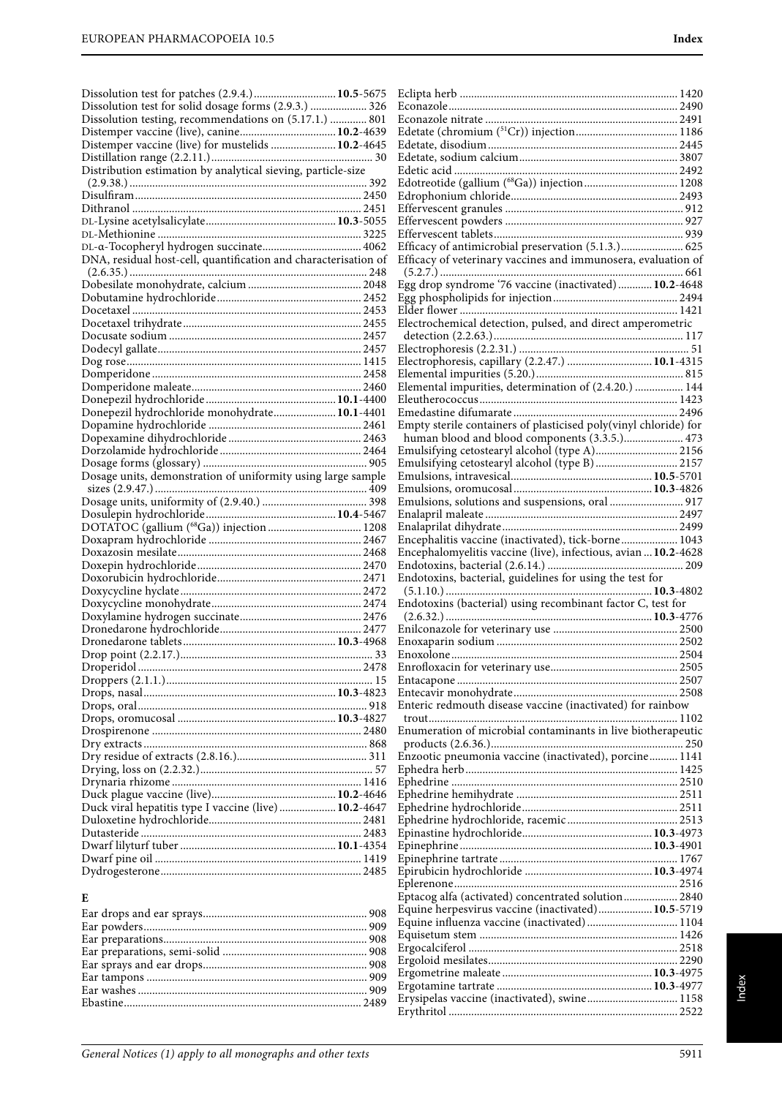| Dissolution test for patches (2.9.4.)  10.5-5675                |                                                                  |
|-----------------------------------------------------------------|------------------------------------------------------------------|
| Dissolution test for solid dosage forms (2.9.3.)  326           |                                                                  |
| Dissolution testing, recommendations on (5.17.1.)  801          |                                                                  |
|                                                                 |                                                                  |
| Distemper vaccine (live) for mustelids  10.2-4645               |                                                                  |
|                                                                 |                                                                  |
|                                                                 |                                                                  |
| Distribution estimation by analytical sieving, particle-size    |                                                                  |
|                                                                 |                                                                  |
|                                                                 |                                                                  |
|                                                                 |                                                                  |
|                                                                 |                                                                  |
|                                                                 |                                                                  |
|                                                                 | Efficacy of antimicrobial preservation (5.1.3.) 625              |
| DNA, residual host-cell, quantification and characterisation of | Efficacy of veterinary vaccines and immunosera, evaluation of    |
|                                                                 |                                                                  |
|                                                                 |                                                                  |
|                                                                 | Egg drop syndrome '76 vaccine (inactivated)  10.2-4648           |
|                                                                 |                                                                  |
|                                                                 |                                                                  |
|                                                                 | Electrochemical detection, pulsed, and direct amperometric       |
|                                                                 |                                                                  |
|                                                                 |                                                                  |
|                                                                 | Electrophoresis, capillary (2.2.47.)  10.1-4315                  |
|                                                                 |                                                                  |
|                                                                 | Elemental impurities, determination of (2.4.20.)  144            |
|                                                                 |                                                                  |
|                                                                 |                                                                  |
| Donepezil hydrochloride monohydrate 10.1-4401                   |                                                                  |
|                                                                 | Empty sterile containers of plasticised poly(vinyl chloride) for |
|                                                                 | human blood and blood components (3.3.5.) 473                    |
|                                                                 | Emulsifying cetostearyl alcohol (type A) 2156                    |
|                                                                 | Emulsifying cetostearyl alcohol (type B) 2157                    |
| Dosage units, demonstration of uniformity using large sample    |                                                                  |
|                                                                 |                                                                  |
|                                                                 | Emulsions, solutions and suspensions, oral  917                  |
|                                                                 |                                                                  |
|                                                                 |                                                                  |
|                                                                 |                                                                  |
|                                                                 | Encephalitis vaccine (inactivated), tick-borne 1043              |
|                                                                 | Encephalomyelitis vaccine (live), infectious, avian  10.2-4628   |
|                                                                 |                                                                  |
|                                                                 | Endotoxins, bacterial, guidelines for using the test for         |
|                                                                 |                                                                  |
|                                                                 | Endotoxins (bacterial) using recombinant factor C, test for      |
|                                                                 |                                                                  |
|                                                                 |                                                                  |
|                                                                 |                                                                  |
|                                                                 | 2504<br>Enoxolone                                                |
|                                                                 |                                                                  |
|                                                                 |                                                                  |
|                                                                 |                                                                  |
|                                                                 |                                                                  |
|                                                                 | Enteric redmouth disease vaccine (inactivated) for rainbow       |
|                                                                 |                                                                  |
|                                                                 | Enumeration of microbial contaminants in live biotherapeutic     |
|                                                                 |                                                                  |
|                                                                 | Enzootic pneumonia vaccine (inactivated), porcine 1141           |
|                                                                 |                                                                  |
|                                                                 |                                                                  |
|                                                                 |                                                                  |
| Duck viral hepatitis type I vaccine (live)  10.2-4647           |                                                                  |
|                                                                 |                                                                  |
|                                                                 |                                                                  |
|                                                                 |                                                                  |
|                                                                 |                                                                  |
|                                                                 |                                                                  |
|                                                                 |                                                                  |
|                                                                 |                                                                  |
|                                                                 |                                                                  |
| E                                                               | Eptacog alfa (activated) concentrated solution 2840              |
|                                                                 | Equine herpesvirus vaccine (inactivated) 10.5-5719               |

Equisetum stem ...................................................................... 1426 Ergocalciferol .......................................................................... 2518 Ergoloid mesilates................................................................... 2290 Ergometrine maleate .....................................................**10.3**-4975 Ergotamine tartrate .......................................................**10.3**-4977 Erysipelas vaccine (inactivated), swine................................ 1158 Erythritol ................................................................................. 2522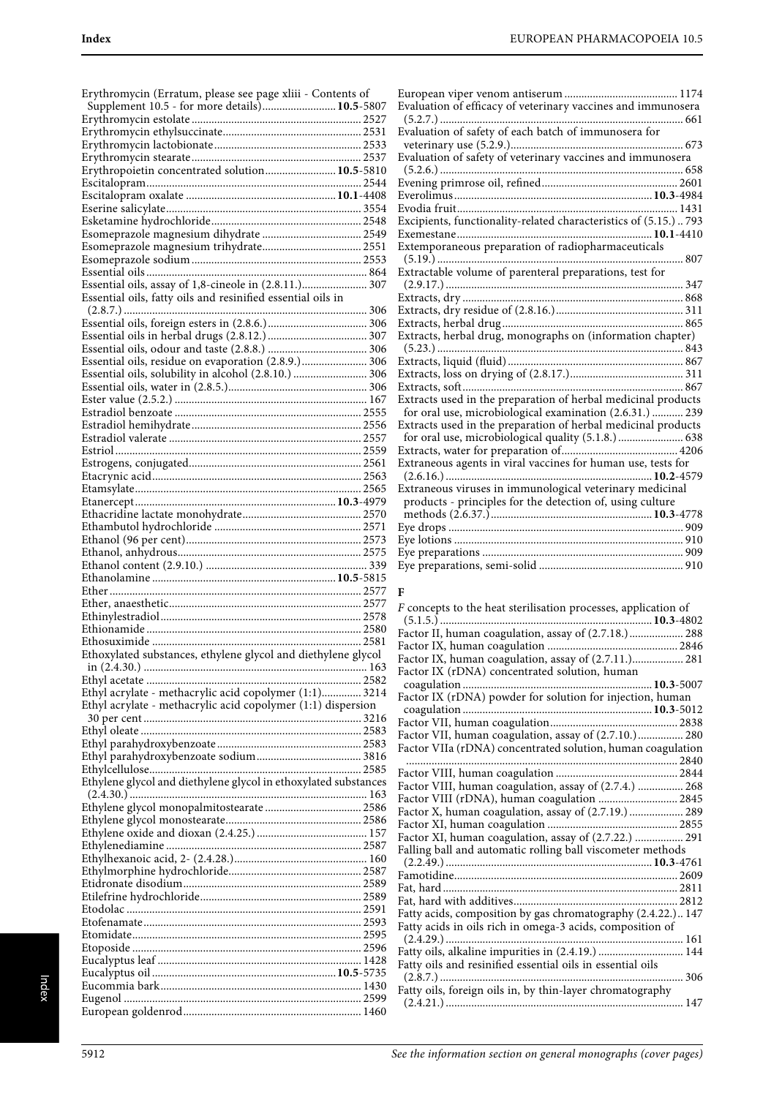Erythromycin (Erratum, please see page xliii - Contents of Supplement 10.5 - for more details)..........................**10.5**-5807 Erythromycin estolate ............................................................ 2527 Erythromycin ethylsuccinate................................................. 2531 Erythromycin lactobionate.................................................... 2533 Erythromycin stearate............................................................ 2537 Erythropoietin concentrated solution.........................**10.5**-5810 Escitalopram............................................................................ 2544 Escitalopram oxalate .....................................................**10.1**-4408 Eserine salicylate..................................................................... 3554 Esketamine hydrochloride..................................................... 2548 Esomeprazole magnesium dihydrate ................................... 2549 Esomeprazole magnesium trihydrate................................... 2551 Esomeprazole sodium ............................................................ 2553 Essential oils .............................................................................. 864 Essential oils, assay of 1,8-cineole in (2.8.11.)....................... 307 Essential oils, fatty oils and resinified essential oils in (2.8.7.) ...................................................................................... 306 Essential oils, foreign esters in (2.8.6.)................................... 306 Essential oils in herbal drugs (2.8.12.) ................................... 307 Essential oils, odour and taste (2.8.8.) ................................... 306 Essential oils, residue on evaporation (2.8.9.)....................... 306 Essential oils, solubility in alcohol (2.8.10.) .......................... 306 Essential oils, water in (2.8.5.)................................................. 306 Ester value (2.5.2.) .................................................................... 167 Estradiol benzoate .................................................................. 2555 Estradiol hemihydrate............................................................ 2556 Estradiol valerate .................................................................... 2557 Estriol ....................................................................................... 2559 Estrogens, conjugated............................................................. 2561 Etacrynic acid.......................................................................... 2563 Etamsylate................................................................................ 2565 Etanercept.......................................................................**10.3**-4979 Ethacridine lactate monohydrate.......................................... 2570 Ethambutol hydrochloride .................................................... 2571 Ethanol (96 per cent).............................................................. 2573 Ethanol, anhydrous................................................................. 2575 Ethanol content (2.9.10.) ......................................................... 339 Ethanolamine .................................................................**10.5**-5815 Ether ......................................................................................... 2577 Ether, anaesthetic.................................................................... 2577 Ethinylestradiol....................................................................... 2578 Ethionamide ............................................................................ 2580 Ethosuximide .......................................................................... 2581 Ethoxylated substances, ethylene glycol and diethylene glycol in (2.4.30.) ............................................................................... 163 Ethyl acetate ............................................................................ 2582 Ethyl acrylate - methacrylic acid copolymer (1:1).............. 3214 Ethyl acrylate - methacrylic acid copolymer (1:1) dispersion 30 per cent ............................................................................. 3216 Ethyl oleate .............................................................................. 2583 Ethyl parahydroxybenzoate ................................................... 2583 Ethyl parahydroxybenzoate sodium..................................... 3816 Ethylcellulose........................................................................... 2585 Ethylene glycol and diethylene glycol in ethoxylated substances (2.4.30.) .................................................................................... 163 Ethylene glycol monopalmitostearate .................................. 2586 Ethylene glycol monostearate................................................ 2586 Ethylene oxide and dioxan (2.4.25.) ....................................... 157 Ethylenediamine ..................................................................... 2587 Ethylhexanoic acid, 2- (2.4.28.)............................................... 160 Ethylmorphine hydrochloride............................................... 2587 Etidronate disodium............................................................... 2589 Etilefrine hydrochloride......................................................... 2589 Etodolac ................................................................................... 2591 Etofenamate............................................................................. 2593 Etomidate................................................................................. 2595 Etoposide ................................................................................. 2596 Eucalyptus leaf ........................................................................ 1428 Eucalyptus oil .................................................................**10.5**-5735 Eucommia bark....................................................................... 1430 Eugenol .................................................................................... 2599 European goldenrod............................................................... 1460

| Evaluation of efficacy of veterinary vaccines and immunosera     |  |
|------------------------------------------------------------------|--|
|                                                                  |  |
| Evaluation of safety of each batch of immunosera for             |  |
|                                                                  |  |
| Evaluation of safety of veterinary vaccines and immunosera       |  |
|                                                                  |  |
|                                                                  |  |
|                                                                  |  |
|                                                                  |  |
|                                                                  |  |
| Excipients, functionality-related characteristics of (5.15.) 793 |  |
|                                                                  |  |
| Extemporaneous preparation of radiopharmaceuticals               |  |
|                                                                  |  |
| Extractable volume of parenteral preparations, test for          |  |
|                                                                  |  |
|                                                                  |  |
|                                                                  |  |
|                                                                  |  |
| Extracts, herbal drug, monographs on (information chapter)       |  |
|                                                                  |  |
|                                                                  |  |
|                                                                  |  |
|                                                                  |  |
|                                                                  |  |
| Extracts used in the preparation of herbal medicinal products    |  |
| for oral use, microbiological examination (2.6.31.)  239         |  |
| Extracts used in the preparation of herbal medicinal products    |  |
| for oral use, microbiological quality (5.1.8.)  638              |  |
|                                                                  |  |
| Extraneous agents in viral vaccines for human use, tests for     |  |
|                                                                  |  |
| Extraneous viruses in immunological veterinary medicinal         |  |
| products - principles for the detection of, using culture        |  |
|                                                                  |  |
|                                                                  |  |
|                                                                  |  |
|                                                                  |  |
|                                                                  |  |
|                                                                  |  |
| F                                                                |  |
|                                                                  |  |
| F concepts to the heat sterilisation processes, application of   |  |
|                                                                  |  |
|                                                                  |  |

| Factor II, human coagulation, assay of (2.7.18.) 288         |     |
|--------------------------------------------------------------|-----|
|                                                              |     |
| Factor IX, human coagulation, assay of (2.7.11.) 281         |     |
| Factor IX (rDNA) concentrated solution, human                |     |
|                                                              |     |
| Factor IX (rDNA) powder for solution for injection, human    |     |
|                                                              |     |
|                                                              |     |
| Factor VII, human coagulation, assay of (2.7.10.) 280        |     |
| Factor VIIa (rDNA) concentrated solution, human coagulation  |     |
|                                                              |     |
|                                                              |     |
| Factor VIII, human coagulation, assay of (2.7.4.)  268       |     |
| Factor VIII (rDNA), human coagulation  2845                  |     |
| Factor X, human coagulation, assay of (2.7.19.)  289         |     |
|                                                              |     |
| Factor XI, human coagulation, assay of (2.7.22.)  291        |     |
| Falling ball and automatic rolling ball viscometer methods   |     |
|                                                              |     |
|                                                              |     |
|                                                              |     |
|                                                              |     |
| Fatty acids, composition by gas chromatography (2.4.22.) 147 |     |
| Fatty acids in oils rich in omega-3 acids, composition of    |     |
|                                                              |     |
| Fatty oils, alkaline impurities in (2.4.19.)  144            |     |
| Fatty oils and resinified essential oils in essential oils   |     |
| $(2.8.7.)$                                                   | 306 |
| Fatty oils, foreign oils in, by thin-layer chromatography    |     |
|                                                              |     |
|                                                              |     |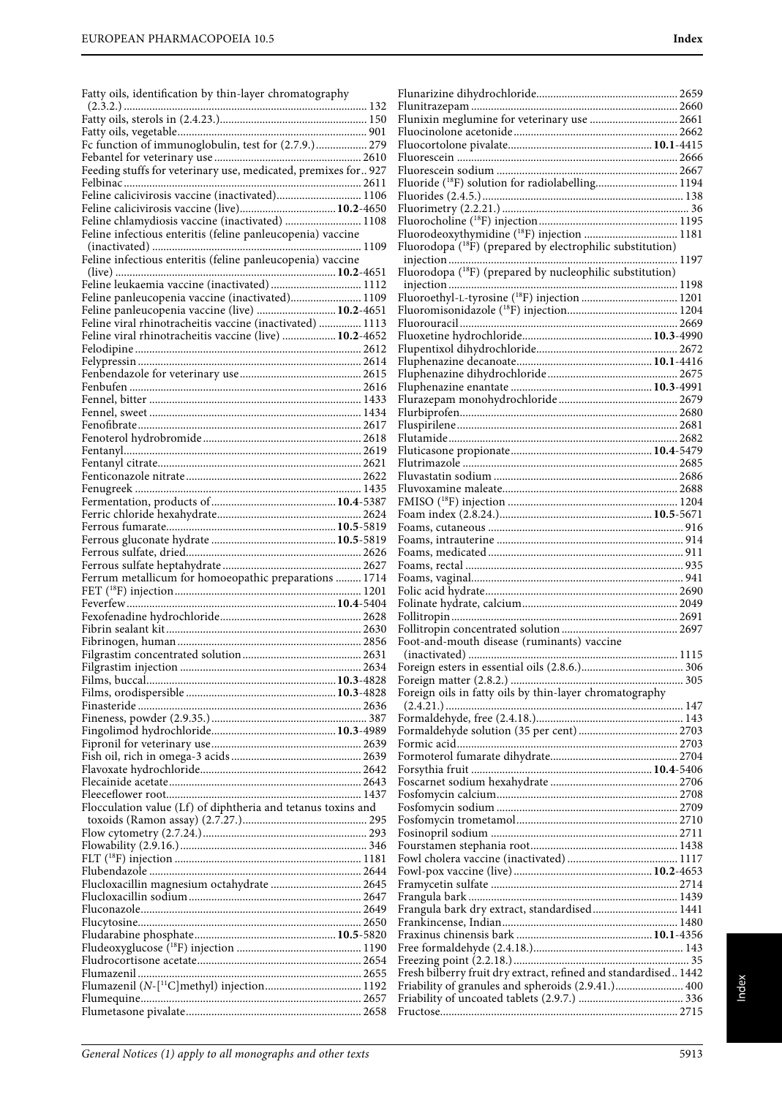Fatty oils, identification by thin-layer chromatography

| Feeding stuffs for veterinary use, medicated, premixes for 927 |  |
|----------------------------------------------------------------|--|
|                                                                |  |
| Feline calicivirosis vaccine (inactivated) 1106                |  |
| Feline calicivirosis vaccine (live) 10.2-4650                  |  |
| Feline chlamydiosis vaccine (inactivated)  1108                |  |
| Feline infectious enteritis (feline panleucopenia) vaccine     |  |
|                                                                |  |
| Feline infectious enteritis (feline panleucopenia) vaccine     |  |
| Feline leukaemia vaccine (inactivated)  1112                   |  |
| Feline panleucopenia vaccine (inactivated) 1109                |  |
| Feline panleucopenia vaccine (live)  10.2-4651                 |  |
| Feline viral rhinotracheitis vaccine (inactivated)  1113       |  |
| Feline viral rhinotracheitis vaccine (live)  10.2-4652         |  |
|                                                                |  |
|                                                                |  |
|                                                                |  |
|                                                                |  |
|                                                                |  |
|                                                                |  |
|                                                                |  |
|                                                                |  |
|                                                                |  |
|                                                                |  |
|                                                                |  |
|                                                                |  |
|                                                                |  |
|                                                                |  |
|                                                                |  |
|                                                                |  |
|                                                                |  |
| Ferrum metallicum for homoeopathic preparations  1714          |  |
|                                                                |  |
|                                                                |  |
|                                                                |  |
|                                                                |  |
|                                                                |  |
|                                                                |  |
|                                                                |  |
|                                                                |  |
|                                                                |  |
|                                                                |  |
|                                                                |  |
|                                                                |  |
|                                                                |  |
|                                                                |  |
|                                                                |  |
| Flocculation value (Lf) of diphtheria and tetanus toxins and   |  |
|                                                                |  |
|                                                                |  |
|                                                                |  |
|                                                                |  |
| Flucloxacillin magnesium octahydrate  2645                     |  |
|                                                                |  |
|                                                                |  |
|                                                                |  |
|                                                                |  |
|                                                                |  |
|                                                                |  |
|                                                                |  |
|                                                                |  |

| Foot-and-mouth disease (ruminants) vaccine                      |  |
|-----------------------------------------------------------------|--|
|                                                                 |  |
|                                                                 |  |
|                                                                 |  |
| Foreign oils in fatty oils by thin-layer chromatography         |  |
|                                                                 |  |
|                                                                 |  |
|                                                                 |  |
|                                                                 |  |
|                                                                 |  |
|                                                                 |  |
|                                                                 |  |
|                                                                 |  |
|                                                                 |  |
|                                                                 |  |
|                                                                 |  |
|                                                                 |  |
|                                                                 |  |
| Frangula bark dry extract, standardised 1441                    |  |
|                                                                 |  |
|                                                                 |  |
|                                                                 |  |
|                                                                 |  |
| Fresh bilberry fruit dry extract, refined and standardised 1442 |  |
| Friability of granules and spheroids (2.9.41.) 400              |  |
|                                                                 |  |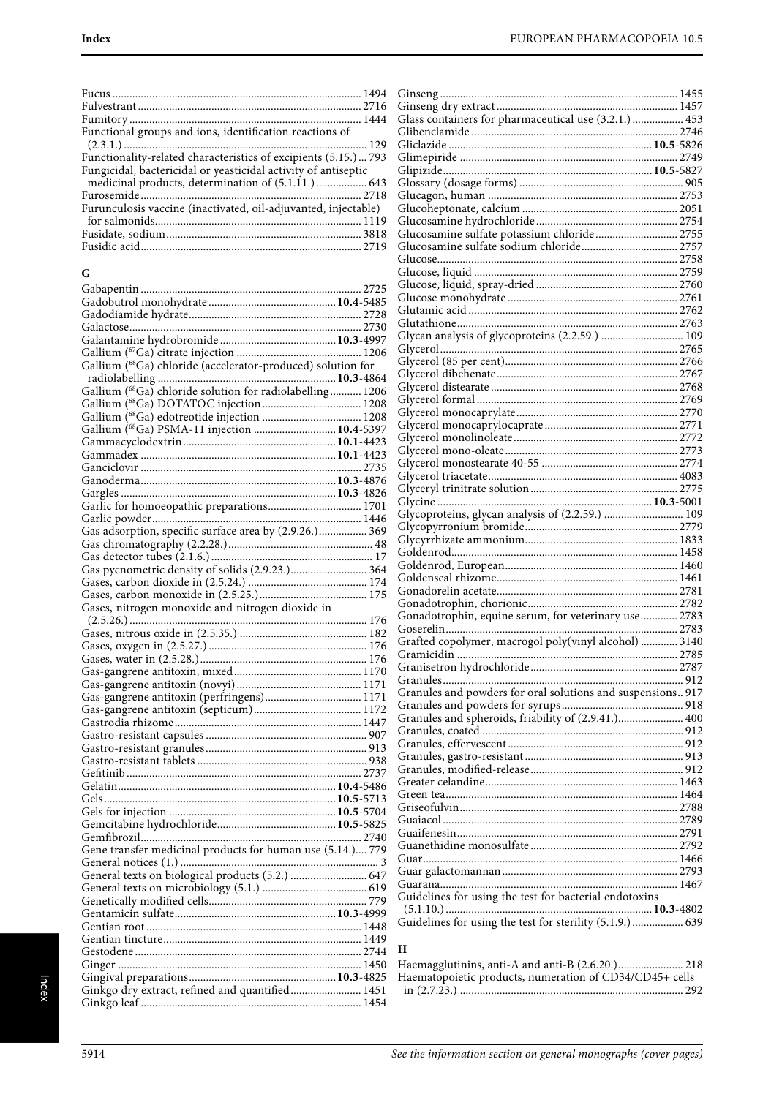| Functional groups and ions, identification reactions of          |
|------------------------------------------------------------------|
|                                                                  |
| Functionality-related characteristics of excipients (5.15.)  793 |
| Fungicidal, bactericidal or yeasticidal activity of antiseptic   |
| medicinal products, determination of (5.1.11.) 643               |
|                                                                  |
| Furunculosis vaccine (inactivated, oil-adjuvanted, injectable)   |
|                                                                  |
|                                                                  |
|                                                                  |
|                                                                  |

| ۰.      | . .<br>$\sim$ |
|---------|---------------|
| ×<br>., | I<br>۰.       |
|         |               |

| G                                                           |
|-------------------------------------------------------------|
|                                                             |
|                                                             |
|                                                             |
|                                                             |
|                                                             |
|                                                             |
|                                                             |
| Gallium (68Ga) chloride (accelerator-produced) solution for |
|                                                             |
| Gallium (68Ga) chloride solution for radiolabelling 1206    |
|                                                             |
|                                                             |
| Gallium (68Ga) PSMA-11 injection  10.4-5397                 |
|                                                             |
|                                                             |
|                                                             |
|                                                             |
|                                                             |
|                                                             |
|                                                             |
|                                                             |
| Gas adsorption, specific surface area by (2.9.26.) 369      |
|                                                             |
|                                                             |
| Gas pycnometric density of solids (2.9.23.) 364             |
|                                                             |
|                                                             |
| Gases, nitrogen monoxide and nitrogen dioxide in            |
|                                                             |
|                                                             |
|                                                             |
|                                                             |
|                                                             |
|                                                             |
| Gas-gangrene antitoxin (perfringens) 1171                   |
|                                                             |
|                                                             |
|                                                             |
|                                                             |
|                                                             |
|                                                             |
|                                                             |
|                                                             |
|                                                             |
|                                                             |
|                                                             |
|                                                             |
| Gene transfer medicinal products for human use (5.14.) 779  |
|                                                             |
| General texts on biological products (5.2.)  647            |
|                                                             |
|                                                             |
|                                                             |
|                                                             |
|                                                             |
|                                                             |
|                                                             |
|                                                             |
|                                                             |
| Ginkgo dry extract, refined and quantified 1451             |
|                                                             |

| Glass containers for pharmaceutical use (3.2.1.)  453       |  |
|-------------------------------------------------------------|--|
|                                                             |  |
|                                                             |  |
|                                                             |  |
|                                                             |  |
|                                                             |  |
|                                                             |  |
|                                                             |  |
|                                                             |  |
|                                                             |  |
| Glucosamine sulfate potassium chloride 2755                 |  |
|                                                             |  |
|                                                             |  |
|                                                             |  |
|                                                             |  |
|                                                             |  |
|                                                             |  |
|                                                             |  |
| Glycan analysis of glycoproteins (2.2.59.)  109             |  |
|                                                             |  |
|                                                             |  |
|                                                             |  |
|                                                             |  |
|                                                             |  |
|                                                             |  |
|                                                             |  |
|                                                             |  |
|                                                             |  |
|                                                             |  |
|                                                             |  |
|                                                             |  |
|                                                             |  |
|                                                             |  |
|                                                             |  |
| Glycoproteins, glycan analysis of (2.2.59.)  109            |  |
|                                                             |  |
|                                                             |  |
|                                                             |  |
|                                                             |  |
|                                                             |  |
|                                                             |  |
|                                                             |  |
| Gonadotrophin, equine serum, for veterinary use 2783        |  |
|                                                             |  |
| Grafted copolymer, macrogol poly(vinyl alcohol)  3140       |  |
|                                                             |  |
|                                                             |  |
|                                                             |  |
|                                                             |  |
| Granules and powders for oral solutions and suspensions 917 |  |
|                                                             |  |
| Granules and spheroids, friability of (2.9.41.) 400         |  |
|                                                             |  |
|                                                             |  |
|                                                             |  |
|                                                             |  |
|                                                             |  |
|                                                             |  |
|                                                             |  |
|                                                             |  |
|                                                             |  |
|                                                             |  |
|                                                             |  |
|                                                             |  |
|                                                             |  |
|                                                             |  |
| Guidelines for using the test for bacterial endotoxins      |  |
|                                                             |  |
| Guidelines for using the test for sterility (5.1.9.)  639   |  |
|                                                             |  |
|                                                             |  |

#### **H**

| Haemagglutinins, anti-A and anti-B (2.6.20.) 218        |  |
|---------------------------------------------------------|--|
| Haematopoietic products, numeration of CD34/CD45+ cells |  |
|                                                         |  |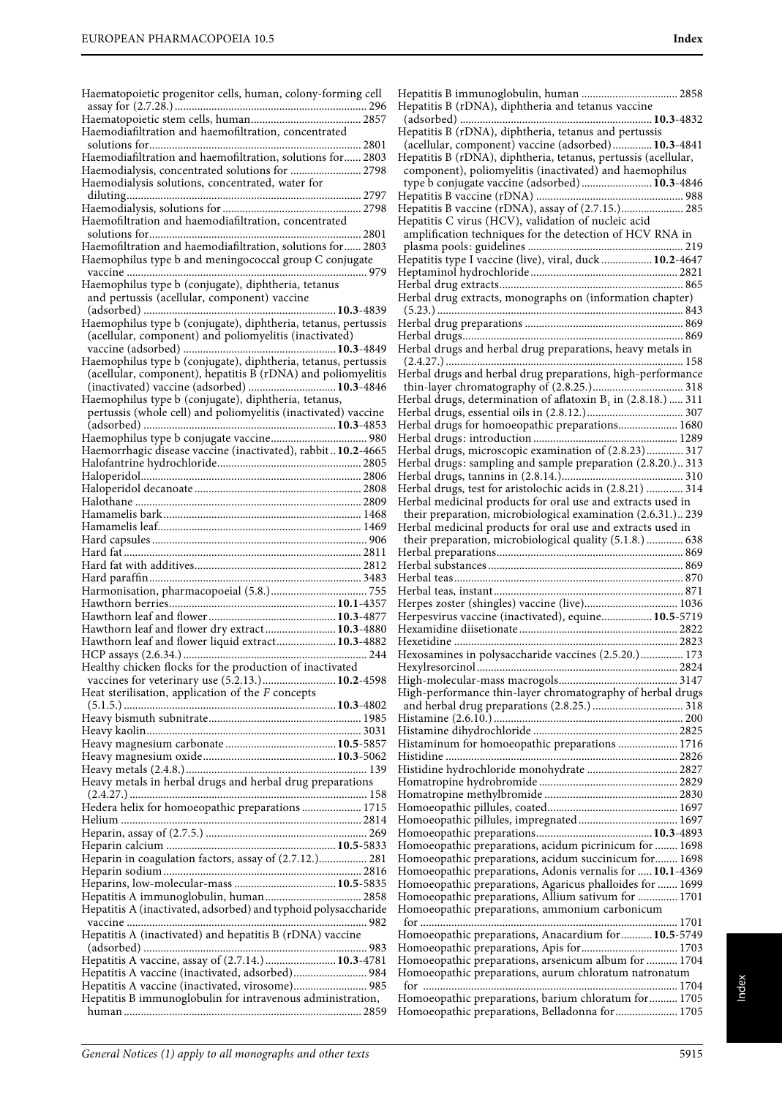| Haematopoietic progenitor cells, human, colony-forming cell                                                            |  |
|------------------------------------------------------------------------------------------------------------------------|--|
|                                                                                                                        |  |
|                                                                                                                        |  |
| Haemodiafiltration and haemofiltration, concentrated                                                                   |  |
| Haemodiafiltration and haemofiltration, solutions for 2803                                                             |  |
| Haemodialysis, concentrated solutions for  2798                                                                        |  |
| Haemodialysis solutions, concentrated, water for                                                                       |  |
|                                                                                                                        |  |
|                                                                                                                        |  |
| Haemofiltration and haemodiafiltration, concentrated                                                                   |  |
|                                                                                                                        |  |
| Haemofiltration and haemodiafiltration, solutions for 2803                                                             |  |
| Haemophilus type b and meningococcal group C conjugate                                                                 |  |
|                                                                                                                        |  |
| Haemophilus type b (conjugate), diphtheria, tetanus                                                                    |  |
| and pertussis (acellular, component) vaccine                                                                           |  |
| 10.3-4839                                                                                                              |  |
| Haemophilus type b (conjugate), diphtheria, tetanus, pertussis                                                         |  |
| (acellular, component) and poliomyelitis (inactivated)                                                                 |  |
|                                                                                                                        |  |
|                                                                                                                        |  |
| (acellular, component), hepatitis B (rDNA) and poliomyelitis                                                           |  |
| (inactivated) vaccine (adsorbed)  10.3-4846                                                                            |  |
| Haemophilus type b (conjugate), diphtheria, tetanus,<br>pertussis (whole cell) and poliomyelitis (inactivated) vaccine |  |
|                                                                                                                        |  |
|                                                                                                                        |  |
| Haemorrhagic disease vaccine (inactivated), rabbit10.2-4665                                                            |  |
|                                                                                                                        |  |
|                                                                                                                        |  |
|                                                                                                                        |  |
|                                                                                                                        |  |
|                                                                                                                        |  |
|                                                                                                                        |  |
|                                                                                                                        |  |
|                                                                                                                        |  |
|                                                                                                                        |  |
|                                                                                                                        |  |
|                                                                                                                        |  |
|                                                                                                                        |  |
|                                                                                                                        |  |
|                                                                                                                        |  |
| Hawthorn leaf and flower dry extract 10.3-4880                                                                         |  |
| Hawthorn leaf and flower liquid extract 10.3-4882                                                                      |  |
|                                                                                                                        |  |
|                                                                                                                        |  |
| vaccines for veterinary use (5.2.13.) 10.2-4598                                                                        |  |
| Heat sterilisation, application of the $F$ concepts                                                                    |  |
|                                                                                                                        |  |
|                                                                                                                        |  |
|                                                                                                                        |  |
|                                                                                                                        |  |
|                                                                                                                        |  |
| Heavy metals in herbal drugs and herbal drug preparations                                                              |  |
|                                                                                                                        |  |
| Hedera helix for homoeopathic preparations  1715                                                                       |  |
|                                                                                                                        |  |
|                                                                                                                        |  |
|                                                                                                                        |  |
| Heparin in coagulation factors, assay of (2.7.12.) 281                                                                 |  |
|                                                                                                                        |  |
|                                                                                                                        |  |
|                                                                                                                        |  |
| Hepatitis A (inactivated, adsorbed) and typhoid polysaccharide                                                         |  |
| Hepatitis A (inactivated) and hepatitis B (rDNA) vaccine                                                               |  |
|                                                                                                                        |  |
| Hepatitis A vaccine, assay of (2.7.14.)  10.3-4781                                                                     |  |
| Hepatitis A vaccine (inactivated, adsorbed) 984                                                                        |  |
| Hepatitis A vaccine (inactivated, virosome) 985                                                                        |  |
| Hepatitis B immunoglobulin for intravenous administration,                                                             |  |

| Hepatitis B immunoglobulin, human  2858                          |
|------------------------------------------------------------------|
| Hepatitis B (rDNA), diphtheria and tetanus vaccine               |
|                                                                  |
| Hepatitis B (rDNA), diphtheria, tetanus and pertussis            |
| (acellular, component) vaccine (adsorbed) 10.3-4841              |
| Hepatitis B (rDNA), diphtheria, tetanus, pertussis (acellular,   |
| component), poliomyelitis (inactivated) and haemophilus          |
| type b conjugate vaccine (adsorbed) 10.3-4846                    |
|                                                                  |
| Hepatitis B vaccine (rDNA), assay of (2.7.15.) 285               |
| Hepatitis C virus (HCV), validation of nucleic acid              |
| amplification techniques for the detection of HCV RNA in         |
|                                                                  |
| Hepatitis type I vaccine (live), viral, duck  10.2-4647          |
|                                                                  |
|                                                                  |
| Herbal drug extracts, monographs on (information chapter)        |
|                                                                  |
|                                                                  |
|                                                                  |
| Herbal drugs and herbal drug preparations, heavy metals in       |
|                                                                  |
| Herbal drugs and herbal drug preparations, high-performance      |
|                                                                  |
| Herbal drugs, determination of aflatoxin $B_1$ in (2.8.18.)  311 |
|                                                                  |
| Herbal drugs for homoeopathic preparations 1680                  |
|                                                                  |
| Herbal drugs, microscopic examination of (2.8.23) 317            |
| Herbal drugs: sampling and sample preparation (2.8.20.) 313      |
|                                                                  |
| Herbal drugs, test for aristolochic acids in (2.8.21)  314       |
| Herbal medicinal products for oral use and extracts used in      |
| their preparation, microbiological examination (2.6.31.) 239     |
| Herbal medicinal products for oral use and extracts used in      |
| their preparation, microbiological quality (5.1.8.)  638         |
|                                                                  |
|                                                                  |
|                                                                  |
|                                                                  |
| Herpes zoster (shingles) vaccine (live) 1036                     |
| Herpesvirus vaccine (inactivated), equine 10.5-5719              |
|                                                                  |
|                                                                  |
|                                                                  |
| Hexosamines in polysaccharide vaccines (2.5.20.) 173             |
|                                                                  |
|                                                                  |
| High-performance thin-layer chromatography of herbal drugs       |
|                                                                  |
|                                                                  |
|                                                                  |
| Histaminum for homoeopathic preparations  1716                   |
|                                                                  |
| Histidine hydrochloride monohydrate  2827                        |
|                                                                  |
|                                                                  |
|                                                                  |
|                                                                  |
|                                                                  |
| Homoeopathic preparations, acidum picrinicum for  1698           |
| Homoeopathic preparations, acidum succinicum for 1698            |
| Homoeopathic preparations, Adonis vernalis for  10.1-4369        |
| Homoeopathic preparations, Agaricus phalloides for  1699         |
| Homoeopathic preparations, Allium sativum for  1701              |
| Homoeopathic preparations, ammonium carbonicum                   |
|                                                                  |
| Homoeopathic preparations, Anacardium for  10.5-5749             |
|                                                                  |
| Homoeopathic preparations, arsenicum album for  1704             |
| Homoeopathic preparations, aurum chloratum natronatum            |
|                                                                  |
| Homoeopathic preparations, barium chloratum for 1705             |
| Homoeopathic preparations, Belladonna for 1705                   |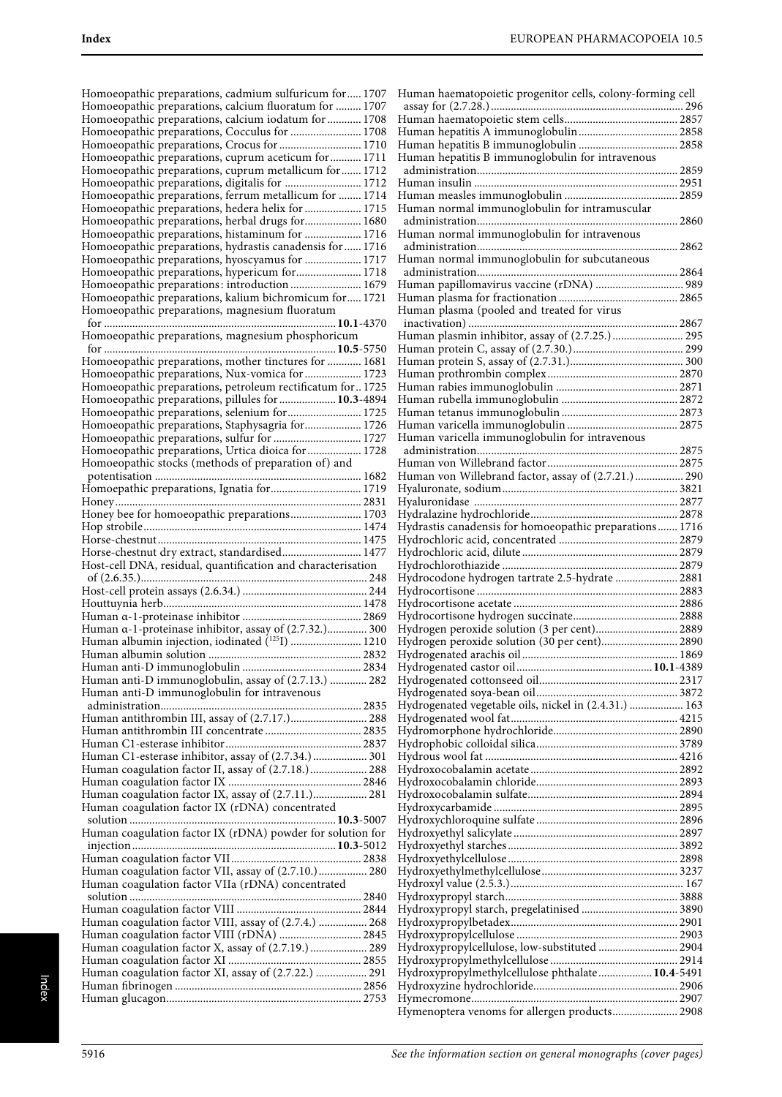| Homoeopathic preparations, cadmium sulfuricum for 1707                                                  |  |
|---------------------------------------------------------------------------------------------------------|--|
| Homoeopathic preparations, calcium fluoratum for  1707                                                  |  |
| Homoeopathic preparations, calcium iodatum for  1708                                                    |  |
| Homoeopathic preparations, Cocculus for  1708                                                           |  |
| Homoeopathic preparations, Crocus for  1710                                                             |  |
| Homoeopathic preparations, cuprum aceticum for  1711                                                    |  |
| Homoeopathic preparations, cuprum metallicum for 1712<br>Homoeopathic preparations, digitalis for  1712 |  |
| Homoeopathic preparations, ferrum metallicum for  1714                                                  |  |
| Homoeopathic preparations, hedera helix for  1715                                                       |  |
| Homoeopathic preparations, herbal drugs for 1680                                                        |  |
| Homoeopathic preparations, histaminum for  1716                                                         |  |
| Homoeopathic preparations, hydrastis canadensis for  1716                                               |  |
| Homoeopathic preparations, hyoscyamus for  1717                                                         |  |
| Homoeopathic preparations, hypericum for 1718                                                           |  |
| Homoeopathic preparations: introduction 1679<br>Homoeopathic preparations, kalium bichromicum for 1721  |  |
| Homoeopathic preparations, magnesium fluoratum                                                          |  |
|                                                                                                         |  |
| Homoeopathic preparations, magnesium phosphoricum                                                       |  |
|                                                                                                         |  |
| Homoeopathic preparations, mother tinctures for  1681                                                   |  |
| Homoeopathic preparations, Nux-vomica for  1723                                                         |  |
| Homoeopathic preparations, petroleum rectificatum for 1725                                              |  |
| Homoeopathic preparations, pillules for  10.3-4894                                                      |  |
| Homoeopathic preparations, selenium for  1725<br>Homoeopathic preparations, Staphysagria for 1726       |  |
| Homoeopathic preparations, sulfur for  1727                                                             |  |
| Homoeopathic preparations, Urtica dioica for  1728                                                      |  |
| Homoeopathic stocks (methods of preparation of) and                                                     |  |
|                                                                                                         |  |
| Homoepathic preparations, Ignatia for 1719                                                              |  |
|                                                                                                         |  |
| Honey bee for homoeopathic preparations 1703                                                            |  |
|                                                                                                         |  |
|                                                                                                         |  |
|                                                                                                         |  |
| Horse-chestnut dry extract, standardised 1477                                                           |  |
| Host-cell DNA, residual, quantification and characterisation                                            |  |
|                                                                                                         |  |
|                                                                                                         |  |
|                                                                                                         |  |
| Human a-1-proteinase inhibitor, assay of (2.7.32.) 300                                                  |  |
| Human albumin injection, iodinated (125I)  1210                                                         |  |
|                                                                                                         |  |
|                                                                                                         |  |
| Human anti-D immunoglobulin, assay of (2.7.13.)  282<br>Human anti-D immunoglobulin for intravenous     |  |
|                                                                                                         |  |
| Human antithrombin III, assay of (2.7.17.) 288                                                          |  |
|                                                                                                         |  |
|                                                                                                         |  |
| Human C1-esterase inhibitor, assay of (2.7.34.)  301                                                    |  |
| Human coagulation factor II, assay of (2.7.18.) 288                                                     |  |
|                                                                                                         |  |
| Human coagulation factor IX, assay of (2.7.11.) 281<br>Human coagulation factor IX (rDNA) concentrated  |  |
|                                                                                                         |  |
| Human coagulation factor IX (rDNA) powder for solution for                                              |  |
|                                                                                                         |  |
|                                                                                                         |  |
| Human coagulation factor VII, assay of (2.7.10.) 280                                                    |  |
| Human coagulation factor VIIa (rDNA) concentrated                                                       |  |
|                                                                                                         |  |
| Human coagulation factor VIII, assay of (2.7.4.)  268                                                   |  |
| Human coagulation factor VIII (rDNA)  2845                                                              |  |
| Human coagulation factor X, assay of (2.7.19.)  289                                                     |  |
|                                                                                                         |  |
| Human coagulation factor XI, assay of (2.7.22.)  291                                                    |  |
|                                                                                                         |  |

| Human haematopoietic progenitor cells, colony-forming cell |  |
|------------------------------------------------------------|--|
|                                                            |  |
|                                                            |  |
|                                                            |  |
| Human hepatitis B immunoglobulin for intravenous           |  |
|                                                            |  |
|                                                            |  |
|                                                            |  |
| Human normal immunoglobulin for intramuscular              |  |
|                                                            |  |
| Human normal immunoglobulin for intravenous                |  |
|                                                            |  |
| Human normal immunoglobulin for subcutaneous               |  |
|                                                            |  |
| Human papillomavirus vaccine (rDNA)  989                   |  |
| Human plasma (pooled and treated for virus                 |  |
|                                                            |  |
| Human plasmin inhibitor, assay of (2.7.25.) 295            |  |
|                                                            |  |
|                                                            |  |
|                                                            |  |
|                                                            |  |
|                                                            |  |
|                                                            |  |
|                                                            |  |
| Human varicella immunoglobulin for intravenous             |  |
|                                                            |  |
|                                                            |  |
| Human von Willebrand factor, assay of (2.7.21.) 290        |  |
|                                                            |  |
|                                                            |  |
|                                                            |  |
| Hydrastis canadensis for homoeopathic preparations 1716    |  |
|                                                            |  |
|                                                            |  |
|                                                            |  |
|                                                            |  |
| Hydrocodone hydrogen tartrate 2.5-hydrate  2881            |  |
|                                                            |  |
|                                                            |  |
|                                                            |  |
| Hydrogen peroxide solution (3 per cent) 2889               |  |
| Hydrogen peroxide solution (30 per cent) 2890              |  |
|                                                            |  |
|                                                            |  |
|                                                            |  |
| Hydrogenated vegetable oils, nickel in (2.4.31.)  163      |  |
|                                                            |  |
|                                                            |  |
|                                                            |  |
|                                                            |  |
|                                                            |  |
|                                                            |  |
|                                                            |  |
|                                                            |  |
|                                                            |  |
|                                                            |  |
|                                                            |  |
|                                                            |  |
|                                                            |  |
|                                                            |  |
|                                                            |  |
|                                                            |  |
|                                                            |  |
| Hydroxypropylcellulose, low-substituted  2904              |  |
|                                                            |  |
| Hydroxypropylmethylcellulose phthalate 10.4-5491           |  |
|                                                            |  |
| Hymenoptera venoms for allergen products 2908              |  |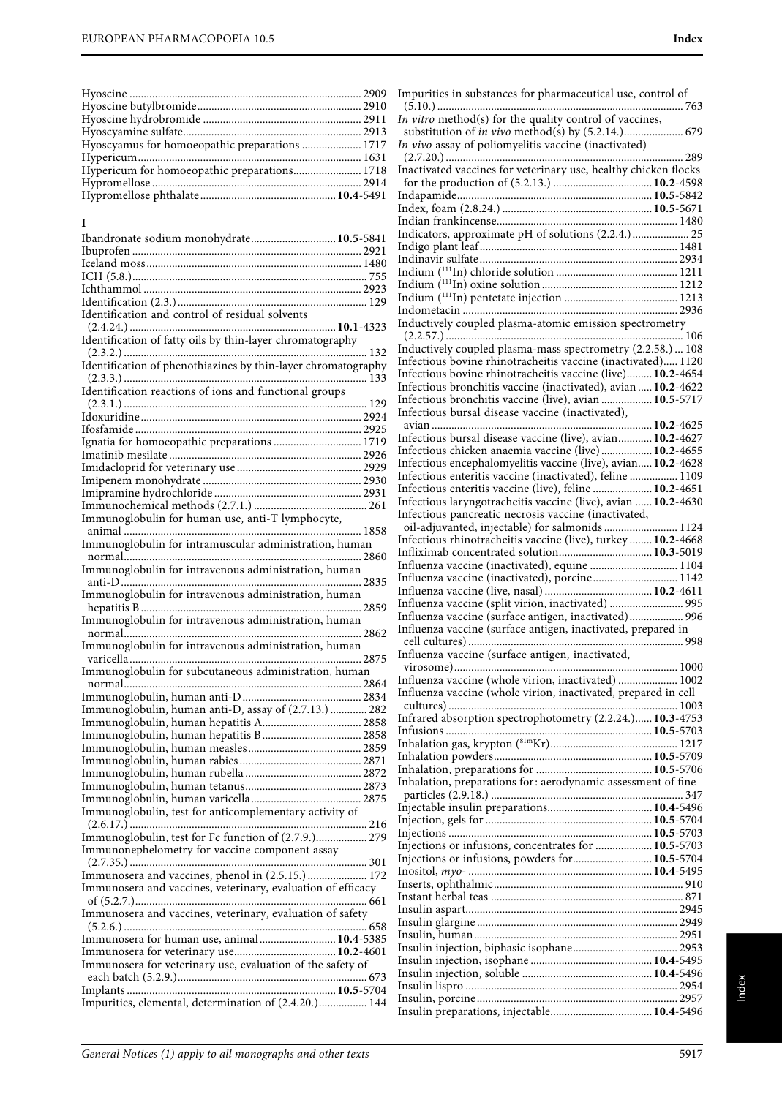| Hypericum for homoeopathic preparations 1718 |  |
|----------------------------------------------|--|
|                                              |  |
|                                              |  |
|                                              |  |

#### **I**

| Ibandronate sodium monohydrate 10.5-5841                      |  |
|---------------------------------------------------------------|--|
|                                                               |  |
|                                                               |  |
|                                                               |  |
|                                                               |  |
|                                                               |  |
| Identification and control of residual solvents               |  |
|                                                               |  |
|                                                               |  |
| Identification of fatty oils by thin-layer chromatography     |  |
|                                                               |  |
| Identification of phenothiazines by thin-layer chromatography |  |
|                                                               |  |
| Identification reactions of ions and functional groups        |  |
|                                                               |  |
|                                                               |  |
|                                                               |  |
| Ignatia for homoeopathic preparations  1719                   |  |
|                                                               |  |
|                                                               |  |
|                                                               |  |
|                                                               |  |
|                                                               |  |
|                                                               |  |
| Immunoglobulin for human use, anti-T lymphocyte,              |  |
|                                                               |  |
| Immunoglobulin for intramuscular administration, human        |  |
|                                                               |  |
| Immunoglobulin for intravenous administration, human          |  |
|                                                               |  |
| Immunoglobulin for intravenous administration, human          |  |
|                                                               |  |
| Immunoglobulin for intravenous administration, human          |  |
|                                                               |  |
| Immunoglobulin for intravenous administration, human          |  |
|                                                               |  |
|                                                               |  |
| Immunoglobulin for subcutaneous administration, human         |  |
|                                                               |  |
|                                                               |  |
| Immunoglobulin, human anti-D, assay of (2.7.13.)  282         |  |
|                                                               |  |
| Immunoglobulin, human hepatitis B 2858                        |  |
|                                                               |  |
|                                                               |  |
|                                                               |  |
|                                                               |  |
|                                                               |  |
|                                                               |  |
| Immunoglobulin, test for anticomplementary activity of        |  |
|                                                               |  |
| Immunoglobulin, test for Fc function of (2.7.9.) 279          |  |
| Immunonephelometry for vaccine component assay                |  |
|                                                               |  |
| Immunosera and vaccines, phenol in (2.5.15.)  172             |  |
| Immunosera and vaccines, veterinary, evaluation of efficacy   |  |
|                                                               |  |
| Immunosera and vaccines, veterinary, evaluation of safety     |  |
|                                                               |  |
| Immunosera for human use, animal 10.4-5385                    |  |
|                                                               |  |
| Immunosera for veterinary use, evaluation of the safety of    |  |
|                                                               |  |
|                                                               |  |
| Impurities, elemental, determination of (2.4.20.) 144         |  |
|                                                               |  |

| Impurities in substances for pharmaceutical use, control of                                                                |  |
|----------------------------------------------------------------------------------------------------------------------------|--|
|                                                                                                                            |  |
| In vitro method(s) for the quality control of vaccines,                                                                    |  |
| substitution of in vivo method(s) by (5.2.14.) 679                                                                         |  |
| In vivo assay of poliomyelitis vaccine (inactivated)                                                                       |  |
|                                                                                                                            |  |
| Inactivated vaccines for veterinary use, healthy chicken flocks                                                            |  |
|                                                                                                                            |  |
|                                                                                                                            |  |
|                                                                                                                            |  |
|                                                                                                                            |  |
| Indicators, approximate pH of solutions (2.2.4.)  25                                                                       |  |
|                                                                                                                            |  |
|                                                                                                                            |  |
|                                                                                                                            |  |
|                                                                                                                            |  |
|                                                                                                                            |  |
|                                                                                                                            |  |
| Inductively coupled plasma-atomic emission spectrometry                                                                    |  |
| Inductively coupled plasma-mass spectrometry (2.2.58.)  108                                                                |  |
|                                                                                                                            |  |
| Infectious bovine rhinotracheitis vaccine (inactivated) 1120<br>Infectious bovine rhinotracheitis vaccine (live) 10.2-4654 |  |
| Infectious bronchitis vaccine (inactivated), avian  10.2-4622                                                              |  |
| Infectious bronchitis vaccine (live), avian  10.5-5717                                                                     |  |
| Infectious bursal disease vaccine (inactivated),                                                                           |  |
|                                                                                                                            |  |
| Infectious bursal disease vaccine (live), avian 10.2-4627                                                                  |  |
| Infectious chicken anaemia vaccine (live)  10.2-4655                                                                       |  |
| Infectious encephalomyelitis vaccine (live), avian 10.2-4628                                                               |  |
| Infectious enteritis vaccine (inactivated), feline  1109                                                                   |  |
| Infectious enteritis vaccine (live), feline  10.2-4651                                                                     |  |
| Infectious laryngotracheitis vaccine (live), avian  10.2-4630                                                              |  |
| Infectious pancreatic necrosis vaccine (inactivated,                                                                       |  |
| oil-adjuvanted, injectable) for salmonids  1124                                                                            |  |
| Infectious rhinotracheitis vaccine (live), turkey  10.2-4668                                                               |  |
| Infliximab concentrated solution 10.3-5019                                                                                 |  |
| Influenza vaccine (inactivated), equine  1104                                                                              |  |
| Influenza vaccine (inactivated), porcine 1142                                                                              |  |
|                                                                                                                            |  |
| Influenza vaccine (split virion, inactivated)  995                                                                         |  |
| Influenza vaccine (surface antigen, inactivated) 996                                                                       |  |
| Influenza vaccine (surface antigen, inactivated, prepared in                                                               |  |
|                                                                                                                            |  |
| Influenza vaccine (surface antigen, inactivated,                                                                           |  |
|                                                                                                                            |  |
| Influenza vaccine (whole virion, inactivated)  1002                                                                        |  |
| Influenza vaccine (whole virion, inactivated, prepared in cell                                                             |  |
|                                                                                                                            |  |
| Infrared absorption spectrophotometry (2.2.24.) 10.3-4753                                                                  |  |
|                                                                                                                            |  |
|                                                                                                                            |  |
|                                                                                                                            |  |
|                                                                                                                            |  |
|                                                                                                                            |  |
| Inhalation, preparations for: aerodynamic assessment of fine                                                               |  |
|                                                                                                                            |  |
|                                                                                                                            |  |
|                                                                                                                            |  |
|                                                                                                                            |  |
| Injections or infusions, concentrates for  10.5-5703                                                                       |  |
|                                                                                                                            |  |
|                                                                                                                            |  |
|                                                                                                                            |  |
|                                                                                                                            |  |
|                                                                                                                            |  |
|                                                                                                                            |  |
|                                                                                                                            |  |
|                                                                                                                            |  |
|                                                                                                                            |  |
|                                                                                                                            |  |
|                                                                                                                            |  |
| Injections or infusions, powders for 10.5-5704                                                                             |  |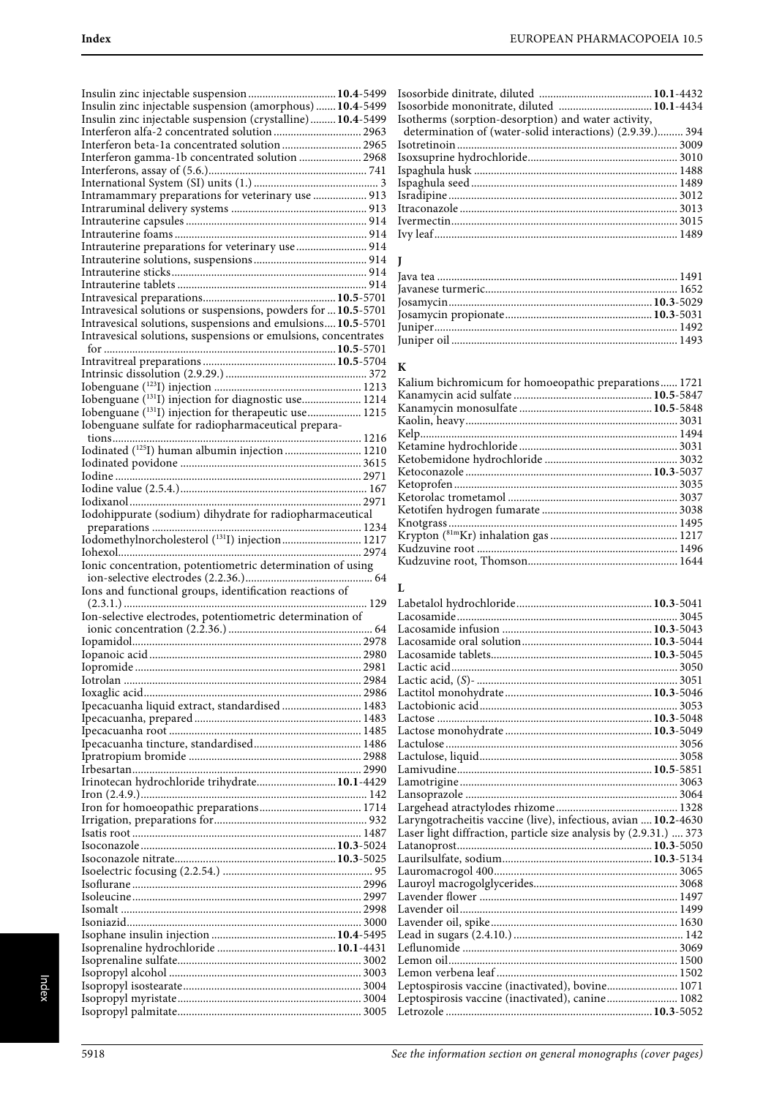| Insulin zinc injectable suspension 10.4-5499                      |  |
|-------------------------------------------------------------------|--|
| Insulin zinc injectable suspension (amorphous)  10.4-5499         |  |
| Insulin zinc injectable suspension (crystalline)10.4-5499         |  |
| Interferon alfa-2 concentrated solution  2963                     |  |
| Interferon beta-1a concentrated solution 2965                     |  |
| Interferon gamma-1b concentrated solution  2968                   |  |
|                                                                   |  |
|                                                                   |  |
| Intramammary preparations for veterinary use  913                 |  |
|                                                                   |  |
|                                                                   |  |
|                                                                   |  |
| Intrauterine preparations for veterinary use  914                 |  |
|                                                                   |  |
|                                                                   |  |
|                                                                   |  |
|                                                                   |  |
| Intravesical solutions or suspensions, powders for  10.5-5701     |  |
| Intravesical solutions, suspensions and emulsions 10.5-5701       |  |
| Intravesical solutions, suspensions or emulsions, concentrates    |  |
|                                                                   |  |
|                                                                   |  |
|                                                                   |  |
|                                                                   |  |
| Iobenguane (131I) injection for diagnostic use 1214               |  |
| Iobenguane ( <sup>131</sup> I) injection for therapeutic use 1215 |  |
| Iobenguane sulfate for radiopharmaceutical prepara-               |  |
|                                                                   |  |
| Iodinated ( <sup>125</sup> I) human albumin injection  1210       |  |
|                                                                   |  |
|                                                                   |  |
|                                                                   |  |
|                                                                   |  |
|                                                                   |  |
|                                                                   |  |
|                                                                   |  |
|                                                                   |  |
| Ionic concentration, potentiometric determination of using        |  |
|                                                                   |  |
| Ions and functional groups, identification reactions of           |  |
| Ion-selective electrodes, potentiometric determination of         |  |
|                                                                   |  |
|                                                                   |  |
|                                                                   |  |
|                                                                   |  |
|                                                                   |  |
|                                                                   |  |
|                                                                   |  |
|                                                                   |  |
| Ipecacuanha liquid extract, standardised  1483                    |  |
|                                                                   |  |
|                                                                   |  |
|                                                                   |  |
|                                                                   |  |
|                                                                   |  |
| Irinotecan hydrochloride trihydrate 10.1-4429                     |  |
|                                                                   |  |
|                                                                   |  |
|                                                                   |  |
|                                                                   |  |
|                                                                   |  |
|                                                                   |  |
|                                                                   |  |
|                                                                   |  |
|                                                                   |  |
|                                                                   |  |
|                                                                   |  |
|                                                                   |  |
|                                                                   |  |
|                                                                   |  |
|                                                                   |  |
|                                                                   |  |
|                                                                   |  |

| Isosorbide mononitrate, diluted  10.1-4434                |  |
|-----------------------------------------------------------|--|
| Isotherms (sorption-desorption) and water activity,       |  |
| determination of (water-solid interactions) (2.9.39.) 394 |  |
|                                                           |  |
|                                                           |  |
|                                                           |  |
|                                                           |  |
|                                                           |  |
|                                                           |  |
|                                                           |  |
|                                                           |  |

#### **J**

#### **K**

| Kalium bichromicum for homoeopathic preparations 1721 |  |
|-------------------------------------------------------|--|
|                                                       |  |
|                                                       |  |
|                                                       |  |
|                                                       |  |
|                                                       |  |
|                                                       |  |
|                                                       |  |
|                                                       |  |
|                                                       |  |
|                                                       |  |
|                                                       |  |
|                                                       |  |
|                                                       |  |
|                                                       |  |
|                                                       |  |

#### **L**

|                                                                   | 3053 |
|-------------------------------------------------------------------|------|
|                                                                   |      |
|                                                                   |      |
|                                                                   |      |
|                                                                   |      |
|                                                                   |      |
|                                                                   |      |
|                                                                   |      |
|                                                                   |      |
| Laryngotracheitis vaccine (live), infectious, avian  10.2-4630    |      |
| Laser light diffraction, particle size analysis by (2.9.31.)  373 |      |
|                                                                   |      |
|                                                                   |      |
|                                                                   |      |
|                                                                   |      |
|                                                                   |      |
|                                                                   |      |
|                                                                   |      |
|                                                                   |      |
|                                                                   |      |
|                                                                   |      |
|                                                                   |      |
|                                                                   |      |
| Leptospirosis vaccine (inactivated), canine 1082                  |      |
|                                                                   |      |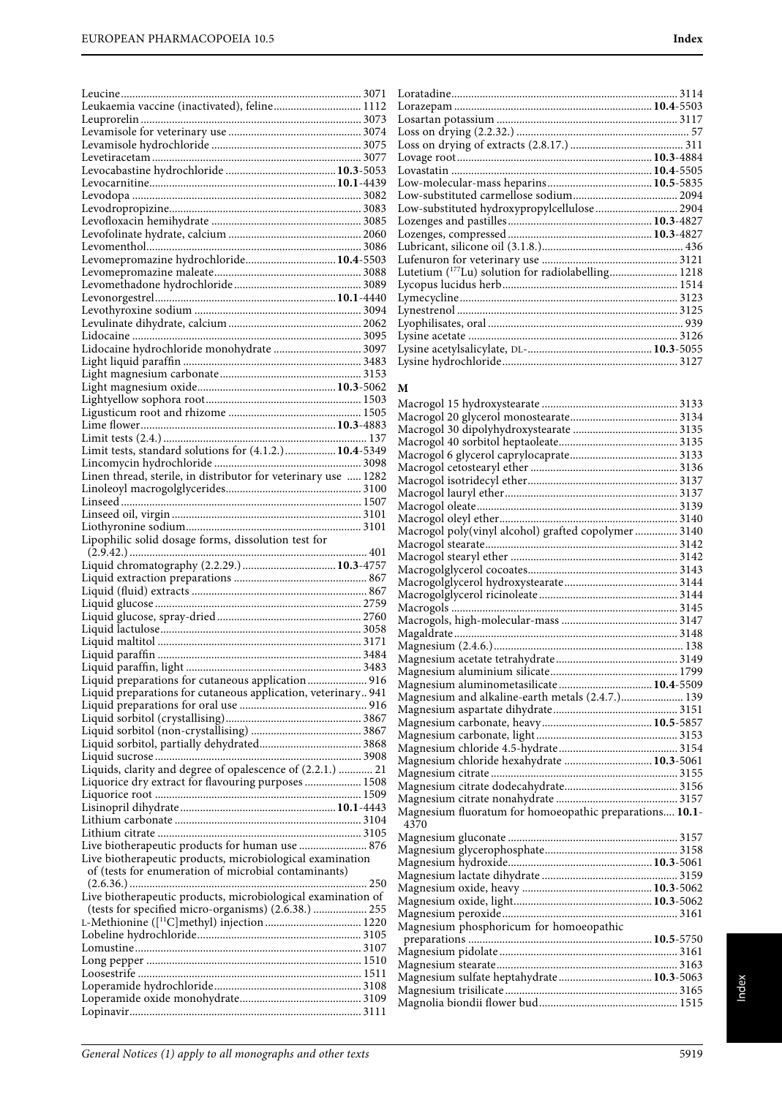| Leukaemia vaccine (inactivated), feline 1112                   |  |
|----------------------------------------------------------------|--|
|                                                                |  |
|                                                                |  |
|                                                                |  |
|                                                                |  |
|                                                                |  |
|                                                                |  |
|                                                                |  |
|                                                                |  |
|                                                                |  |
|                                                                |  |
|                                                                |  |
|                                                                |  |
|                                                                |  |
| Levomepromazine hydrochloride 10.4-5503                        |  |
|                                                                |  |
|                                                                |  |
|                                                                |  |
|                                                                |  |
|                                                                |  |
|                                                                |  |
|                                                                |  |
| Lidocaine hydrochloride monohydrate  3097                      |  |
|                                                                |  |
|                                                                |  |
|                                                                |  |
|                                                                |  |
|                                                                |  |
|                                                                |  |
|                                                                |  |
|                                                                |  |
|                                                                |  |
|                                                                |  |
|                                                                |  |
| Linen thread, sterile, in distributor for veterinary use  1282 |  |
|                                                                |  |
|                                                                |  |
|                                                                |  |
|                                                                |  |
|                                                                |  |
| Lipophilic solid dosage forms, dissolution test for            |  |
|                                                                |  |
|                                                                |  |
|                                                                |  |
|                                                                |  |
|                                                                |  |
|                                                                |  |
|                                                                |  |
|                                                                |  |
|                                                                |  |
|                                                                |  |
|                                                                |  |
|                                                                |  |
|                                                                |  |
|                                                                |  |
| Liquid preparations for cutaneous application 916              |  |
| Liquid preparations for cutaneous application, veterinary 941  |  |
|                                                                |  |
|                                                                |  |
|                                                                |  |
|                                                                |  |
|                                                                |  |
|                                                                |  |
| Liquids, clarity and degree of opalescence of (2.2.1.)  21     |  |
| Liquorice dry extract for flavouring purposes  1508            |  |
|                                                                |  |
|                                                                |  |
|                                                                |  |
|                                                                |  |
|                                                                |  |
| Live biotherapeutic products for human use  876                |  |
| Live biotherapeutic products, microbiological examination      |  |
| of (tests for enumeration of microbial contaminants)           |  |
|                                                                |  |
|                                                                |  |
| Live biotherapeutic products, microbiological examination of   |  |
| (tests for specified micro-organisms) (2.6.38.)  255           |  |
| L-Methionine ([ <sup>11</sup> C]methyl) injection  1220        |  |
|                                                                |  |
|                                                                |  |
|                                                                |  |
|                                                                |  |
|                                                                |  |
|                                                                |  |
|                                                                |  |

| Low-substituted hydroxypropylcellulose 2904                    |  |
|----------------------------------------------------------------|--|
|                                                                |  |
|                                                                |  |
|                                                                |  |
|                                                                |  |
| Lutetium ( <sup>177</sup> Lu) solution for radiolabelling 1218 |  |
|                                                                |  |
|                                                                |  |
|                                                                |  |
|                                                                |  |
|                                                                |  |
|                                                                |  |
|                                                                |  |
|                                                                |  |

#### **M**

| Macrogol poly(vinyl alcohol) grafted copolymer  3140            |  |
|-----------------------------------------------------------------|--|
|                                                                 |  |
|                                                                 |  |
|                                                                 |  |
|                                                                 |  |
|                                                                 |  |
|                                                                 |  |
|                                                                 |  |
|                                                                 |  |
|                                                                 |  |
|                                                                 |  |
|                                                                 |  |
| Magnesium aluminometasilicate 10.4-5509                         |  |
| Magnesium and alkaline-earth metals (2.4.7.) 139                |  |
|                                                                 |  |
|                                                                 |  |
|                                                                 |  |
|                                                                 |  |
|                                                                 |  |
|                                                                 |  |
| Magnesium chloride hexahydrate  10.3-5061                       |  |
|                                                                 |  |
|                                                                 |  |
|                                                                 |  |
| Magnesium fluoratum for homoeopathic preparations 10.1-<br>4370 |  |
|                                                                 |  |
|                                                                 |  |
|                                                                 |  |
|                                                                 |  |
|                                                                 |  |
|                                                                 |  |
|                                                                 |  |
|                                                                 |  |
| Magnesium phosphoricum for homoeopathic                         |  |
|                                                                 |  |
|                                                                 |  |
|                                                                 |  |
| Magnesium sulfate heptahydrate 10.3-5063                        |  |
|                                                                 |  |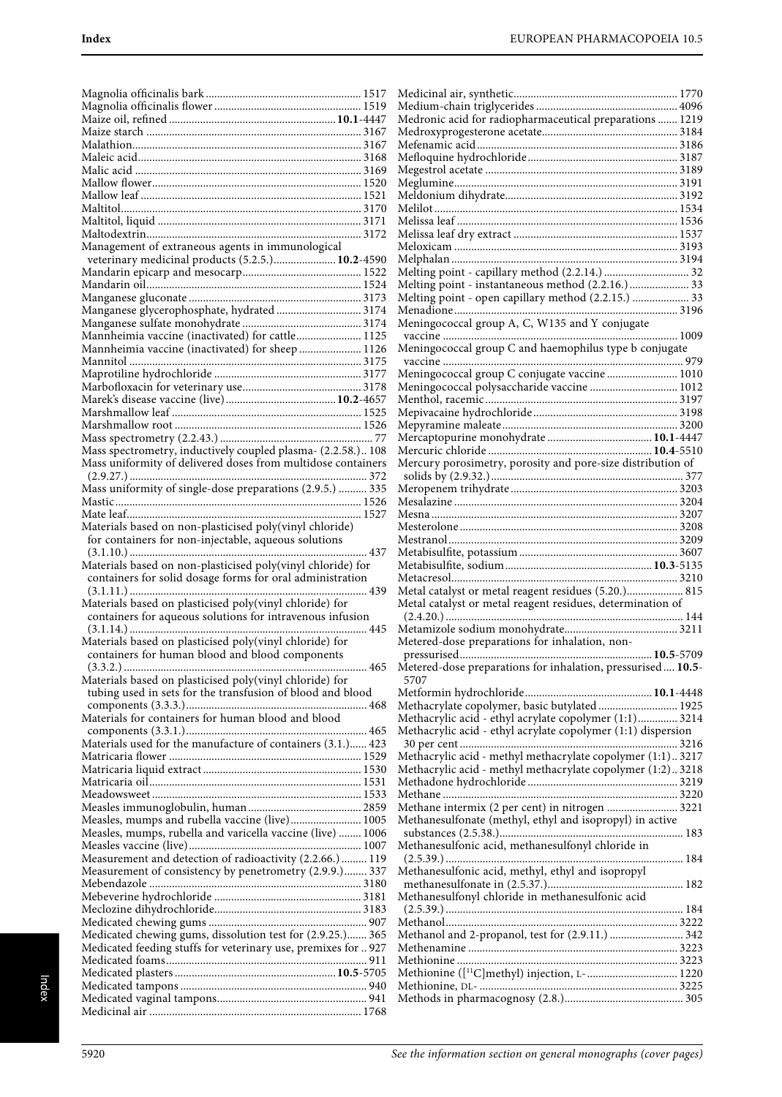| Management of extraneous agents in immunological               |
|----------------------------------------------------------------|
| veterinary medicinal products (5.2.5.) 10.2-4590               |
|                                                                |
|                                                                |
|                                                                |
|                                                                |
| Manganese glycerophosphate, hydrated  3174                     |
|                                                                |
|                                                                |
| Mannheimia vaccine (inactivated) for cattle 1125               |
| Mannheimia vaccine (inactivated) for sheep  1126               |
|                                                                |
|                                                                |
|                                                                |
|                                                                |
|                                                                |
|                                                                |
|                                                                |
|                                                                |
|                                                                |
| Mass spectrometry, inductively coupled plasma- (2.2.58.) 108   |
| Mass uniformity of delivered doses from multidose containers   |
|                                                                |
| Mass uniformity of single-dose preparations (2.9.5.)  335      |
|                                                                |
|                                                                |
|                                                                |
| Materials based on non-plasticised poly(vinyl chloride)        |
| for containers for non-injectable, aqueous solutions           |
| 437                                                            |
|                                                                |
|                                                                |
| Materials based on non-plasticised poly(vinyl chloride) for    |
| containers for solid dosage forms for oral administration      |
|                                                                |
|                                                                |
| Materials based on plasticised poly(vinyl chloride) for        |
| containers for aqueous solutions for intravenous infusion      |
| . 445                                                          |
| Materials based on plasticised poly(vinyl chloride) for        |
|                                                                |
| containers for human blood and blood components                |
| 465                                                            |
| Materials based on plasticised poly(vinyl chloride) for        |
| tubing used in sets for the transfusion of blood and blood     |
|                                                                |
| Materials for containers for human blood and blood             |
|                                                                |
|                                                                |
| Materials used for the manufacture of containers (3.1.) 423    |
|                                                                |
|                                                                |
|                                                                |
|                                                                |
|                                                                |
|                                                                |
| Measles, mumps and rubella vaccine (live) 1005                 |
| Measles, mumps, rubella and varicella vaccine (live)  1006     |
|                                                                |
|                                                                |
| Measurement and detection of radioactivity (2.2.66.)  119      |
| Measurement of consistency by penetrometry (2.9.9.) 337        |
|                                                                |
|                                                                |
|                                                                |
|                                                                |
|                                                                |
| Medicated chewing gums, dissolution test for (2.9.25.) 365     |
| Medicated feeding stuffs for veterinary use, premixes for  927 |
|                                                                |
|                                                                |
|                                                                |
|                                                                |
|                                                                |

| Medronic acid for radiopharmaceutical preparations  1219            |
|---------------------------------------------------------------------|
|                                                                     |
|                                                                     |
|                                                                     |
|                                                                     |
|                                                                     |
|                                                                     |
|                                                                     |
|                                                                     |
|                                                                     |
|                                                                     |
| Melting point - instantaneous method (2.2.16.)  33                  |
| Melting point - open capillary method (2.2.15.)  33                 |
|                                                                     |
| Meningococcal group A, C, W135 and Y conjugate                      |
|                                                                     |
| Meningococcal group C and haemophilus type b conjugate              |
|                                                                     |
| Meningococcal group C conjugate vaccine  1010                       |
| Meningococcal polysaccharide vaccine  1012                          |
|                                                                     |
|                                                                     |
|                                                                     |
|                                                                     |
| Mercury porosimetry, porosity and pore-size distribution of         |
|                                                                     |
|                                                                     |
|                                                                     |
|                                                                     |
|                                                                     |
|                                                                     |
|                                                                     |
|                                                                     |
|                                                                     |
| Metal catalyst or metal reagent residues (5.20.) 815                |
| Metal catalyst or metal reagent residues, determination of          |
|                                                                     |
|                                                                     |
| Metered-dose preparations for inhalation, non-                      |
|                                                                     |
| Metered-dose preparations for inhalation, pressurised 10.5-<br>5707 |
|                                                                     |
| Methacrylate copolymer, basic butylated  1925                       |
| Methacrylic acid - ethyl acrylate copolymer (1:1) 3214              |
| Methacrylic acid - ethyl acrylate copolymer (1:1) dispersion        |
|                                                                     |
| Methacrylic acid - methyl methacrylate copolymer (1:1)3217          |
| Methacrylic acid - methyl methacrylate copolymer (1:2)3218          |
|                                                                     |
| Methane intermix (2 per cent) in nitrogen  3221                     |
| Methanesulfonate (methyl, ethyl and isopropyl) in active            |
|                                                                     |
| Methanesulfonic acid, methanesulfonyl chloride in                   |
|                                                                     |
| Methanesulfonic acid, methyl, ethyl and isopropyl                   |
|                                                                     |
| Methanesulfonyl chloride in methanesulfonic acid                    |
|                                                                     |
| Methanol and 2-propanol, test for (2.9.11.)  342                    |
|                                                                     |
|                                                                     |
| Methionine ([ <sup>11</sup> C]methyl) injection, L- 1220            |
|                                                                     |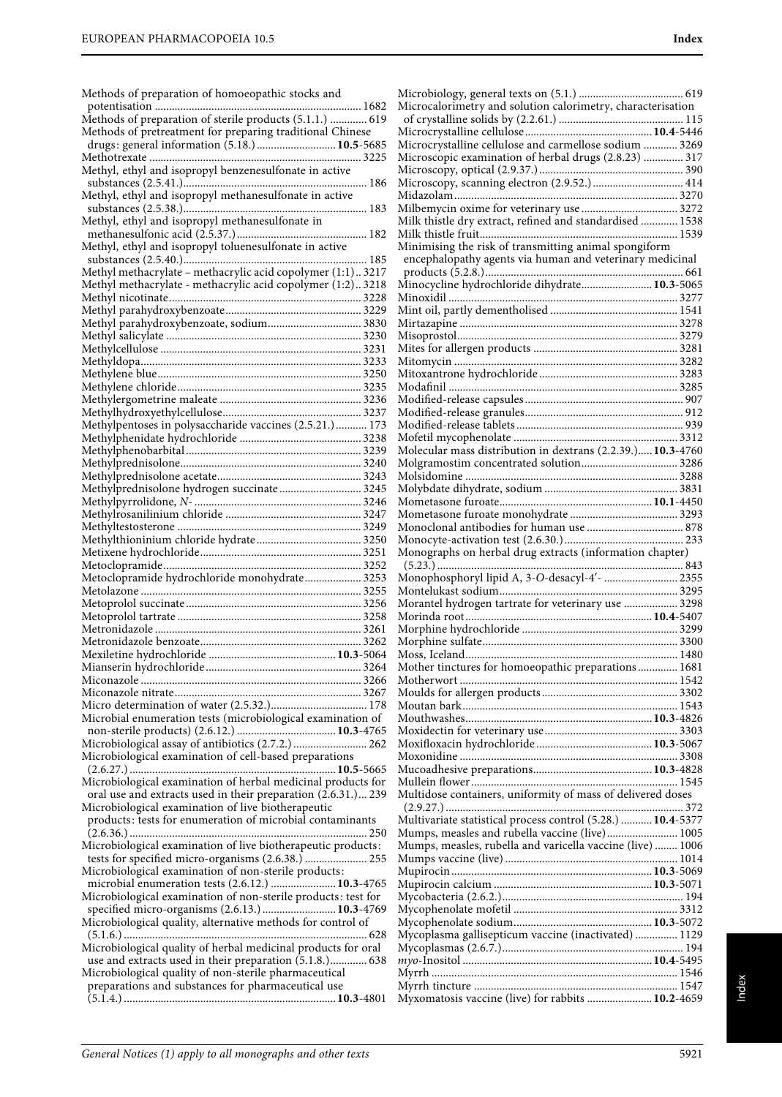Methods of preparation of homoeopathic stocks and potentisation ......................................................................... 1682

Methods of preparation of sterile products (5.1.1.) ............. 619 Methods of pretreatment for preparing traditional Chinese drugs: general information (5.18.) ............................**10.5**-5685 Methotrexate ........................................................................... 3225 Methyl, ethyl and isopropyl benzenesulfonate in active substances (2.5.41.)................................................................. 186 Methyl, ethyl and isopropyl methanesulfonate in active substances (2.5.38.)................................................................. 183 Methyl, ethyl and isopropyl methanesulfonate in methanesulfonic acid (2.5.37.).............................................. 182 Methyl, ethyl and isopropyl toluenesulfonate in active substances (2.5.40.)................................................................. 185 Methyl methacrylate – methacrylic acid copolymer (1:1).. 3217 Methyl methacrylate - methacrylic acid copolymer (1:2).. 3218 Methyl nicotinate.................................................................... 3228 Methyl parahydroxybenzoate................................................ 3229 Methyl parahydroxybenzoate, sodium................................. 3830 Methyl salicylate ..................................................................... 3230 Methylcellulose ....................................................................... 3231 Methyldopa.............................................................................. 3233 Methylene blue........................................................................ 3250 Methylene chloride................................................................. 3235 Methylergometrine maleate .................................................. 3236 Methylhydroxyethylcellulose................................................. 3237 Methylpentoses in polysaccharide vaccines (2.5.21.)........... 173 Methylphenidate hydrochloride ........................................... 3238 Methylphenobarbital .............................................................. 3239 Methylprednisolone................................................................ 3240 Methylprednisolone acetate................................................... 3243 Methylprednisolone hydrogen succinate ............................. 3245 Methylpyrrolidone, N- ........................................................... 3246 Methylrosanilinium chloride ................................................ 3247 Methyltestosterone ................................................................. 3249 Methylthioninium chloride hydrate ..................................... 3250 Metixene hydrochloride......................................................... 3251 Metoclopramide...................................................................... 3252 Metoclopramide hydrochloride monohydrate.................... 3253 Metolazone .............................................................................. 3255 Metoprolol succinate .............................................................. 3256 Metoprolol tartrate ................................................................. 3258 Metronidazole ......................................................................... 3261 Metronidazole benzoate......................................................... 3262 Mexiletine hydrochloride .............................................**10.3**-5064 Mianserin hydrochloride ....................................................... 3264 Miconazole .............................................................................. 3266 Miconazole nitrate.................................................................. 3267 Micro determination of water (2.5.32.).................................. 178 Microbial enumeration tests (microbiological examination of non-sterile products) (2.6.12.) ...................................**10.3**-4765 Microbiological assay of antibiotics (2.7.2.) .......................... 262 Microbiological examination of cell-based preparations (2.6.27.) .........................................................................**10.5**-5665 Microbiological examination of herbal medicinal products for oral use and extracts used in their preparation (2.6.31.)... 239 Microbiological examination of live biotherapeutic products: tests for enumeration of microbial contaminants (2.6.36.) .................................................................................... 250 Microbiological examination of live biotherapeutic products: tests for specified micro-organisms (2.6.38.) ...................... 255 Microbiological examination of non-sterile products: microbial enumeration tests (2.6.12.) .......................**10.3**-4765 Microbiological examination of non-sterile products: test for specified micro-organisms (2.6.13.) ..........................**10.3**-4769 Microbiological quality, alternative methods for control of (5.1.6.) ...................................................................................... 628 Microbiological quality of herbal medicinal products for oral use and extracts used in their preparation (5.1.8.)............. 638 Microbiological quality of non-sterile pharmaceutical preparations and substances for pharmaceutical use

| Microcalorimetry and solution calorimetry, characterisation                                                       |  |
|-------------------------------------------------------------------------------------------------------------------|--|
|                                                                                                                   |  |
|                                                                                                                   |  |
| Microcrystalline cellulose and carmellose sodium  3269                                                            |  |
| Microscopic examination of herbal drugs (2.8.23)  317                                                             |  |
|                                                                                                                   |  |
|                                                                                                                   |  |
|                                                                                                                   |  |
| Milk thistle dry extract, refined and standardised  1538                                                          |  |
|                                                                                                                   |  |
| Minimising the risk of transmitting animal spongiform<br>encephalopathy agents via human and veterinary medicinal |  |
|                                                                                                                   |  |
| Minocycline hydrochloride dihydrate 10.3-5065                                                                     |  |
|                                                                                                                   |  |
|                                                                                                                   |  |
|                                                                                                                   |  |
|                                                                                                                   |  |
|                                                                                                                   |  |
|                                                                                                                   |  |
|                                                                                                                   |  |
|                                                                                                                   |  |
|                                                                                                                   |  |
|                                                                                                                   |  |
| Molecular mass distribution in dextrans (2.2.39.) 10.3-4760                                                       |  |
|                                                                                                                   |  |
|                                                                                                                   |  |
|                                                                                                                   |  |
|                                                                                                                   |  |
|                                                                                                                   |  |
|                                                                                                                   |  |
| Monographs on herbal drug extracts (information chapter)                                                          |  |
|                                                                                                                   |  |
| Monophosphoryl lipid A, 3-O-desacyl-4'-  2355                                                                     |  |
|                                                                                                                   |  |
| Morantel hydrogen tartrate for veterinary use  3298                                                               |  |
|                                                                                                                   |  |
|                                                                                                                   |  |
|                                                                                                                   |  |
| Mother tinctures for homoeopathic preparations 1681                                                               |  |
|                                                                                                                   |  |
|                                                                                                                   |  |
|                                                                                                                   |  |
|                                                                                                                   |  |
|                                                                                                                   |  |
|                                                                                                                   |  |
|                                                                                                                   |  |
|                                                                                                                   |  |
| Multidose containers, uniformity of mass of delivered doses                                                       |  |
| Multivariate statistical process control (5.28.)  10.4-5377                                                       |  |
| Mumps, measles and rubella vaccine (live) 1005                                                                    |  |
| Mumps, measles, rubella and varicella vaccine (live)  1006                                                        |  |
|                                                                                                                   |  |
|                                                                                                                   |  |
|                                                                                                                   |  |
|                                                                                                                   |  |
|                                                                                                                   |  |
| Mycoplasma gallisepticum vaccine (inactivated)  1129                                                              |  |
|                                                                                                                   |  |
|                                                                                                                   |  |
|                                                                                                                   |  |
|                                                                                                                   |  |
| Myxomatosis vaccine (live) for rabbits  10.2-4659                                                                 |  |

(5.1.4.) ...........................................................................**10.3**-4801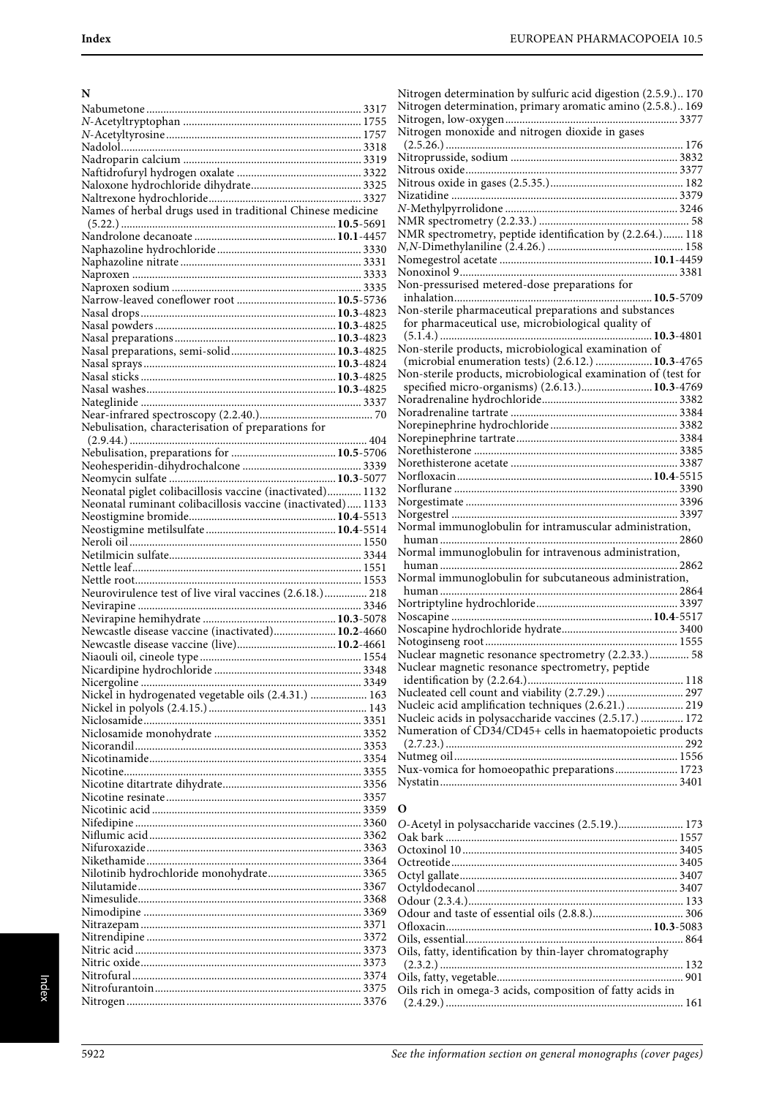| N                                                           |  |
|-------------------------------------------------------------|--|
|                                                             |  |
|                                                             |  |
|                                                             |  |
|                                                             |  |
|                                                             |  |
|                                                             |  |
| Names of herbal drugs used in traditional Chinese medicine  |  |
|                                                             |  |
|                                                             |  |
|                                                             |  |
|                                                             |  |
|                                                             |  |
|                                                             |  |
|                                                             |  |
|                                                             |  |
|                                                             |  |
|                                                             |  |
|                                                             |  |
|                                                             |  |
|                                                             |  |
| Nebulisation, characterisation of preparations for          |  |
|                                                             |  |
|                                                             |  |
|                                                             |  |
| Neonatal piglet colibacillosis vaccine (inactivated) 1132   |  |
| Neonatal ruminant colibacillosis vaccine (inactivated) 1133 |  |
|                                                             |  |
|                                                             |  |
|                                                             |  |
|                                                             |  |
|                                                             |  |
|                                                             |  |
| Neurovirulence test of live viral vaccines (2.6.18.) 218    |  |
|                                                             |  |
| Newcastle disease vaccine (inactivated) 10.2-4660           |  |
| Newcastle disease vaccine (live) 10.2-4661                  |  |
|                                                             |  |
|                                                             |  |
|                                                             |  |
|                                                             |  |
|                                                             |  |
|                                                             |  |
|                                                             |  |
|                                                             |  |
|                                                             |  |
|                                                             |  |
|                                                             |  |
|                                                             |  |
|                                                             |  |
| Nilotinib hydrochloride monohydrate 3365                    |  |
|                                                             |  |
|                                                             |  |
|                                                             |  |
|                                                             |  |
|                                                             |  |
|                                                             |  |
|                                                             |  |

| Nitrogen determination by sulfuric acid digestion (2.5.9.) 170 |  |
|----------------------------------------------------------------|--|
| Nitrogen determination, primary aromatic amino (2.5.8.) 169    |  |
|                                                                |  |
| Nitrogen monoxide and nitrogen dioxide in gases                |  |
|                                                                |  |
|                                                                |  |
|                                                                |  |
|                                                                |  |
|                                                                |  |
|                                                                |  |
|                                                                |  |
| NMR spectrometry, peptide identification by (2.2.64.)  118     |  |
|                                                                |  |
|                                                                |  |
|                                                                |  |
| Non-pressurised metered-dose preparations for                  |  |
|                                                                |  |
|                                                                |  |
| Non-sterile pharmaceutical preparations and substances         |  |
| for pharmaceutical use, microbiological quality of             |  |
|                                                                |  |
| Non-sterile products, microbiological examination of           |  |
| (microbial enumeration tests) (2.6.12.)  10.3-4765             |  |
| Non-sterile products, microbiological examination of (test for |  |
| specified micro-organisms) (2.6.13.) 10.3-4769                 |  |
|                                                                |  |
|                                                                |  |
|                                                                |  |
|                                                                |  |
|                                                                |  |
|                                                                |  |
|                                                                |  |
|                                                                |  |
|                                                                |  |
|                                                                |  |
| Normal immunoglobulin for intramuscular administration,        |  |
|                                                                |  |
| Normal immunoglobulin for intravenous administration,          |  |
|                                                                |  |
| Normal immunoglobulin for subcutaneous administration,         |  |
|                                                                |  |
|                                                                |  |
|                                                                |  |
|                                                                |  |
|                                                                |  |
| Nuclear magnetic resonance spectrometry (2.2.33.) 58           |  |
| Nuclear magnetic resonance spectrometry, peptide               |  |
|                                                                |  |
|                                                                |  |
| Nucleic acid amplification techniques (2.6.21.)  219           |  |
| Nucleic acids in polysaccharide vaccines (2.5.17.)  172        |  |
| Numeration of CD34/CD45+ cells in haematopoietic products      |  |
|                                                                |  |
|                                                                |  |
| Nux-vomica for homoeopathic preparations 1723                  |  |
|                                                                |  |
|                                                                |  |
|                                                                |  |

#### **O**

| Oils, fatty, identification by thin-layer chromatography  |  |
|-----------------------------------------------------------|--|
|                                                           |  |
|                                                           |  |
| Oils rich in omega-3 acids, composition of fatty acids in |  |
|                                                           |  |
|                                                           |  |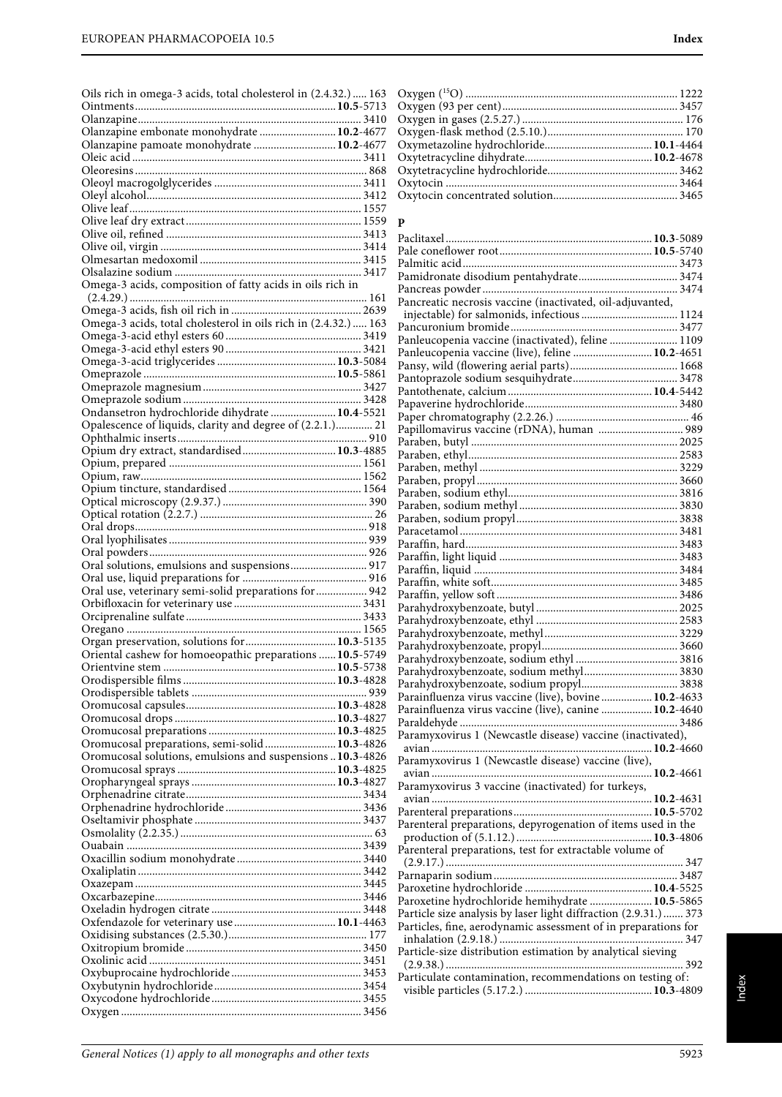| Oils rich in omega-3 acids, total cholesterol in (2.4.32.)  163 |  |
|-----------------------------------------------------------------|--|
|                                                                 |  |
|                                                                 |  |
| Olanzapine embonate monohydrate  10.2-4677                      |  |
| Olanzapine pamoate monohydrate  10.2-4677                       |  |
|                                                                 |  |
|                                                                 |  |
|                                                                 |  |
|                                                                 |  |
|                                                                 |  |
|                                                                 |  |
|                                                                 |  |
|                                                                 |  |
|                                                                 |  |
|                                                                 |  |
| Omega-3 acids, composition of fatty acids in oils rich in       |  |
|                                                                 |  |
|                                                                 |  |
| Omega-3 acids, total cholesterol in oils rich in (2.4.32.)  163 |  |
|                                                                 |  |
|                                                                 |  |
|                                                                 |  |
|                                                                 |  |
|                                                                 |  |
|                                                                 |  |
| Ondansetron hydrochloride dihydrate  10.4-5521                  |  |
| Opalescence of liquids, clarity and degree of (2.2.1.) 21       |  |
|                                                                 |  |
| Opium dry extract, standardised 10.3-4885                       |  |
|                                                                 |  |
|                                                                 |  |
|                                                                 |  |
|                                                                 |  |
|                                                                 |  |
|                                                                 |  |
|                                                                 |  |
|                                                                 |  |
|                                                                 |  |
|                                                                 |  |
| Oral solutions, emulsions and suspensions 917                   |  |
|                                                                 |  |
| Oral use, veterinary semi-solid preparations for  942           |  |
|                                                                 |  |
|                                                                 |  |
|                                                                 |  |
| Organ preservation, solutions for  10.3-5135                    |  |
| Oriental cashew for homoeopathic preparations  10.5-5749        |  |
|                                                                 |  |
|                                                                 |  |
|                                                                 |  |
|                                                                 |  |
|                                                                 |  |
|                                                                 |  |
| Oromucosal preparations, semi-solid 10.3-4826                   |  |
| Oromucosal solutions, emulsions and suspensions  10.3-4826      |  |
|                                                                 |  |
|                                                                 |  |
|                                                                 |  |
|                                                                 |  |
|                                                                 |  |
|                                                                 |  |
|                                                                 |  |
|                                                                 |  |
|                                                                 |  |
|                                                                 |  |
|                                                                 |  |
|                                                                 |  |
|                                                                 |  |
|                                                                 |  |
|                                                                 |  |
|                                                                 |  |
|                                                                 |  |
|                                                                 |  |
|                                                                 |  |
|                                                                 |  |

#### **P**

| Pancreatic necrosis vaccine (inactivated, oil-adjuvanted,        |  |
|------------------------------------------------------------------|--|
|                                                                  |  |
|                                                                  |  |
|                                                                  |  |
| Panleucopenia vaccine (live), feline  10.2-4651                  |  |
|                                                                  |  |
|                                                                  |  |
|                                                                  |  |
|                                                                  |  |
|                                                                  |  |
| Papillomavirus vaccine (rDNA), human  989                        |  |
|                                                                  |  |
|                                                                  |  |
|                                                                  |  |
|                                                                  |  |
|                                                                  |  |
|                                                                  |  |
|                                                                  |  |
|                                                                  |  |
|                                                                  |  |
|                                                                  |  |
|                                                                  |  |
|                                                                  |  |
|                                                                  |  |
|                                                                  |  |
|                                                                  |  |
|                                                                  |  |
|                                                                  |  |
| Parahydroxybenzoate, sodium methyl 3830                          |  |
|                                                                  |  |
| Parainfluenza virus vaccine (live), bovine  10.2-4633            |  |
| Parainfluenza virus vaccine (live), canine  10.2-4640            |  |
|                                                                  |  |
| Paramyxovirus 1 (Newcastle disease) vaccine (inactivated),       |  |
|                                                                  |  |
| Paramyxovirus 1 (Newcastle disease) vaccine (live),              |  |
|                                                                  |  |
| Paramyxovirus 3 vaccine (inactivated) for turkeys,               |  |
|                                                                  |  |
|                                                                  |  |
| Parenteral preparations, depyrogenation of items used in the     |  |
|                                                                  |  |
| Parenteral preparations, test for extractable volume of          |  |
|                                                                  |  |
|                                                                  |  |
|                                                                  |  |
| Paroxetine hydrochloride hemihydrate  10.5-5865                  |  |
| Particle size analysis by laser light diffraction (2.9.31.)  373 |  |
| Particles, fine, aerodynamic assessment of in preparations for   |  |
|                                                                  |  |
| Particle-size distribution estimation by analytical sieving      |  |
|                                                                  |  |
| Particulate contamination, recommendations on testing of:        |  |
|                                                                  |  |
|                                                                  |  |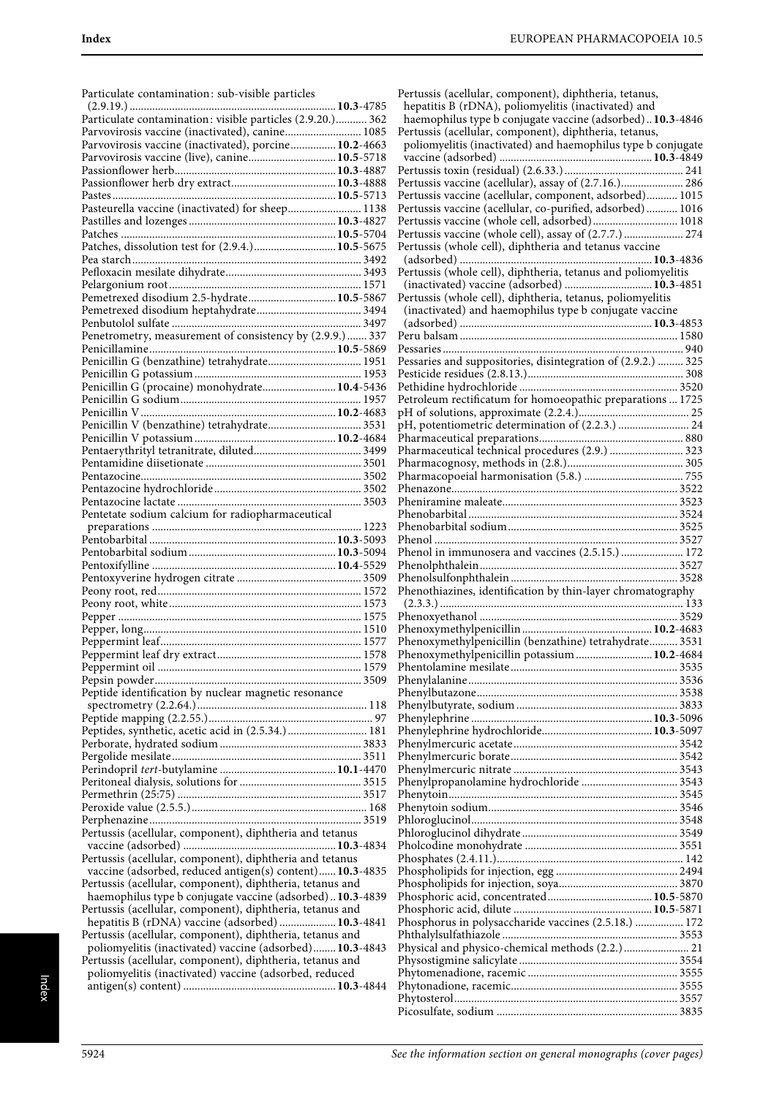| Particulate contamination: sub-visible particles                                                                       |  |
|------------------------------------------------------------------------------------------------------------------------|--|
|                                                                                                                        |  |
| Parvovirosis vaccine (inactivated), canine 1085                                                                        |  |
| Parvovirosis vaccine (inactivated), porcine 10.2-4663                                                                  |  |
| Parvovirosis vaccine (live), canine 10.5-5718                                                                          |  |
|                                                                                                                        |  |
|                                                                                                                        |  |
| Pasteurella vaccine (inactivated) for sheep 1138                                                                       |  |
|                                                                                                                        |  |
| Patches, dissolution test for (2.9.4.) 10.5-5675                                                                       |  |
|                                                                                                                        |  |
|                                                                                                                        |  |
| Pemetrexed disodium 2.5-hydrate 10.5-5867                                                                              |  |
|                                                                                                                        |  |
| Penetrometry, measurement of consistency by (2.9.9.)  337                                                              |  |
| Penicillin G (benzathine) tetrahydrate 1951                                                                            |  |
|                                                                                                                        |  |
| Penicillin G (procaine) monohydrate 10.4-5436                                                                          |  |
|                                                                                                                        |  |
|                                                                                                                        |  |
|                                                                                                                        |  |
|                                                                                                                        |  |
|                                                                                                                        |  |
|                                                                                                                        |  |
|                                                                                                                        |  |
| Pentetate sodium calcium for radiopharmaceutical                                                                       |  |
|                                                                                                                        |  |
|                                                                                                                        |  |
|                                                                                                                        |  |
|                                                                                                                        |  |
|                                                                                                                        |  |
|                                                                                                                        |  |
|                                                                                                                        |  |
|                                                                                                                        |  |
|                                                                                                                        |  |
|                                                                                                                        |  |
|                                                                                                                        |  |
| Peptide identification by nuclear magnetic resonance                                                                   |  |
|                                                                                                                        |  |
|                                                                                                                        |  |
| Peptides, synthetic, acetic acid in (2.5.34.)  181                                                                     |  |
|                                                                                                                        |  |
|                                                                                                                        |  |
|                                                                                                                        |  |
|                                                                                                                        |  |
|                                                                                                                        |  |
| Pertussis (acellular, component), diphtheria and tetanus                                                               |  |
| Pertussis (acellular, component), diphtheria and tetanus                                                               |  |
| vaccine (adsorbed, reduced antigen(s) content) 10.3-4835                                                               |  |
| Pertussis (acellular, component), diphtheria, tetanus and                                                              |  |
| haemophilus type b conjugate vaccine (adsorbed) 10.3-4839<br>Pertussis (acellular, component), diphtheria, tetanus and |  |
| hepatitis B (rDNA) vaccine (adsorbed)  10.3-4841                                                                       |  |
| Pertussis (acellular, component), diphtheria, tetanus and                                                              |  |
| poliomyelitis (inactivated) vaccine (adsorbed) 10.3-4843<br>Pertussis (acellular, component), diphtheria, tetanus and  |  |
| poliomyelitis (inactivated) vaccine (adsorbed, reduced                                                                 |  |

| Pertussis (acellular, component), diphtheria, tetanus,        |  |
|---------------------------------------------------------------|--|
|                                                               |  |
| hepatitis B (rDNA), poliomyelitis (inactivated) and           |  |
| haemophilus type b conjugate vaccine (adsorbed)10.3-4846      |  |
| Pertussis (acellular, component), diphtheria, tetanus,        |  |
| poliomyelitis (inactivated) and haemophilus type b conjugate  |  |
|                                                               |  |
|                                                               |  |
| Pertussis vaccine (acellular), assay of (2.7.16.) 286         |  |
| Pertussis vaccine (acellular, component, adsorbed) 1015       |  |
| Pertussis vaccine (acellular, co-purified, adsorbed)  1016    |  |
| Pertussis vaccine (whole cell, adsorbed) 1018                 |  |
| Pertussis vaccine (whole cell), assay of (2.7.7.)  274        |  |
| Pertussis (whole cell), diphtheria and tetanus vaccine        |  |
|                                                               |  |
|                                                               |  |
| Pertussis (whole cell), diphtheria, tetanus and poliomyelitis |  |
| (inactivated) vaccine (adsorbed)  10.3-4851                   |  |
| Pertussis (whole cell), diphtheria, tetanus, poliomyelitis    |  |
| (inactivated) and haemophilus type b conjugate vaccine        |  |
|                                                               |  |
|                                                               |  |
|                                                               |  |
| Pessaries and suppositories, disintegration of (2.9.2.)  325  |  |
|                                                               |  |
|                                                               |  |
| Petroleum rectificatum for homoeopathic preparations  1725    |  |
|                                                               |  |
| pH, potentiometric determination of (2.2.3.)  24              |  |
|                                                               |  |
| Pharmaceutical technical procedures (2.9.)  323               |  |
|                                                               |  |
|                                                               |  |
|                                                               |  |
|                                                               |  |
|                                                               |  |
|                                                               |  |
|                                                               |  |
| Phenol in immunosera and vaccines (2.5.15.)  172              |  |
|                                                               |  |
|                                                               |  |
|                                                               |  |
|                                                               |  |
| Phenothiazines, identification by thin-layer chromatography   |  |
|                                                               |  |
|                                                               |  |
|                                                               |  |
| Phenoxymethylpenicillin (benzathine) tetrahydrate 3531        |  |
| Phenoxymethylpenicillin potassium  10.2-4684                  |  |
|                                                               |  |
|                                                               |  |
|                                                               |  |
|                                                               |  |
|                                                               |  |
|                                                               |  |
|                                                               |  |
|                                                               |  |
|                                                               |  |
| Phenylpropanolamine hydrochloride  3543                       |  |
|                                                               |  |
|                                                               |  |
|                                                               |  |
|                                                               |  |
|                                                               |  |
|                                                               |  |
|                                                               |  |
|                                                               |  |
|                                                               |  |
|                                                               |  |
|                                                               |  |
| Phosphorus in polysaccharide vaccines (2.5.18.)  172          |  |
|                                                               |  |
| Physical and physico-chemical methods (2.2.) 21               |  |
|                                                               |  |
|                                                               |  |
|                                                               |  |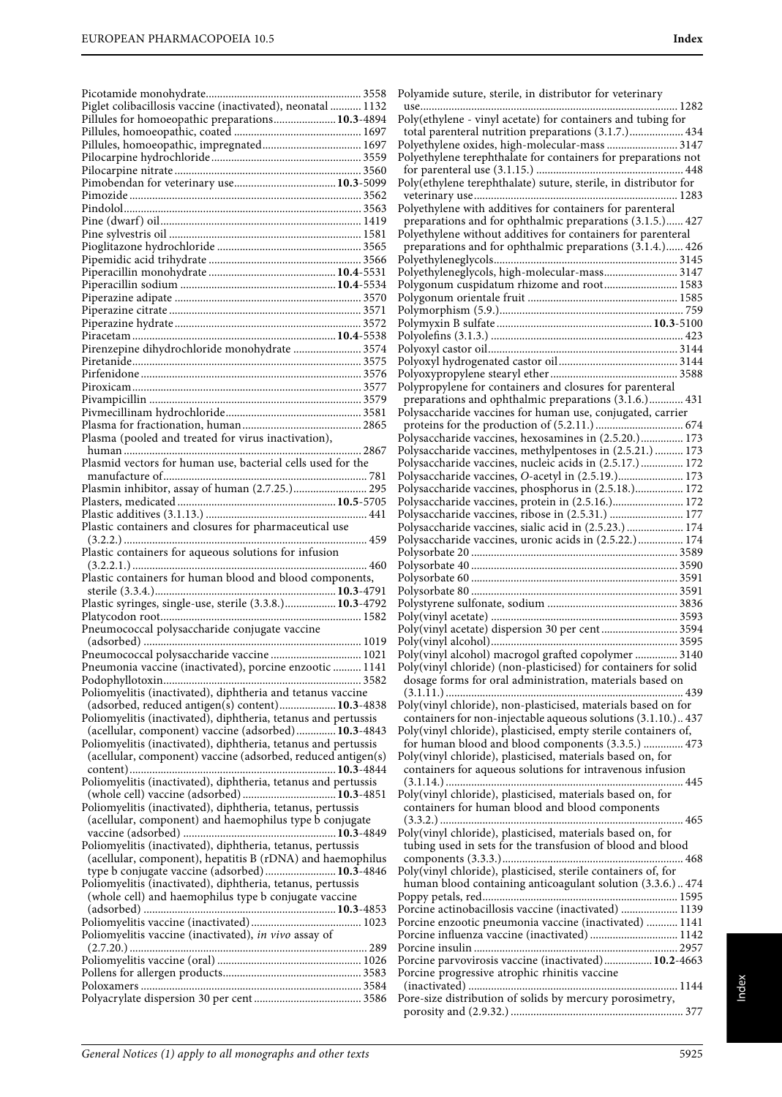| Piglet colibacillosis vaccine (inactivated), neonatal  1132    |
|----------------------------------------------------------------|
| Pillules for homoeopathic preparations 10.3-4894               |
|                                                                |
|                                                                |
|                                                                |
|                                                                |
|                                                                |
|                                                                |
|                                                                |
|                                                                |
|                                                                |
|                                                                |
|                                                                |
|                                                                |
|                                                                |
|                                                                |
|                                                                |
|                                                                |
|                                                                |
|                                                                |
| Pirenzepine dihydrochloride monohydrate  3574                  |
|                                                                |
|                                                                |
|                                                                |
|                                                                |
|                                                                |
|                                                                |
|                                                                |
| Plasma (pooled and treated for virus inactivation),            |
|                                                                |
| Plasmid vectors for human use, bacterial cells used for the    |
|                                                                |
| Plasmin inhibitor, assay of human (2.7.25.) 295                |
|                                                                |
|                                                                |
| Plastic containers and closures for pharmaceutical use         |
|                                                                |
|                                                                |
|                                                                |
| Plastic containers for aqueous solutions for infusion          |
|                                                                |
| Plastic containers for human blood and blood components,       |
|                                                                |
| Plastic syringes, single-use, sterile (3.3.8.) 10.3-4792       |
|                                                                |
| Pneumococcal polysaccharide conjugate vaccine                  |
|                                                                |
|                                                                |
| Pneumococcal polysaccharide vaccine  1021                      |
| Pneumonia vaccine (inactivated), porcine enzootic  1141        |
|                                                                |
| Poliomyelitis (inactivated), diphtheria and tetanus vaccine    |
| (adsorbed, reduced antigen(s) content) 10.3-4838               |
| Poliomyelitis (inactivated), diphtheria, tetanus and pertussis |
| (acellular, component) vaccine (adsorbed) 10.3-4843            |
| Poliomyelitis (inactivated), diphtheria, tetanus and pertussis |
| (acellular, component) vaccine (adsorbed, reduced antigen(s)   |
|                                                                |
|                                                                |
|                                                                |
| Poliomyelitis (inactivated), diphtheria, tetanus, pertussis    |
| (acellular, component) and haemophilus type b conjugate        |
|                                                                |
| Poliomyelitis (inactivated), diphtheria, tetanus, pertussis    |
| (acellular, component), hepatitis B (rDNA) and haemophilus     |
| type b conjugate vaccine (adsorbed) 10.3-4846                  |
| Poliomyelitis (inactivated), diphtheria, tetanus, pertussis    |
|                                                                |
| (whole cell) and haemophilus type b conjugate vaccine          |
|                                                                |
|                                                                |
| Poliomyelitis vaccine (inactivated), in vivo assay of          |
|                                                                |
|                                                                |
|                                                                |
|                                                                |

| Polyamide suture, sterile, in distributor for veterinary<br>use                                                                |
|--------------------------------------------------------------------------------------------------------------------------------|
| Poly(ethylene - vinyl acetate) for containers and tubing for                                                                   |
| total parenteral nutrition preparations (3.1.7.) 434<br>Polyethylene oxides, high-molecular-mass  3147                         |
| Polyethylene terephthalate for containers for preparations not                                                                 |
|                                                                                                                                |
| Poly(ethylene terephthalate) suture, sterile, in distributor for                                                               |
| Polyethylene with additives for containers for parenteral                                                                      |
| preparations and for ophthalmic preparations (3.1.5.) 427<br>Polyethylene without additives for containers for parenteral      |
| preparations and for ophthalmic preparations (3.1.4.) 426                                                                      |
|                                                                                                                                |
| Polyethyleneglycols, high-molecular-mass 3147<br>Polygonum cuspidatum rhizome and root 1583                                    |
|                                                                                                                                |
|                                                                                                                                |
|                                                                                                                                |
|                                                                                                                                |
|                                                                                                                                |
| Polypropylene for containers and closures for parenteral                                                                       |
| preparations and ophthalmic preparations (3.1.6.) 431<br>Polysaccharide vaccines for human use, conjugated, carrier            |
|                                                                                                                                |
| Polysaccharide vaccines, hexosamines in (2.5.20.) 173<br>Polysaccharide vaccines, methylpentoses in (2.5.21.)  173             |
| Polysaccharide vaccines, nucleic acids in (2.5.17.) 172                                                                        |
| Polysaccharide vaccines, O-acetyl in (2.5.19.) 173                                                                             |
| Polysaccharide vaccines, phosphorus in (2.5.18.) 172<br>Polysaccharide vaccines, protein in (2.5.16.) 172                      |
| Polysaccharide vaccines, ribose in (2.5.31.)  177                                                                              |
| Polysaccharide vaccines, sialic acid in (2.5.23.)  174<br>Polysaccharide vaccines, uronic acids in (2.5.22.) 174               |
|                                                                                                                                |
|                                                                                                                                |
|                                                                                                                                |
|                                                                                                                                |
| Poly(vinyl acetate) dispersion 30 per cent 3594                                                                                |
|                                                                                                                                |
| Poly(vinyl alcohol) macrogol grafted copolymer  3140<br>Poly(vinyl chloride) (non-plasticised) for containers for solid        |
| dosage forms for oral administration, materials based on                                                                       |
|                                                                                                                                |
| Poly(vinyl chloride), non-plasticised, materials based on for<br>containers for non-injectable aqueous solutions (3.1.10.) 437 |
| Poly(vinyl chloride), plasticised, empty sterile containers of,                                                                |
| for human blood and blood components (3.3.5.)  473<br>Poly(vinyl chloride), plasticised, materials based on, for               |
| containers for aqueous solutions for intravenous infusion                                                                      |
|                                                                                                                                |
| Poly(vinyl chloride), plasticised, materials based on, for<br>containers for human blood and blood components                  |
| Poly(vinyl chloride), plasticised, materials based on, for<br>tubing used in sets for the transfusion of blood and blood       |
| Poly(vinyl chloride), plasticised, sterile containers of, for                                                                  |
| human blood containing anticoagulant solution (3.3.6.) 474                                                                     |
|                                                                                                                                |
| Porcine actinobacillosis vaccine (inactivated)  1139<br>Porcine enzootic pneumonia vaccine (inactivated)  1141                 |
| Porcine influenza vaccine (inactivated) 1142                                                                                   |
| Porcine parvovirosis vaccine (inactivated) 10.2-4663                                                                           |
| Porcine progressive atrophic rhinitis vaccine                                                                                  |
|                                                                                                                                |
| Pore-size distribution of solids by mercury porosimetry,                                                                       |
|                                                                                                                                |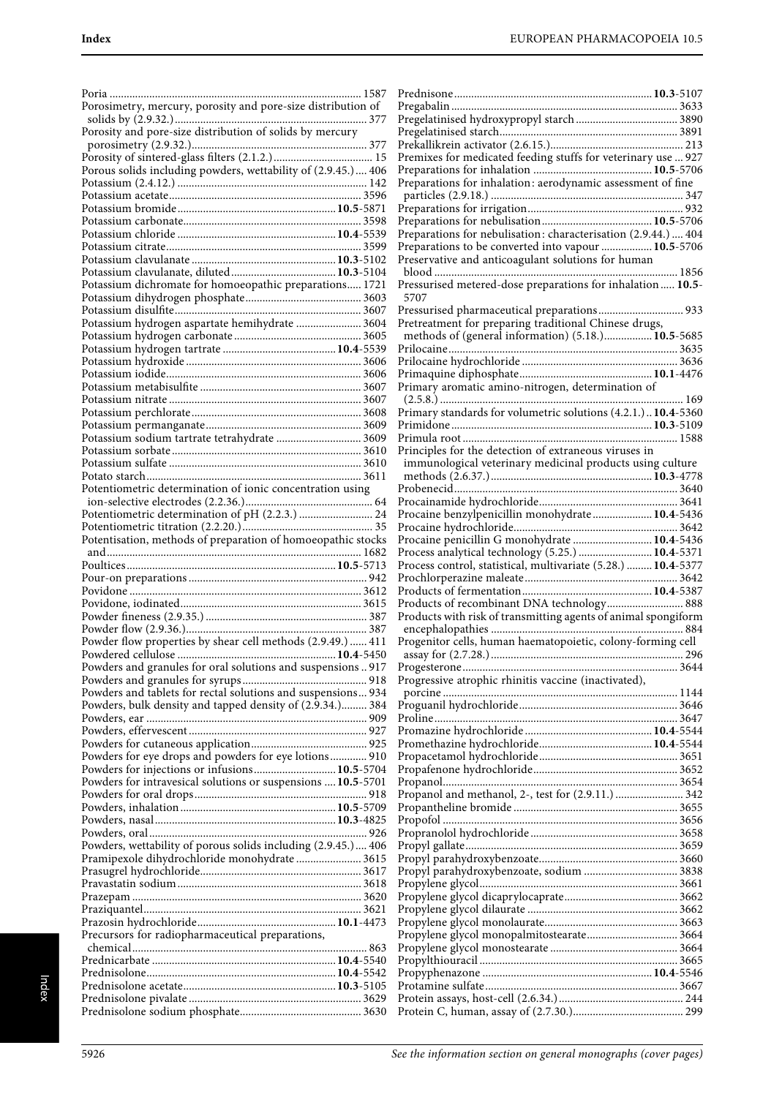| Porosimetry, mercury, porosity and pore-size distribution of                                                              |
|---------------------------------------------------------------------------------------------------------------------------|
| Porosity and pore-size distribution of solids by mercury                                                                  |
| Porous solids including powders, wettability of (2.9.45.) 406                                                             |
|                                                                                                                           |
|                                                                                                                           |
|                                                                                                                           |
|                                                                                                                           |
| Potassium dichromate for homoeopathic preparations 1721                                                                   |
|                                                                                                                           |
| Potassium hydrogen aspartate hemihydrate  3604                                                                            |
|                                                                                                                           |
|                                                                                                                           |
|                                                                                                                           |
|                                                                                                                           |
| Potassium sodium tartrate tetrahydrate  3609                                                                              |
|                                                                                                                           |
| Potentiometric determination of ionic concentration using                                                                 |
| Potentiometric determination of pH (2.2.3.)  24                                                                           |
| Potentisation, methods of preparation of homoeopathic stocks                                                              |
|                                                                                                                           |
|                                                                                                                           |
|                                                                                                                           |
|                                                                                                                           |
|                                                                                                                           |
| Powder flow properties by shear cell methods (2.9.49.)  411                                                               |
| Powders and granules for oral solutions and suspensions 917                                                               |
|                                                                                                                           |
| Powders and tablets for rectal solutions and suspensions 934<br>Powders, bulk density and tapped density of (2.9.34.) 384 |
|                                                                                                                           |
| Powders for eye drops and powders for eye lotions 910                                                                     |
| Powders for injections or infusions 10.5-5704<br>Powders for intravesical solutions or suspensions  10.5-5701             |
|                                                                                                                           |
|                                                                                                                           |
| Powders, wettability of porous solids including (2.9.45.) 406                                                             |
| Pramipexole dihydrochloride monohydrate  3615                                                                             |
|                                                                                                                           |
|                                                                                                                           |
| Precursors for radiopharmaceutical preparations,                                                                          |
|                                                                                                                           |
|                                                                                                                           |

| Premixes for medicated feeding stuffs for veterinary use  927                                                     |     |
|-------------------------------------------------------------------------------------------------------------------|-----|
|                                                                                                                   |     |
| Preparations for inhalation: aerodynamic assessment of fine                                                       |     |
|                                                                                                                   |     |
|                                                                                                                   |     |
| Preparations for nebulisation: characterisation (2.9.44.)  404                                                    |     |
| Preparations to be converted into vapour  10.5-5706                                                               |     |
| Preservative and anticoagulant solutions for human                                                                |     |
|                                                                                                                   |     |
| Pressurised metered-dose preparations for inhalation  10.5-                                                       |     |
| 5707                                                                                                              |     |
| Pressurised pharmaceutical preparations 933                                                                       |     |
| Pretreatment for preparing traditional Chinese drugs,<br>methods of (general information) (5.18.)10.5-5685        |     |
|                                                                                                                   |     |
|                                                                                                                   |     |
|                                                                                                                   |     |
| Primary aromatic amino-nitrogen, determination of                                                                 |     |
|                                                                                                                   |     |
| Primary standards for volumetric solutions (4.2.1.) 10.4-5360                                                     |     |
|                                                                                                                   |     |
| Principles for the detection of extraneous viruses in                                                             |     |
| immunological veterinary medicinal products using culture                                                         |     |
|                                                                                                                   |     |
|                                                                                                                   |     |
|                                                                                                                   |     |
| Procaine benzylpenicillin monohydrate 10.4-5436                                                                   |     |
|                                                                                                                   |     |
| Procaine penicillin G monohydrate  10.4-5436                                                                      |     |
| Process analytical technology (5.25.)  10.4-5371<br>Process control, statistical, multivariate (5.28.)  10.4-5377 |     |
|                                                                                                                   |     |
|                                                                                                                   |     |
| Products of recombinant DNA technology 888                                                                        |     |
| Products with risk of transmitting agents of animal spongiform                                                    |     |
|                                                                                                                   |     |
| Progenitor cells, human haematopoietic, colony-forming cell                                                       |     |
|                                                                                                                   | 296 |
| Progressive atrophic rhinitis vaccine (inactivated),                                                              |     |
|                                                                                                                   |     |
|                                                                                                                   |     |
|                                                                                                                   |     |
|                                                                                                                   |     |
|                                                                                                                   |     |
|                                                                                                                   |     |
|                                                                                                                   |     |
| Propanol and methanol, 2-, test for (2.9.11.)  342                                                                |     |
|                                                                                                                   |     |
|                                                                                                                   |     |
|                                                                                                                   |     |
|                                                                                                                   |     |
|                                                                                                                   |     |
| Propyl parahydroxybenzoate, sodium  3838                                                                          |     |
|                                                                                                                   |     |
|                                                                                                                   |     |
|                                                                                                                   |     |
|                                                                                                                   |     |
|                                                                                                                   |     |
|                                                                                                                   |     |
|                                                                                                                   |     |
|                                                                                                                   |     |
|                                                                                                                   |     |
|                                                                                                                   |     |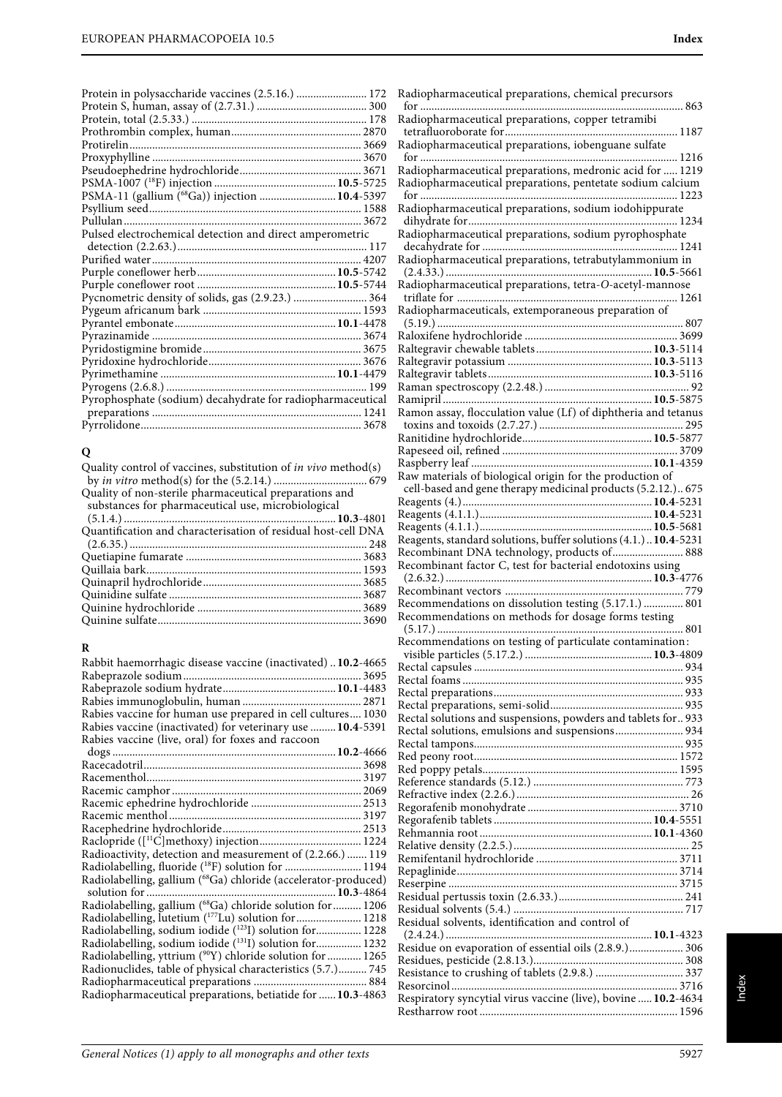| Protein in polysaccharide vaccines (2.5.16.)  172          |  |
|------------------------------------------------------------|--|
|                                                            |  |
|                                                            |  |
|                                                            |  |
|                                                            |  |
|                                                            |  |
|                                                            |  |
|                                                            |  |
| PSMA-11 (gallium (68Ga)) injection  10.4-5397              |  |
|                                                            |  |
|                                                            |  |
| Pulsed electrochemical detection and direct amperometric   |  |
|                                                            |  |
|                                                            |  |
|                                                            |  |
|                                                            |  |
| Pycnometric density of solids, gas (2.9.23.)  364          |  |
|                                                            |  |
|                                                            |  |
|                                                            |  |
|                                                            |  |
|                                                            |  |
|                                                            |  |
|                                                            |  |
| Pyrophosphate (sodium) decahydrate for radiopharmaceutical |  |
|                                                            |  |
|                                                            |  |
|                                                            |  |

#### **Q**

| Quality control of vaccines, substitution of <i>in vivo</i> method(s) |  |
|-----------------------------------------------------------------------|--|
|                                                                       |  |
| Quality of non-sterile pharmaceutical preparations and                |  |
| substances for pharmaceutical use, microbiological                    |  |
|                                                                       |  |
| Quantification and characterisation of residual host-cell DNA         |  |
|                                                                       |  |
|                                                                       |  |
|                                                                       |  |
|                                                                       |  |
|                                                                       |  |
|                                                                       |  |
|                                                                       |  |
|                                                                       |  |

#### **R**

| Rabbit haemorrhagic disease vaccine (inactivated)  10.2-4665   |
|----------------------------------------------------------------|
|                                                                |
|                                                                |
|                                                                |
| Rabies vaccine for human use prepared in cell cultures 1030    |
| Rabies vaccine (inactivated) for veterinary use  10.4-5391     |
| Rabies vaccine (live, oral) for foxes and raccoon              |
|                                                                |
|                                                                |
|                                                                |
|                                                                |
|                                                                |
|                                                                |
|                                                                |
|                                                                |
| Radioactivity, detection and measurement of (2.2.66.)  119     |
| Radiolabelling, fluoride ( <sup>18</sup> F) solution for  1194 |
| Radiolabelling, gallium (68Ga) chloride (accelerator-produced) |
|                                                                |
| Radiolabelling, gallium (68Ga) chloride solution for  1206     |
| Radiolabelling, lutetium (177Lu) solution for  1218            |
| Radiolabelling, sodium iodide (123I) solution for 1228         |
| Radiolabelling, sodium iodide (131I) solution for 1232         |
| Radiolabelling, yttrium (90Y) chloride solution for  1265      |
| Radionuclides, table of physical characteristics (5.7.) 745    |
|                                                                |
| Radiopharmaceutical preparations, betiatide for  10.3-4863     |

| Radiopharmaceutical preparations, chemical precursors            |      |
|------------------------------------------------------------------|------|
| Radiopharmaceutical preparations, copper tetramibi               |      |
|                                                                  |      |
| Radiopharmaceutical preparations, iobenguane sulfate             |      |
|                                                                  | 1216 |
| Radiopharmaceutical preparations, medronic acid for  1219        |      |
| Radiopharmaceutical preparations, pentetate sodium calcium       |      |
| Radiopharmaceutical preparations, sodium iodohippurate           |      |
|                                                                  |      |
| Radiopharmaceutical preparations, sodium pyrophosphate           |      |
|                                                                  |      |
| Radiopharmaceutical preparations, tetrabutylammonium in          |      |
| Radiopharmaceutical preparations, tetra-O-acetyl-mannose         |      |
|                                                                  |      |
| Radiopharmaceuticals, extemporaneous preparation of              |      |
|                                                                  |      |
|                                                                  |      |
|                                                                  |      |
|                                                                  |      |
|                                                                  |      |
|                                                                  |      |
| Ramon assay, flocculation value (Lf) of diphtheria and tetanus   |      |
|                                                                  |      |
|                                                                  |      |
|                                                                  |      |
| Raw materials of biological origin for the production of         |      |
| cell-based and gene therapy medicinal products (5.2.12.) 675     |      |
|                                                                  |      |
|                                                                  |      |
| Reagents, standard solutions, buffer solutions (4.1.)  10.4-5231 |      |
| Recombinant DNA technology, products of 888                      |      |
|                                                                  |      |
| Recombinant factor C, test for bacterial endotoxins using        |      |
|                                                                  |      |
|                                                                  |      |
| Recommendations on dissolution testing (5.17.1.)  801            |      |
| Recommendations on methods for dosage forms testing              |      |
| Recommendations on testing of particulate contamination:         |      |
|                                                                  |      |
|                                                                  |      |
|                                                                  |      |
|                                                                  |      |
| Rectal solutions and suspensions, powders and tablets for 933    |      |
| Rectal solutions, emulsions and suspensions 934                  |      |
|                                                                  |      |
|                                                                  |      |
|                                                                  |      |
|                                                                  |      |
|                                                                  |      |
|                                                                  |      |
|                                                                  |      |
|                                                                  |      |
|                                                                  |      |
|                                                                  |      |
|                                                                  |      |
|                                                                  |      |
| Residual solvents, identification and control of                 |      |
| Residue on evaporation of essential oils (2.8.9.) 306            |      |
|                                                                  |      |
|                                                                  |      |
| Respiratory syncytial virus vaccine (live), bovine  10.2-4634    |      |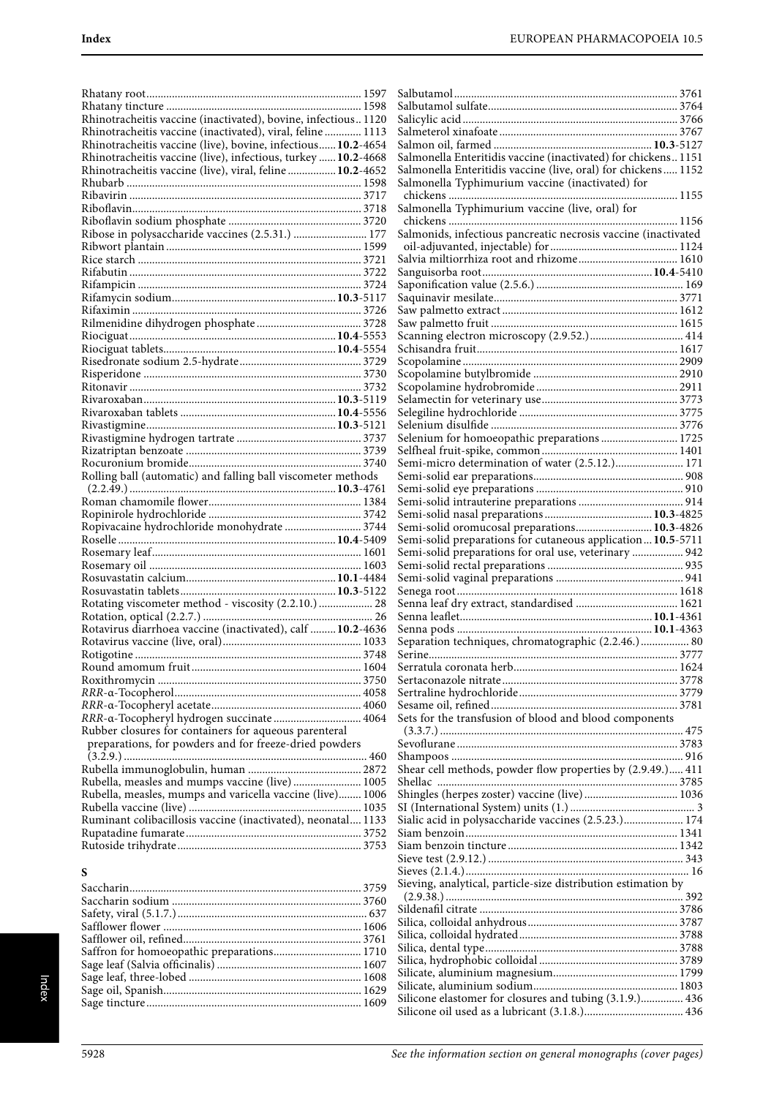| Rhinotracheitis vaccine (inactivated), bovine, infectious 1120 |  |
|----------------------------------------------------------------|--|
| Rhinotracheitis vaccine (inactivated), viral, feline  1113     |  |
| Rhinotracheitis vaccine (live), bovine, infectious 10.2-4654   |  |
| Rhinotracheitis vaccine (live), infectious, turkey  10.2-4668  |  |
| Rhinotracheitis vaccine (live), viral, feline  10.2-4652       |  |
|                                                                |  |
|                                                                |  |
|                                                                |  |
|                                                                |  |
| Ribose in polysaccharide vaccines (2.5.31.)  177               |  |
|                                                                |  |
|                                                                |  |
|                                                                |  |
|                                                                |  |
|                                                                |  |
|                                                                |  |
|                                                                |  |
|                                                                |  |
|                                                                |  |
|                                                                |  |
|                                                                |  |
|                                                                |  |
|                                                                |  |
|                                                                |  |
|                                                                |  |
|                                                                |  |
|                                                                |  |
|                                                                |  |
|                                                                |  |
| Rolling ball (automatic) and falling ball viscometer methods   |  |
|                                                                |  |
|                                                                |  |
|                                                                |  |
|                                                                |  |
|                                                                |  |
| Ropivacaine hydrochloride monohydrate  3744                    |  |
|                                                                |  |
|                                                                |  |
|                                                                |  |
|                                                                |  |
|                                                                |  |
|                                                                |  |
|                                                                |  |
| Rotavirus diarrhoea vaccine (inactivated), calf  10.2-4636     |  |
|                                                                |  |
|                                                                |  |
|                                                                |  |
|                                                                |  |
|                                                                |  |
|                                                                |  |
| RRR-a-Tocopheryl hydrogen succinate 4064                       |  |
| Rubber closures for containers for aqueous parenteral          |  |
| preparations, for powders and for freeze-dried powders         |  |
|                                                                |  |
|                                                                |  |
| Rubella, measles and mumps vaccine (live) 1005                 |  |
| Rubella, measles, mumps and varicella vaccine (live) 1006      |  |
|                                                                |  |
| Ruminant colibacillosis vaccine (inactivated), neonatal 1133   |  |
|                                                                |  |
|                                                                |  |

| Salmonella Enteritidis vaccine (inactivated) for chickens 1151 |
|----------------------------------------------------------------|
| Salmonella Enteritidis vaccine (live, oral) for chickens 1152  |
| Salmonella Typhimurium vaccine (inactivated) for               |
| Salmonella Typhimurium vaccine (live, oral) for                |
|                                                                |
| Salmonids, infectious pancreatic necrosis vaccine (inactivated |
|                                                                |
|                                                                |
|                                                                |
|                                                                |
|                                                                |
|                                                                |
|                                                                |
|                                                                |
|                                                                |
|                                                                |
|                                                                |
|                                                                |
|                                                                |
|                                                                |
| Selenium for homoeopathic preparations  1725                   |
|                                                                |
| Semi-micro determination of water (2.5.12.) 171                |
|                                                                |
|                                                                |
|                                                                |
|                                                                |
| Semi-solid oromucosal preparations 10.3-4826                   |
| Semi-solid preparations for cutaneous application 10.5-5711    |
|                                                                |
| Semi-solid preparations for oral use, veterinary  942          |
|                                                                |
|                                                                |
|                                                                |
|                                                                |
|                                                                |
| Separation techniques, chromatographic (2.2.46.) 80            |
|                                                                |
|                                                                |
|                                                                |
|                                                                |
|                                                                |
| Sets for the transfusion of blood and blood components         |
|                                                                |
|                                                                |
|                                                                |
| Shear cell methods, powder flow properties by (2.9.49.) 411    |
|                                                                |
| Shingles (herpes zoster) vaccine (live) 1036                   |
|                                                                |
| Sialic acid in polysaccharide vaccines (2.5.23.) 174           |
|                                                                |
|                                                                |
|                                                                |
| Sieving, analytical, particle-size distribution estimation by  |
|                                                                |
|                                                                |
|                                                                |
|                                                                |
|                                                                |
|                                                                |
|                                                                |
| Silicone elastomer for closures and tubing (3.1.9.) 436        |

## **S**

| Saffron for homoeopathic preparations 1710 |  |
|--------------------------------------------|--|
|                                            |  |
|                                            |  |
|                                            |  |
|                                            |  |
|                                            |  |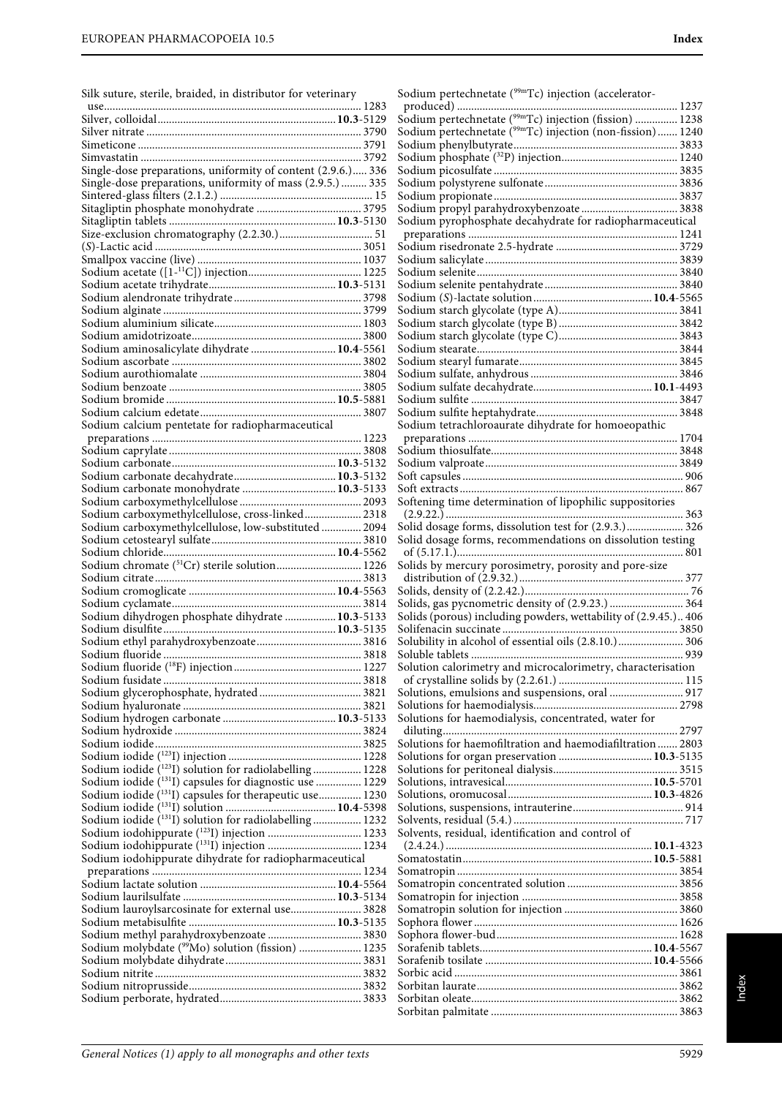| Silk suture, sterile, braided, in distributor for veterinary |  |  |  |
|--------------------------------------------------------------|--|--|--|
|--------------------------------------------------------------|--|--|--|

| Single-dose preparations, uniformity of content (2.9.6.) 336        |  |
|---------------------------------------------------------------------|--|
| Single-dose preparations, uniformity of mass (2.9.5.)  335          |  |
|                                                                     |  |
|                                                                     |  |
|                                                                     |  |
|                                                                     |  |
|                                                                     |  |
|                                                                     |  |
|                                                                     |  |
|                                                                     |  |
|                                                                     |  |
|                                                                     |  |
|                                                                     |  |
| Sodium aminosalicylate dihydrate  10.4-5561                         |  |
|                                                                     |  |
|                                                                     |  |
|                                                                     |  |
|                                                                     |  |
|                                                                     |  |
| Sodium calcium pentetate for radiopharmaceutical                    |  |
|                                                                     |  |
|                                                                     |  |
|                                                                     |  |
|                                                                     |  |
| Sodium carbonate monohydrate  10.3-5133                             |  |
| Sodium carboxymethylcellulose, cross-linked 2318                    |  |
| Sodium carboxymethylcellulose, low-substituted  2094                |  |
|                                                                     |  |
|                                                                     |  |
|                                                                     |  |
|                                                                     |  |
|                                                                     |  |
|                                                                     |  |
|                                                                     |  |
|                                                                     |  |
| Sodium dihydrogen phosphate dihydrate  10.3-5133                    |  |
|                                                                     |  |
|                                                                     |  |
|                                                                     |  |
|                                                                     |  |
|                                                                     |  |
|                                                                     |  |
|                                                                     |  |
|                                                                     |  |
|                                                                     |  |
|                                                                     |  |
| Sodium iodide ( <sup>123</sup> I) solution for radiolabelling 1228  |  |
| Sodium iodide ( <sup>131</sup> I) capsules for diagnostic use  1229 |  |
| Sodium iodide (131I) capsules for therapeutic use 1230              |  |
|                                                                     |  |
| Sodium iodide (131I) solution for radiolabelling 1232               |  |
|                                                                     |  |
| Sodium iodohippurate (131I) injection  1234                         |  |
| Sodium iodohippurate dihydrate for radiopharmaceutical              |  |
|                                                                     |  |
|                                                                     |  |
|                                                                     |  |
| Sodium lauroylsarcosinate for external use 3828                     |  |
|                                                                     |  |
| Sodium methyl parahydroxybenzoate  3830                             |  |
| Sodium molybdate ( <sup>99</sup> Mo) solution (fission)  1235       |  |
|                                                                     |  |
|                                                                     |  |
|                                                                     |  |

| Sodium pertechnetate ( <sup>99m</sup> Tc) injection (non-fission) 1240 |
|------------------------------------------------------------------------|
|                                                                        |
|                                                                        |
|                                                                        |
|                                                                        |
|                                                                        |
| Sodium pyrophosphate decahydrate for radiopharmaceutical               |
|                                                                        |
|                                                                        |
|                                                                        |
|                                                                        |
|                                                                        |
|                                                                        |
|                                                                        |
|                                                                        |
|                                                                        |
|                                                                        |
|                                                                        |
|                                                                        |
|                                                                        |
| Sodium tetrachloroaurate dihydrate for homoeopathic                    |
|                                                                        |
|                                                                        |
|                                                                        |
|                                                                        |
| Softening time determination of lipophilic suppositories               |
|                                                                        |
|                                                                        |
|                                                                        |
| Solids by mercury porosimetry, porosity and pore-size                  |
|                                                                        |
|                                                                        |
| Solids, gas pycnometric density of (2.9.23.)  364                      |
| Solids (porous) including powders, wettability of (2.9.45.) 406        |
|                                                                        |
|                                                                        |
|                                                                        |
| Solubility in alcohol of essential oils (2.8.10.) 306                  |
| Solution calorimetry and microcalorimetry, characterisation            |
|                                                                        |
| Solutions, emulsions and suspensions, oral  917                        |
| Solutions for haemodialysis, concentrated, water for                   |
|                                                                        |
| Solutions for haemofiltration and haemodiafiltration  2803             |
|                                                                        |
|                                                                        |
|                                                                        |
| Solutions for organ preservation  10.3-5135                            |
|                                                                        |
|                                                                        |
| Solvents, residual, identification and control of                      |
|                                                                        |
|                                                                        |
|                                                                        |
|                                                                        |
|                                                                        |
|                                                                        |
|                                                                        |
|                                                                        |
|                                                                        |
|                                                                        |
|                                                                        |

Sodium pertechnetate (<sup>99m</sup>Tc) injection (accelerator-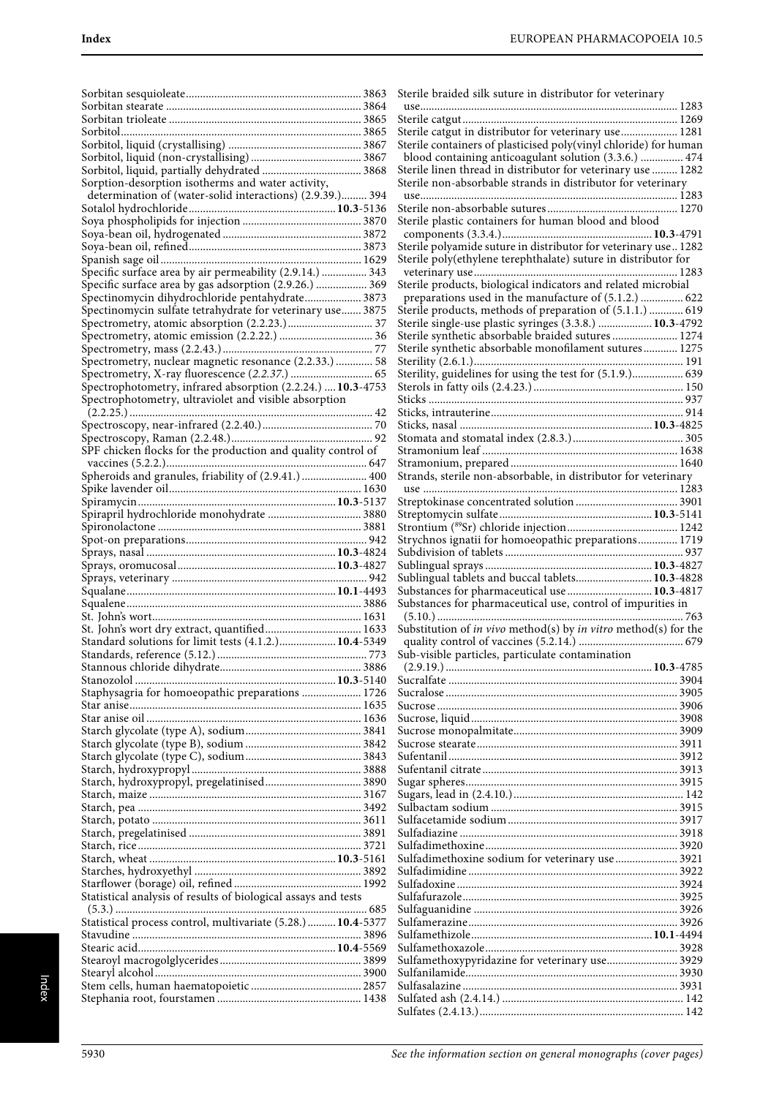| Sorption-desorption isotherms and water activity,              |  |
|----------------------------------------------------------------|--|
| determination of (water-solid interactions) (2.9.39.) 394      |  |
|                                                                |  |
|                                                                |  |
|                                                                |  |
|                                                                |  |
|                                                                |  |
|                                                                |  |
| Specific surface area by air permeability (2.9.14.)  343       |  |
| Specific surface area by gas adsorption (2.9.26.)  369         |  |
| Spectinomycin dihydrochloride pentahydrate 3873                |  |
| Spectinomycin sulfate tetrahydrate for veterinary use 3875     |  |
|                                                                |  |
|                                                                |  |
|                                                                |  |
|                                                                |  |
| Spectrometry, nuclear magnetic resonance (2.2.33.)  58         |  |
|                                                                |  |
| Spectrophotometry, infrared absorption (2.2.24.)  10.3-4753    |  |
| Spectrophotometry, ultraviolet and visible absorption          |  |
|                                                                |  |
|                                                                |  |
|                                                                |  |
|                                                                |  |
| SPF chicken flocks for the production and quality control of   |  |
|                                                                |  |
| Spheroids and granules, friability of (2.9.41.)  400           |  |
|                                                                |  |
|                                                                |  |
|                                                                |  |
| Spirapril hydrochloride monohydrate  3880                      |  |
|                                                                |  |
|                                                                |  |
|                                                                |  |
|                                                                |  |
|                                                                |  |
|                                                                |  |
|                                                                |  |
|                                                                |  |
|                                                                |  |
|                                                                |  |
|                                                                |  |
|                                                                |  |
| Standard solutions for limit tests (4.1.2.) 10.4-5349          |  |
|                                                                |  |
|                                                                |  |
|                                                                |  |
| Staphysagria for homoeopathic preparations  1726               |  |
|                                                                |  |
|                                                                |  |
|                                                                |  |
|                                                                |  |
|                                                                |  |
|                                                                |  |
|                                                                |  |
|                                                                |  |
|                                                                |  |
|                                                                |  |
|                                                                |  |
|                                                                |  |
|                                                                |  |
|                                                                |  |
|                                                                |  |
|                                                                |  |
|                                                                |  |
| Statistical analysis of results of biological assays and tests |  |
|                                                                |  |
| Statistical process control, multivariate (5.28.) 10.4-5377    |  |
|                                                                |  |
|                                                                |  |
|                                                                |  |
|                                                                |  |
|                                                                |  |
|                                                                |  |

| Sterile braided silk suture in distributor for veterinary                                                             |
|-----------------------------------------------------------------------------------------------------------------------|
|                                                                                                                       |
| Sterile catgut in distributor for veterinary use 1281                                                                 |
| Sterile containers of plasticised poly(vinyl chloride) for human                                                      |
| blood containing anticoagulant solution (3.3.6.)  474<br>Sterile linen thread in distributor for veterinary use  1282 |
| Sterile non-absorbable strands in distributor for veterinary                                                          |
|                                                                                                                       |
|                                                                                                                       |
| Sterile plastic containers for human blood and blood                                                                  |
| Sterile polyamide suture in distributor for veterinary use 1282                                                       |
| Sterile poly(ethylene terephthalate) suture in distributor for                                                        |
| Sterile products, biological indicators and related microbial                                                         |
| preparations used in the manufacture of (5.1.2.)  622                                                                 |
| Sterile products, methods of preparation of (5.1.1.)  619<br>Sterile single-use plastic syringes (3.3.8.)  10.3-4792  |
| Sterile synthetic absorbable braided sutures  1274                                                                    |
| Sterile synthetic absorbable monofilament sutures 1275                                                                |
|                                                                                                                       |
| Sterility, guidelines for using the test for (5.1.9.) 639                                                             |
|                                                                                                                       |
|                                                                                                                       |
|                                                                                                                       |
|                                                                                                                       |
|                                                                                                                       |
|                                                                                                                       |
|                                                                                                                       |
|                                                                                                                       |
|                                                                                                                       |
|                                                                                                                       |
| Strychnos ignatii for homoeopathic preparations 1719                                                                  |
|                                                                                                                       |
|                                                                                                                       |
| Sublingual tablets and buccal tablets 10.3-4828<br>Substances for pharmaceutical use  10.3-4817                       |
| Substances for pharmaceutical use, control of impurities in                                                           |
| Substitution of <i>in vivo</i> method(s) by <i>in vitro</i> method(s) for the                                         |
|                                                                                                                       |
| Sub-visible particles, particulate contamination                                                                      |
|                                                                                                                       |
|                                                                                                                       |
|                                                                                                                       |
|                                                                                                                       |
|                                                                                                                       |
|                                                                                                                       |
|                                                                                                                       |
|                                                                                                                       |
|                                                                                                                       |
|                                                                                                                       |
|                                                                                                                       |
|                                                                                                                       |
|                                                                                                                       |
| Sulfadimethoxine sodium for veterinary use  3921                                                                      |
|                                                                                                                       |
|                                                                                                                       |
|                                                                                                                       |
|                                                                                                                       |
| Sulfamethoxypyridazine for veterinary use 3929                                                                        |
|                                                                                                                       |
|                                                                                                                       |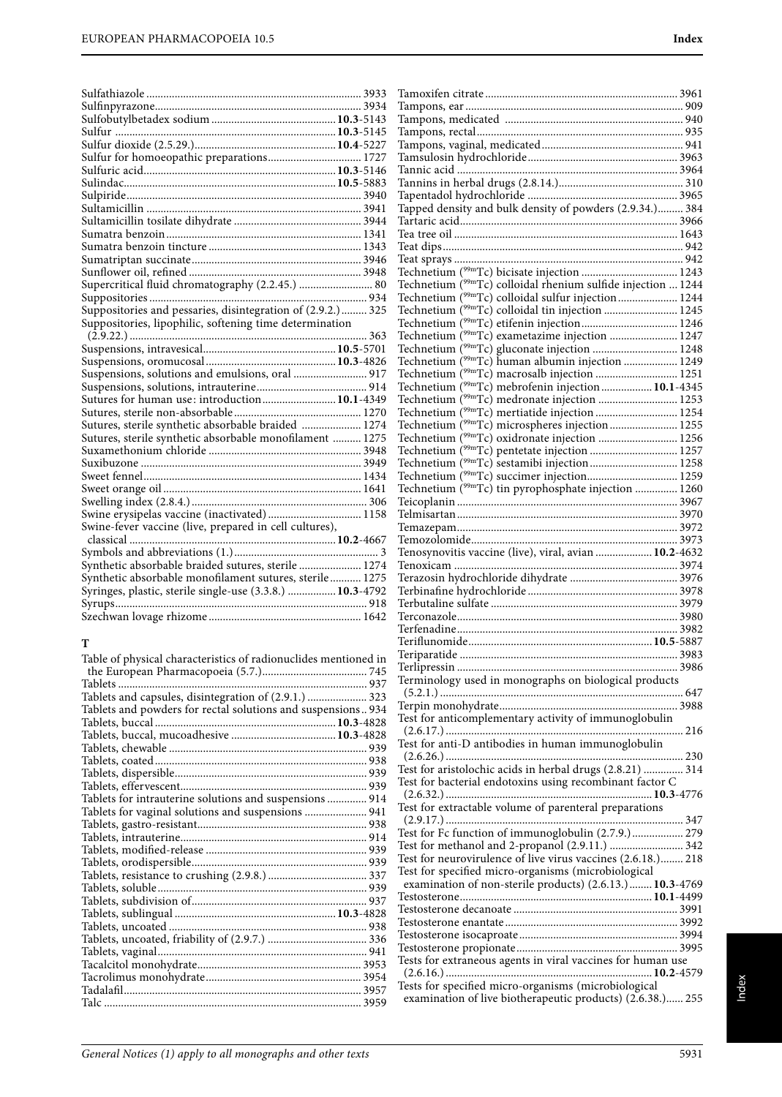| Sulfur for homoeopathic preparations 1727                   |  |
|-------------------------------------------------------------|--|
|                                                             |  |
|                                                             |  |
|                                                             |  |
|                                                             |  |
|                                                             |  |
|                                                             |  |
|                                                             |  |
|                                                             |  |
|                                                             |  |
| Supercritical fluid chromatography (2.2.45.)  80            |  |
|                                                             |  |
| Suppositories and pessaries, disintegration of (2.9.2.) 325 |  |
| Suppositories, lipophilic, softening time determination     |  |
|                                                             |  |
|                                                             |  |
|                                                             |  |
| Suspensions, solutions and emulsions, oral  917             |  |
|                                                             |  |
| Sutures for human use: introduction 10.1-4349               |  |
|                                                             |  |
| Sutures, sterile synthetic absorbable braided  1274         |  |
| Sutures, sterile synthetic absorbable monofilament  1275    |  |
|                                                             |  |
|                                                             |  |
|                                                             |  |
|                                                             |  |
|                                                             |  |
| Swine erysipelas vaccine (inactivated) 1158                 |  |
| Swine-fever vaccine (live, prepared in cell cultures),      |  |
|                                                             |  |
|                                                             |  |
| Synthetic absorbable braided sutures, sterile  1274         |  |
|                                                             |  |
| Synthetic absorbable monofilament sutures, sterile 1275     |  |
| Syringes, plastic, sterile single-use (3.3.8.)  10.3-4792   |  |
|                                                             |  |

#### **T**

| Table of physical characteristics of radionuclides mentioned in |  |
|-----------------------------------------------------------------|--|
|                                                                 |  |
| Tablets                                                         |  |
| Tablets and capsules, disintegration of (2.9.1.)  323           |  |
| Tablets and powders for rectal solutions and suspensions 934    |  |
|                                                                 |  |
|                                                                 |  |
|                                                                 |  |
|                                                                 |  |
|                                                                 |  |
|                                                                 |  |
| Tablets for intrauterine solutions and suspensions  914         |  |
| Tablets for vaginal solutions and suspensions  941              |  |
|                                                                 |  |
|                                                                 |  |
|                                                                 |  |
|                                                                 |  |
|                                                                 |  |
|                                                                 |  |
|                                                                 |  |
|                                                                 |  |
|                                                                 |  |
|                                                                 |  |
|                                                                 |  |
|                                                                 |  |
|                                                                 |  |
|                                                                 |  |
|                                                                 |  |

| Tapped density and bulk density of powders (2.9.34.) 384                  |  |
|---------------------------------------------------------------------------|--|
|                                                                           |  |
|                                                                           |  |
|                                                                           |  |
|                                                                           |  |
|                                                                           |  |
| Technetium ( <sup>99m</sup> Tc) colloidal rhenium sulfide injection  1244 |  |
| Technetium ( <sup>99m</sup> Tc) colloidal sulfur injection 1244           |  |
| Technetium ( <sup>99m</sup> Tc) colloidal tin injection  1245             |  |
|                                                                           |  |
| Technetium ( <sup>99m</sup> Tc) exametazime injection  1247               |  |
| Technetium ( <sup>99m</sup> Tc) gluconate injection  1248                 |  |
|                                                                           |  |
|                                                                           |  |
| Technetium $(^{99m}Tc)$ mebrofenin injection  10.1-4345                   |  |
| Technetium ( <sup>99mT</sup> c) medronate injection  1253                 |  |
| Technetium (99mTc) mertiatide injection  1254                             |  |
| Technetium ( <sup>99m</sup> Tc) microspheres injection 1255               |  |
| Technetium ( <sup>99m</sup> Tc) oxidronate injection  1256                |  |
|                                                                           |  |
| Technetium ( <sup>99m</sup> Tc) sestamibi injection 1258                  |  |
|                                                                           |  |
| Technetium ( <sup>99m</sup> Tc) tin pyrophosphate injection  1260         |  |
|                                                                           |  |
|                                                                           |  |
|                                                                           |  |
|                                                                           |  |
| Tenosynovitis vaccine (live), viral, avian  10.2-4632                     |  |
|                                                                           |  |
|                                                                           |  |
|                                                                           |  |
|                                                                           |  |
|                                                                           |  |
|                                                                           |  |
|                                                                           |  |
|                                                                           |  |
|                                                                           |  |
|                                                                           |  |

Terminology used in monographs on biological products (5.2.1.) ...................................................................................... 647 Terpin monohydrate............................................................... 3988 Test for anticomplementary activity of immunoglobulin (2.6.17.) .................................................................................... 216 Test for anti-D antibodies in human immunoglobulin (2.6.26.) .................................................................................... 230 Test for aristolochic acids in herbal drugs (2.8.21) .............. 314 Test for bacterial endotoxins using recombinant factor C (2.6.32.) .........................................................................**10.3**-4776 Test for extractable volume of parenteral preparations

(2.9.17.) .................................................................................... 347 Test for Fc function of immunoglobulin (2.7.9.).................. 279 Test for methanol and 2-propanol (2.9.11.) .......................... 342 Test for neurovirulence of live virus vaccines (2.6.18.)........ 218

examination of non-sterile products) (2.6.13.)........**10.3**-4769 Testosterone....................................................................**10.1**-4499 Testosterone decanoate .......................................................... 3991 Testosterone enantate ............................................................. 3992 Testosterone isocaproate........................................................ 3994 Testosterone propionate......................................................... 3995 Tests for extraneous agents in viral vaccines for human use (2.6.16.) .........................................................................**10.2**-4579

examination of live biotherapeutic products) (2.6.38.)...... 255

Test for specified micro-organisms (microbiological

Tests for specified micro-organisms (microbiological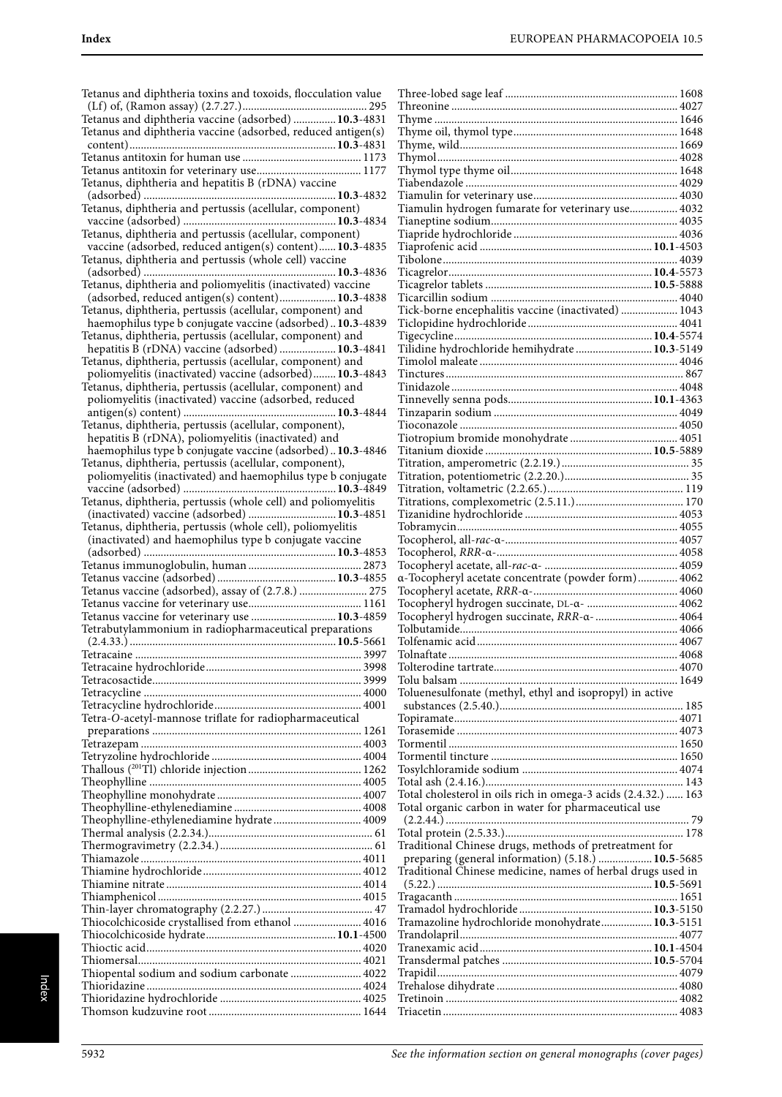Tetanus and diphtheria toxins and toxoids, flocculation value (Lf) of, (Ramon assay) (2.7.27.)............................................ 295 Tetanus and diphtheria vaccine (adsorbed) ...............**10.3**-4831 Tetanus and diphtheria vaccine (adsorbed, reduced antigen(s) content).........................................................................**10.3**-4831 Tetanus antitoxin for human use .......................................... 1173 Tetanus antitoxin for veterinary use..................................... 1177 Tetanus, diphtheria and hepatitis B (rDNA) vaccine (adsorbed) ....................................................................**10.3**-4832 Tetanus, diphtheria and pertussis (acellular, component) vaccine (adsorbed) ......................................................**10.3**-4834 Tetanus, diphtheria and pertussis (acellular, component) vaccine (adsorbed, reduced antigen(s) content)......**10.3**-4835 Tetanus, diphtheria and pertussis (whole cell) vaccine (adsorbed) ....................................................................**10.3**-4836 Tetanus, diphtheria and poliomyelitis (inactivated) vaccine (adsorbed, reduced antigen(s) content)....................**10.3**-4838 Tetanus, diphtheria, pertussis (acellular, component) and haemophilus type b conjugate vaccine (adsorbed) ..**10.3**-4839 Tetanus, diphtheria, pertussis (acellular, component) and hepatitis B (rDNA) vaccine (adsorbed) ....................**10.3**-4841 Tetanus, diphtheria, pertussis (acellular, component) and poliomyelitis (inactivated) vaccine (adsorbed)........**10.3**-4843 Tetanus, diphtheria, pertussis (acellular, component) and poliomyelitis (inactivated) vaccine (adsorbed, reduced antigen(s) content) ......................................................**10.3**-4844 Tetanus, diphtheria, pertussis (acellular, component), hepatitis B (rDNA), poliomyelitis (inactivated) and haemophilus type b conjugate vaccine (adsorbed) ..**10.3**-4846 Tetanus, diphtheria, pertussis (acellular, component), poliomyelitis (inactivated) and haemophilus type b conjugate vaccine (adsorbed) ......................................................**10.3**-4849 Tetanus, diphtheria, pertussis (whole cell) and poliomyelitis (inactivated) vaccine (adsorbed) ...............................**10.3**-4851 Tetanus, diphtheria, pertussis (whole cell), poliomyelitis (inactivated) and haemophilus type b conjugate vaccine (adsorbed) ....................................................................**10.3**-4853 Tetanus immunoglobulin, human ........................................ 2873 Tetanus vaccine (adsorbed) ..........................................**10.3**-4855 Tetanus vaccine (adsorbed), assay of (2.7.8.) ........................ 275 Tetanus vaccine for veterinary use........................................ 1161 Tetanus vaccine for veterinary use ..............................**10.3**-4859 Tetrabutylammonium in radiopharmaceutical preparations (2.4.33.) .........................................................................**10.5**-5661 Tetracaine ................................................................................ 3997 Tetracaine hydrochloride....................................................... 3998 Tetracosactide.......................................................................... 3999 Tetracycline ............................................................................. 4000 Tetracycline hydrochloride.................................................... 4001 Tetra-O-acetyl-mannose triflate for radiopharmaceutical preparations .......................................................................... 1261 Tetrazepam .............................................................................. 4003 Tetryzoline hydrochloride ..................................................... 4004 Thallous (201Tl) chloride injection ........................................ 1262 Theophylline ........................................................................... 4005 Theophylline monohydrate ................................................... 4007 Theophylline-ethylenediamine ............................................. 4008 Theophylline-ethylenediamine hydrate ............................... 4009 Thermal analysis (2.2.34.).......................................................... 61 Thermogravimetry (2.2.34.)...................................................... 61 Thiamazole .............................................................................. 4011 Thiamine hydrochloride........................................................ 4012 Thiamine nitrate ..................................................................... 4014 Thiamphenicol ........................................................................ 4015 Thin-layer chromatography (2.2.27.) ....................................... 47 Thiocolchicoside crystallised from ethanol ........................ 4016 Thiocolchicoside hydrate..............................................**10.1**-4500 Thioctic acid............................................................................ 4020 Thiomersal............................................................................... 4021 Thiopental sodium and sodium carbonate ......................... 4022 Thioridazine ............................................................................ 4024 Thioridazine hydrochloride .................................................. 4025 Thomson kudzuvine root ...................................................... 1644

| Tiamulin hydrogen fumarate for veterinary use 4032             |  |
|----------------------------------------------------------------|--|
|                                                                |  |
|                                                                |  |
|                                                                |  |
|                                                                |  |
|                                                                |  |
|                                                                |  |
|                                                                |  |
|                                                                |  |
|                                                                |  |
| Tick-borne encephalitis vaccine (inactivated)  1043            |  |
|                                                                |  |
|                                                                |  |
|                                                                |  |
|                                                                |  |
|                                                                |  |
|                                                                |  |
|                                                                |  |
|                                                                |  |
|                                                                |  |
|                                                                |  |
|                                                                |  |
|                                                                |  |
|                                                                |  |
|                                                                |  |
|                                                                |  |
|                                                                |  |
|                                                                |  |
|                                                                |  |
|                                                                |  |
|                                                                |  |
|                                                                |  |
|                                                                |  |
|                                                                |  |
|                                                                |  |
|                                                                |  |
|                                                                |  |
| a-Tocopheryl acetate concentrate (powder form) 4062            |  |
|                                                                |  |
|                                                                |  |
| Tocopheryl hydrogen succinate, DL-a-  4062                     |  |
| Tocopheryl hydrogen succinate, RRR-a-  4064                    |  |
|                                                                |  |
|                                                                |  |
| 4068<br>Tolnaftate                                             |  |
|                                                                |  |
|                                                                |  |
|                                                                |  |
| Toluenesulfonate (methyl, ethyl and isopropyl) in active       |  |
|                                                                |  |
|                                                                |  |
|                                                                |  |
|                                                                |  |
|                                                                |  |
|                                                                |  |
|                                                                |  |
|                                                                |  |
|                                                                |  |
| Total cholesterol in oils rich in omega-3 acids (2.4.32.)  163 |  |
| Total organic carbon in water for pharmaceutical use           |  |
|                                                                |  |
|                                                                |  |
|                                                                |  |
| Traditional Chinese drugs, methods of pretreatment for         |  |
| preparing (general information) (5.18.)  10.5-5685             |  |
| Traditional Chinese medicine, names of herbal drugs used in    |  |
|                                                                |  |
|                                                                |  |
|                                                                |  |
|                                                                |  |
| Tramazoline hydrochloride monohydrate 10.3-5151                |  |
|                                                                |  |
|                                                                |  |
|                                                                |  |
|                                                                |  |
|                                                                |  |
|                                                                |  |
|                                                                |  |
|                                                                |  |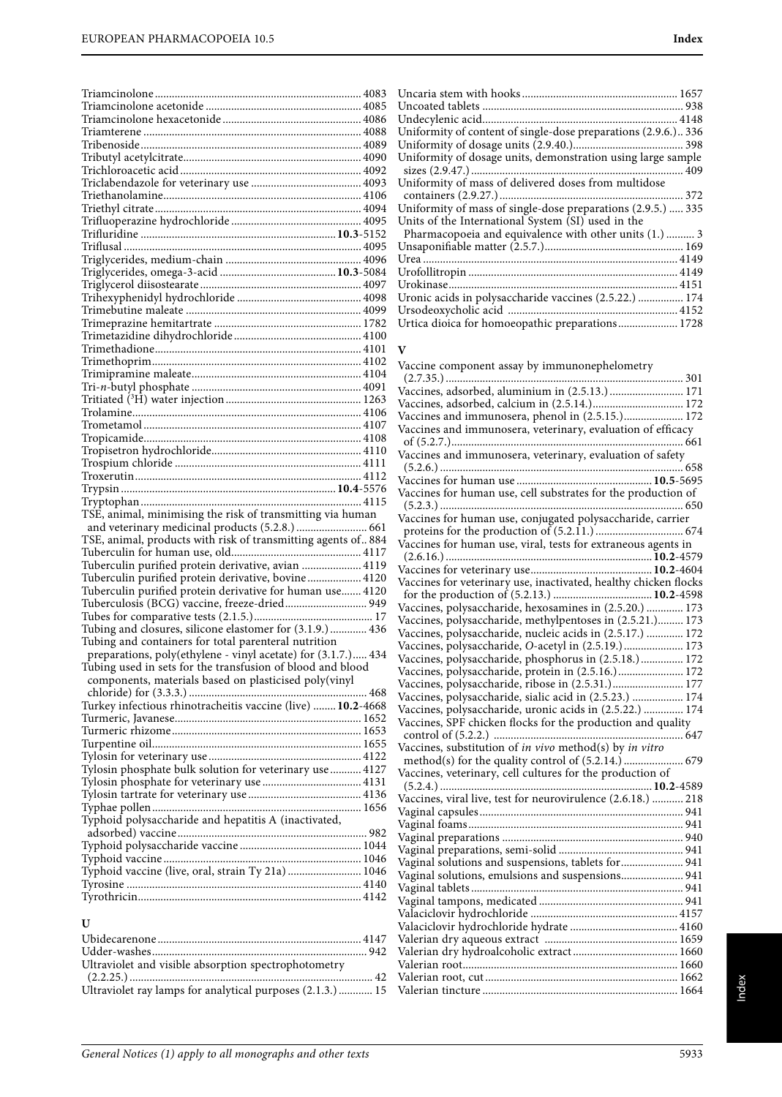| TSE, animal, minimising the risk of transmitting via human                                                        |
|-------------------------------------------------------------------------------------------------------------------|
|                                                                                                                   |
|                                                                                                                   |
| and veterinary medicinal products (5.2.8.)  661<br>TSE, animal, products with risk of transmitting agents of. 884 |
|                                                                                                                   |
| Tuberculin purified protein derivative, avian  4119                                                               |
| Tuberculin purified protein derivative, bovine 4120                                                               |
| Tuberculin purified protein derivative for human use 4120                                                         |
| Tuberculosis (BCG) vaccine, freeze-dried 949                                                                      |
|                                                                                                                   |
| Tubing and closures, silicone elastomer for (3.1.9.)  436<br>Tubing and containers for total parenteral nutrition |
| preparations, poly(ethylene - vinyl acetate) for (3.1.7.) 434                                                     |
| Tubing used in sets for the transfusion of blood and blood                                                        |
| components, materials based on plasticised poly(vinyl                                                             |
|                                                                                                                   |
| Turkey infectious rhinotracheitis vaccine (live)  10.2-4668                                                       |
|                                                                                                                   |
|                                                                                                                   |
|                                                                                                                   |
| Tylosin phosphate bulk solution for veterinary use  4127                                                          |
|                                                                                                                   |
|                                                                                                                   |
|                                                                                                                   |
| Typhoid polysaccharide and hepatitis A (inactivated,                                                              |
|                                                                                                                   |
|                                                                                                                   |
| Typhoid vaccine (live, oral, strain Ty 21a)  1046                                                                 |
|                                                                                                                   |
|                                                                                                                   |
|                                                                                                                   |
| U                                                                                                                 |
|                                                                                                                   |

Urtica dioica for homoeopathic preparations..................... 1728

#### **V**

Vaccine component assay by immunonephelometry (2.7.35.) .................................................................................... 301 Vaccines, adsorbed, aluminium in (2.5.13.) .......................... 171 Vaccines, adsorbed, calcium in (2.5.14.)................................ 172 Vaccines and immunosera, phenol in (2.5.15.)..................... 172 Vaccines and immunosera, veterinary, evaluation of efficacy of (5.2.7.).................................................................................. 661 Vaccines and immunosera, veterinary, evaluation of safety (5.2.6.) ...................................................................................... 658 Vaccines for human use ................................................**10.5**-5695 Vaccines for human use, cell substrates for the production of (5.2.3.) ...................................................................................... 650 Vaccines for human use, conjugated polysaccharide, carrier proteins for the production of (5.2.11.) ............................... 674 Vaccines for human use, viral, tests for extraneous agents in (2.6.16.) .........................................................................**10.2**-4579 Vaccines for veterinary use...........................................**10.2**-4604 Vaccines for veterinary use, inactivated, healthy chicken flocks for the production of (5.2.13.) ...................................**10.2**-4598 Vaccines, polysaccharide, hexosamines in (2.5.20.) ............. 173 Vaccines, polysaccharide, methylpentoses in (2.5.21.)......... 173 Vaccines, polysaccharide, nucleic acids in (2.5.17.) ............. 172 Vaccines, polysaccharide, O-acetyl in (2.5.19.)..................... 173 Vaccines, polysaccharide, phosphorus in (2.5.18.)............... 172 Vaccines, polysaccharide, protein in (2.5.16.)....................... 172 Vaccines, polysaccharide, ribose in (2.5.31.)......................... 177 Vaccines, polysaccharide, sialic acid in (2.5.23.) .................. 174 Vaccines, polysaccharide, uronic acids in (2.5.22.) .............. 174 Vaccines, SPF chicken flocks for the production and quality control of (5.2.2.) ................................................................... 647 Vaccines, substitution of in vivo method(s) by in vitro method(s) for the quality control of (5.2.14.) ..................... 679 Vaccines, veterinary, cell cultures for the production of (5.2.4.) ...........................................................................**10.2**-4589 Vaccines, viral live, test for neurovirulence (2.6.18.) ........... 218 Vaginal capsules........................................................................ 941 Vaginal foams............................................................................ 941 Vaginal preparations ................................................................ 940 Vaginal preparations, semi-solid ............................................ 941 Vaginal solutions and suspensions, tablets for...................... 941 Vaginal solutions, emulsions and suspensions...................... 941 Vaginal tablets ........................................................................... 941 Vaginal tampons, medicated ................................................... 941 Valaciclovir hydrochloride .................................................... 4157 Valaciclovir hydrochloride hydrate ...................................... 4160 Valerian dry aqueous extract ............................................... 1659 Valerian dry hydroalcoholic extract ..................................... 1660 Valerian root............................................................................ 1660 Valerian root, cut .................................................................... 1662 Valerian tincture ..................................................................... 1664

(2.2.25.) ...................................................................................... 42 Ultraviolet ray lamps for analytical purposes (2.1.3.) ............ 15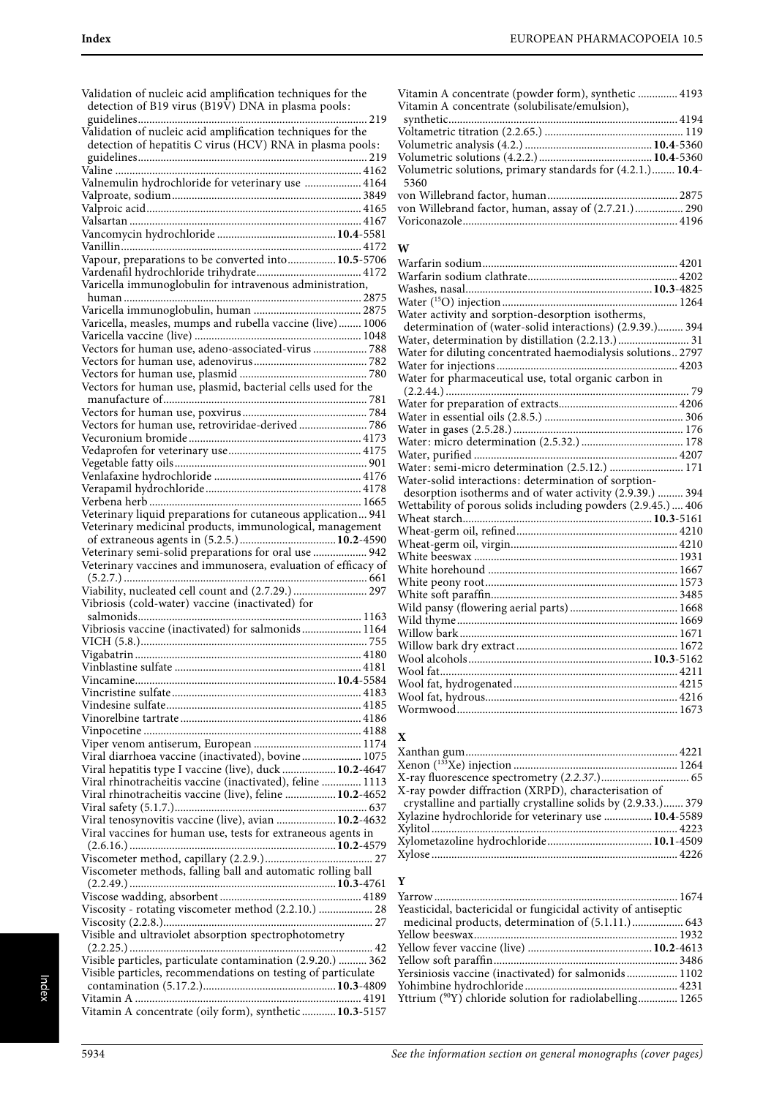| Validation of nucleic acid amplification techniques for the   |
|---------------------------------------------------------------|
| detection of B19 virus (B19V) DNA in plasma pools:            |
|                                                               |
| Validation of nucleic acid amplification techniques for the   |
| detection of hepatitis C virus (HCV) RNA in plasma pools:     |
|                                                               |
|                                                               |
| Valnemulin hydrochloride for veterinary use  4164             |
|                                                               |
|                                                               |
|                                                               |
|                                                               |
| Vapour, preparations to be converted into 10.5-5706           |
|                                                               |
| Varicella immunoglobulin for intravenous administration,      |
|                                                               |
|                                                               |
| Varicella, measles, mumps and rubella vaccine (live)  1006    |
|                                                               |
| Vectors for human use, adeno-associated-virus  788            |
|                                                               |
|                                                               |
| Vectors for human use, plasmid, bacterial cells used for the  |
|                                                               |
|                                                               |
| Vectors for human use, retroviridae-derived  786              |
|                                                               |
|                                                               |
|                                                               |
|                                                               |
|                                                               |
|                                                               |
| Veterinary liquid preparations for cutaneous application 941  |
| Veterinary medicinal products, immunological, management      |
|                                                               |
|                                                               |
| Veterinary semi-solid preparations for oral use  942          |
| Veterinary vaccines and immunosera, evaluation of efficacy of |
|                                                               |
| Viability, nucleated cell count and (2.7.29.)  297            |
| Vibriosis (cold-water) vaccine (inactivated) for              |
|                                                               |
| Vibriosis vaccine (inactivated) for salmonids 1164            |
|                                                               |
|                                                               |
|                                                               |
|                                                               |
|                                                               |
|                                                               |
|                                                               |
|                                                               |
| Viral diarrhoea vaccine (inactivated), bovine 1075            |
| Viral hepatitis type I vaccine (live), duck  10.2-4647        |
| Viral rhinotracheitis vaccine (inactivated), feline  1113     |
| Viral rhinotracheitis vaccine (live), feline  10.2-4652       |
|                                                               |
| Viral tenosynovitis vaccine (live), avian  10.2-4632          |
| Viral vaccines for human use, tests for extraneous agents in  |
|                                                               |
|                                                               |
| Viscometer methods, falling ball and automatic rolling ball   |
|                                                               |
|                                                               |
| Viscosity - rotating viscometer method (2.2.10.)  28          |
| Visible and ultraviolet absorption spectrophotometry          |
|                                                               |
| Visible particles, particulate contamination (2.9.20.)  362   |
| Visible particles, recommendations on testing of particulate  |
|                                                               |
| Vitamin A concentrate (oily form), synthetic  10.3-5157       |

| Vitamin A concentrate (powder form), synthetic  4193<br>Vitamin A concentrate (solubilisate/emulsion), |  |
|--------------------------------------------------------------------------------------------------------|--|
|                                                                                                        |  |
|                                                                                                        |  |
|                                                                                                        |  |
|                                                                                                        |  |
| Volumetric solutions, primary standards for (4.2.1.) 10.4-                                             |  |
| 5360                                                                                                   |  |
|                                                                                                        |  |
| von Willebrand factor, human, assay of (2.7.21.) 290                                                   |  |
|                                                                                                        |  |
|                                                                                                        |  |

#### **W**

| Water activity and sorption-desorption isotherms,             |
|---------------------------------------------------------------|
| determination of (water-solid interactions) (2.9.39.) 394     |
| Water, determination by distillation (2.2.13.) 31             |
| Water for diluting concentrated haemodialysis solutions 2797  |
|                                                               |
|                                                               |
|                                                               |
|                                                               |
|                                                               |
|                                                               |
|                                                               |
|                                                               |
| Water: semi-micro determination (2.5.12.)  171                |
| Water-solid interactions: determination of sorption-          |
| desorption isotherms and of water activity (2.9.39.)  394     |
| Wettability of porous solids including powders (2.9.45.)  406 |
|                                                               |
|                                                               |
|                                                               |
|                                                               |
|                                                               |
|                                                               |
|                                                               |
|                                                               |
|                                                               |
|                                                               |
|                                                               |
|                                                               |
|                                                               |
|                                                               |
|                                                               |
|                                                               |

#### **X**

| X-ray powder diffraction (XRPD), characterisation of          |  |
|---------------------------------------------------------------|--|
| crystalline and partially crystalline solids by (2.9.33.) 379 |  |
| Xylazine hydrochloride for veterinary use  10.4-5589          |  |
|                                                               |  |
|                                                               |  |
|                                                               |  |
|                                                               |  |

### **Y**

| Yeasticidal, bactericidal or fungicidal activity of antiseptic       |  |
|----------------------------------------------------------------------|--|
|                                                                      |  |
|                                                                      |  |
|                                                                      |  |
|                                                                      |  |
| Yersiniosis vaccine (inactivated) for salmonids 1102                 |  |
|                                                                      |  |
| Yttrium ( <sup>90</sup> Y) chloride solution for radiolabelling 1265 |  |